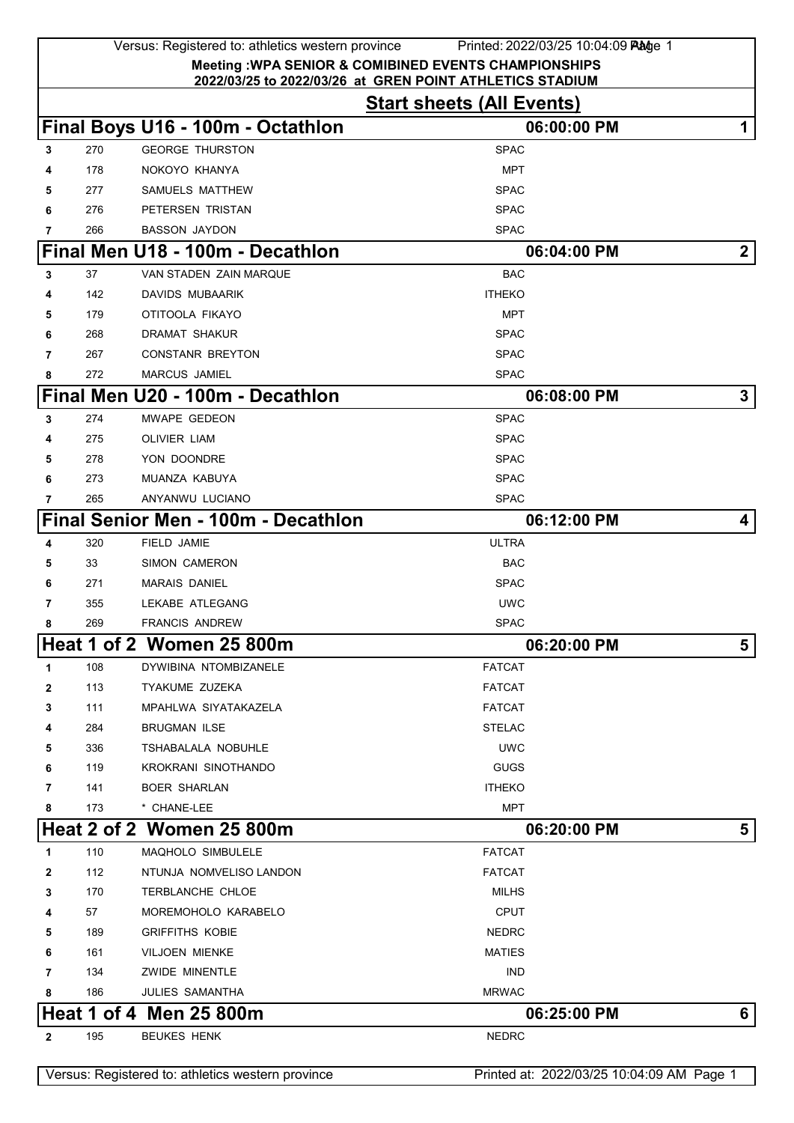|   |     |                                     | <b>Start sheets (All Events)</b> |              |
|---|-----|-------------------------------------|----------------------------------|--------------|
|   |     | Final Boys U16 - 100m - Octathlon   | 06:00:00 PM                      | $\mathbf 1$  |
| 3 | 270 | <b>GEORGE THURSTON</b>              | <b>SPAC</b>                      |              |
| 4 | 178 | NOKOYO KHANYA                       | MPT                              |              |
| 5 | 277 | SAMUELS MATTHEW                     | <b>SPAC</b>                      |              |
| 6 | 276 | PETERSEN TRISTAN                    | <b>SPAC</b>                      |              |
| 7 | 266 | <b>BASSON JAYDON</b>                | <b>SPAC</b>                      |              |
|   |     | Final Men U18 - 100m - Decathlon    | 06:04:00 PM                      | $\mathbf{2}$ |
| 3 | 37  | VAN STADEN ZAIN MARQUE              | <b>BAC</b>                       |              |
| 4 | 142 | DAVIDS MUBAARIK                     | <b>ITHEKO</b>                    |              |
| 5 | 179 | OTITOOLA FIKAYO                     | <b>MPT</b>                       |              |
|   | 268 | <b>DRAMAT SHAKUR</b>                | <b>SPAC</b>                      |              |
| 7 | 267 | <b>CONSTANR BREYTON</b>             | <b>SPAC</b>                      |              |
| 8 | 272 | <b>MARCUS JAMIEL</b>                | <b>SPAC</b>                      |              |
|   |     | Final Men U20 - 100m - Decathlon    | 06:08:00 PM                      | 3            |
| 3 | 274 | MWAPE GEDEON                        | <b>SPAC</b>                      |              |
| 4 | 275 | <b>OLIVIER LIAM</b>                 | <b>SPAC</b>                      |              |
| 5 | 278 | YON DOONDRE                         | <b>SPAC</b>                      |              |
| 6 | 273 | MUANZA KABUYA                       | <b>SPAC</b>                      |              |
| 7 | 265 | ANYANWU LUCIANO                     | <b>SPAC</b>                      |              |
|   |     | Final Senior Men - 100m - Decathlon | 06:12:00 PM                      | 4            |
| 4 | 320 | FIELD JAMIE                         | <b>ULTRA</b>                     |              |
| 5 | 33  | <b>SIMON CAMERON</b>                | <b>BAC</b>                       |              |
|   | 271 | <b>MARAIS DANIEL</b>                | <b>SPAC</b>                      |              |
| 7 | 355 | LEKABE ATLEGANG                     | <b>UWC</b>                       |              |
| 8 | 269 | <b>FRANCIS ANDREW</b>               | <b>SPAC</b>                      |              |
|   |     | Heat 1 of 2 Women 25 800m           | 06:20:00 PM                      | 5            |
| 1 | 108 | DYWIBINA NTOMBIZANELE               | <b>FATCAT</b>                    |              |
| 2 | 113 | TYAKUME ZUZEKA                      | <b>FATCAT</b>                    |              |
| 3 | 111 | MPAHLWA SIYATAKAZELA                | <b>FATCAT</b>                    |              |
| 4 | 284 | <b>BRUGMAN ILSE</b>                 | <b>STELAC</b>                    |              |
| 5 | 336 | TSHABALALA NOBUHLE                  | <b>UWC</b>                       |              |
| 6 | 119 | KROKRANI SINOTHANDO                 | <b>GUGS</b>                      |              |
| 7 | 141 | <b>BOER SHARLAN</b>                 | <b>ITHEKO</b>                    |              |
| 8 | 173 | * CHANE-LEE                         | <b>MPT</b>                       |              |
|   |     | <b>Heat 2 of 2 Women 25 800m</b>    | 06:20:00 PM                      | 5            |
| 1 | 110 | <b>MAQHOLO SIMBULELE</b>            | <b>FATCAT</b>                    |              |
| 2 | 112 | NTUNJA NOMVELISO LANDON             | <b>FATCAT</b>                    |              |
| 3 | 170 | TERBLANCHE CHLOE                    | <b>MILHS</b>                     |              |
| 4 | 57  | MOREMOHOLO KARABELO                 | <b>CPUT</b>                      |              |
| 5 | 189 | <b>GRIFFITHS KOBIE</b>              | <b>NEDRC</b>                     |              |
| 6 | 161 | <b>VILJOEN MIENKE</b>               | <b>MATIES</b>                    |              |
| 7 | 134 | <b>ZWIDE MINENTLE</b>               | <b>IND</b>                       |              |
| 8 | 186 | JULIES SAMANTHA                     | <b>MRWAC</b>                     |              |
|   |     | <b>Heat 1 of 4 Men 25 800m</b>      | 06:25:00 PM                      | 6            |
|   | 195 | <b>BEUKES HENK</b>                  | <b>NEDRC</b>                     |              |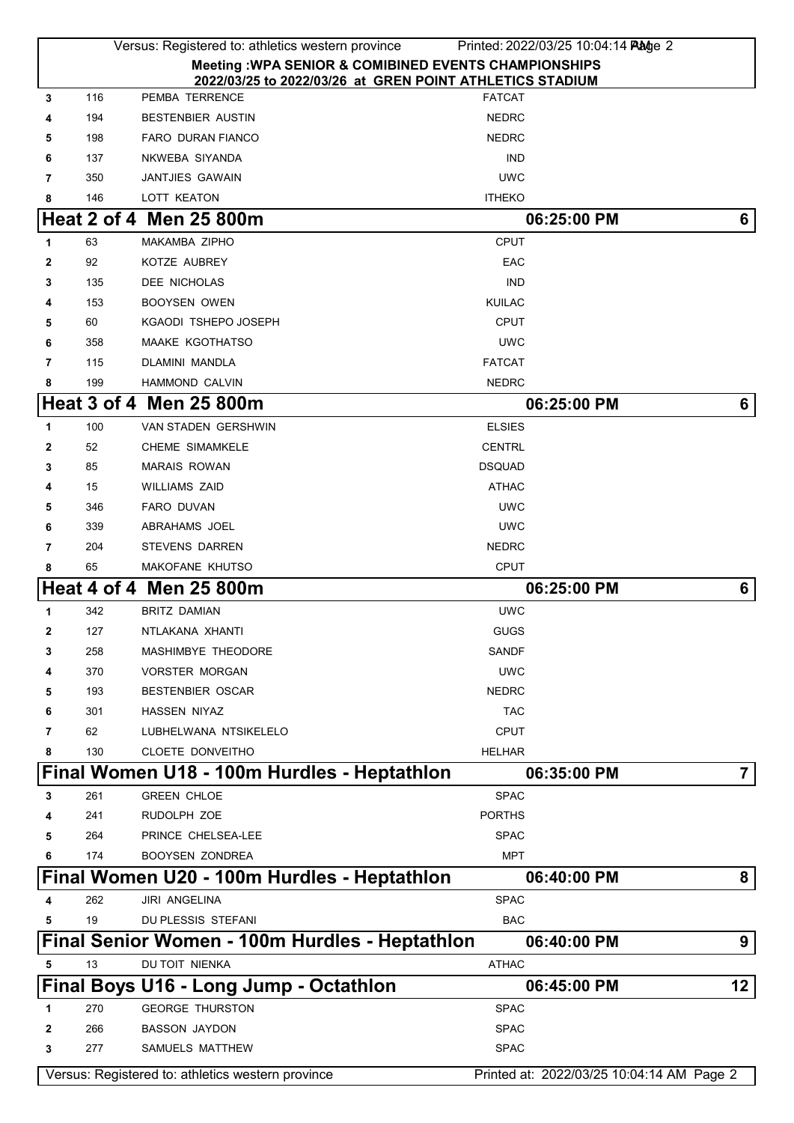|                |             | Versus: Registered to: athletics western province        | Printed: 2022/03/25 10:04:14 Plage 2      |                 |
|----------------|-------------|----------------------------------------------------------|-------------------------------------------|-----------------|
|                |             | Meeting : WPA SENIOR & COMIBINED EVENTS CHAMPIONSHIPS    |                                           |                 |
|                |             | 2022/03/25 to 2022/03/26 at GREN POINT ATHLETICS STADIUM |                                           |                 |
| 3              | 116         | PEMBA TERRENCE                                           | <b>FATCAT</b>                             |                 |
| 4              | 194         | <b>BESTENBIER AUSTIN</b>                                 | <b>NEDRC</b>                              |                 |
| 5              | 198         | <b>FARO DURAN FIANCO</b>                                 | <b>NEDRC</b>                              |                 |
| 6              | 137         | NKWEBA SIYANDA                                           | <b>IND</b>                                |                 |
| 7              | 350         | <b>JANTJIES GAWAIN</b>                                   | <b>UWC</b>                                |                 |
| 8              | 146         | LOTT KEATON                                              | <b>ITHEKO</b>                             |                 |
|                | Heat 2 of 4 | <b>Men 25 800m</b>                                       | 06:25:00 PM                               | 6 <sup>1</sup>  |
| 1              | 63          | MAKAMBA ZIPHO                                            | <b>CPUT</b>                               |                 |
| $\mathbf{2}$   | 92          | KOTZE AUBREY                                             | EAC                                       |                 |
| 3              | 135         | <b>DEE NICHOLAS</b>                                      | <b>IND</b>                                |                 |
| 4              | 153         | <b>BOOYSEN OWEN</b>                                      | <b>KUILAC</b>                             |                 |
| 5              | 60          | KGAODI TSHEPO JOSEPH                                     | <b>CPUT</b>                               |                 |
| 6              | 358         | <b>MAAKE KGOTHATSO</b>                                   | <b>UWC</b>                                |                 |
| 7              | 115         | DLAMINI MANDLA                                           | <b>FATCAT</b>                             |                 |
| 8              | 199         | <b>HAMMOND CALVIN</b>                                    | <b>NEDRC</b>                              |                 |
|                |             | Heat 3 of 4 Men 25 800m                                  | 06:25:00 PM                               | 6 <sup>1</sup>  |
| 1              | 100         | <b>VAN STADEN GERSHWIN</b>                               | <b>ELSIES</b>                             |                 |
| 2              | 52          | <b>CHEME SIMAMKELE</b>                                   | <b>CENTRL</b>                             |                 |
| 3              | 85          | <b>MARAIS ROWAN</b>                                      | <b>DSQUAD</b>                             |                 |
| 4              | 15          | <b>WILLIAMS ZAID</b>                                     | <b>ATHAC</b>                              |                 |
| 5              | 346         | <b>FARO DUVAN</b>                                        | <b>UWC</b>                                |                 |
| 6              | 339         | ABRAHAMS JOEL                                            | <b>UWC</b>                                |                 |
| $\overline{7}$ | 204         | <b>STEVENS DARREN</b>                                    | <b>NEDRC</b>                              |                 |
| 8              | 65          | MAKOFANE KHUTSO                                          | <b>CPUT</b>                               |                 |
|                | Heat 4 of 4 | <b>Men 25 800m</b>                                       | 06:25:00 PM                               | 6               |
| 1              | 342         | <b>BRITZ DAMIAN</b>                                      | <b>UWC</b>                                |                 |
| 2              | 127         | NTLAKANA XHANTI                                          | GUGS                                      |                 |
| 3              | 258         | MASHIMBYE THEODORE                                       | SANDF                                     |                 |
| 4              | 370         | <b>VORSTER MORGAN</b>                                    | <b>UWC</b>                                |                 |
| 5              | 193         | <b>BESTENBIER OSCAR</b>                                  | <b>NEDRC</b>                              |                 |
| 6              | 301         | HASSEN NIYAZ                                             | <b>TAC</b>                                |                 |
| 7              | 62          | LUBHELWANA NTSIKELELO                                    | <b>CPUT</b>                               |                 |
| 8              | 130         | CLOETE DONVEITHO                                         | <b>HELHAR</b>                             |                 |
|                |             | Final Women U18 - 100m Hurdles - Heptathlon              | 06:35:00 PM                               | 7 <sup>1</sup>  |
| 3              | 261         | <b>GREEN CHLOE</b>                                       | <b>SPAC</b>                               |                 |
| 4              | 241         | RUDOLPH ZOE                                              | <b>PORTHS</b>                             |                 |
| 5              | 264         | PRINCE CHELSEA-LEE                                       | <b>SPAC</b>                               |                 |
| 6              | 174         | <b>BOOYSEN ZONDREA</b>                                   | <b>MPT</b>                                |                 |
|                |             | Final Women U20 - 100m Hurdles - Heptathlon              | 06:40:00 PM                               | 8 <sup>1</sup>  |
|                |             |                                                          |                                           |                 |
| 4              | 262         | <b>JIRI ANGELINA</b>                                     | <b>SPAC</b><br><b>BAC</b>                 |                 |
|                | 19          | DU PLESSIS STEFANI                                       |                                           |                 |
|                |             | Final Senior Women - 100m Hurdles - Heptathlon           | 06:40:00 PM                               | 9               |
| 5              | 13          | DU TOIT NIENKA                                           | <b>ATHAC</b>                              |                 |
|                |             | Final Boys U16 - Long Jump - Octathion                   | 06:45:00 PM                               | 12 <sub>1</sub> |
| 1              | 270         | <b>GEORGE THURSTON</b>                                   | <b>SPAC</b>                               |                 |
| 2              | 266         | <b>BASSON JAYDON</b>                                     | <b>SPAC</b>                               |                 |
| 3              | 277         | SAMUELS MATTHEW                                          | <b>SPAC</b>                               |                 |
|                |             | Versus: Registered to: athletics western province        | Printed at: 2022/03/25 10:04:14 AM Page 2 |                 |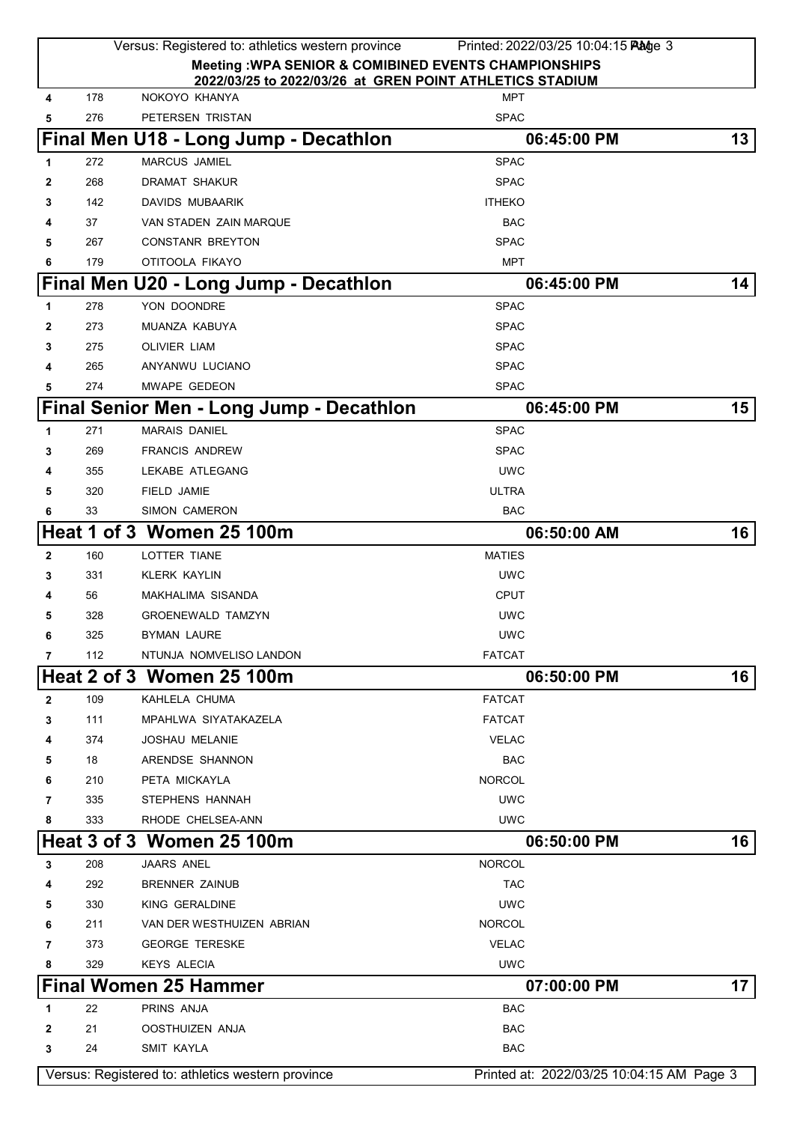| Meeting : WPA SENIOR & COMIBINED EVENTS CHAMPIONSHIPS<br>2022/03/25 to 2022/03/26 at GREN POINT ATHLETICS STADIUM<br>178<br>NOKOYO KHANYA<br><b>MPT</b><br>4<br>276<br><b>SPAC</b><br>PETERSEN TRISTAN<br>5<br>Final Men U18 - Long Jump - Decathlon<br>13<br>06:45:00 PM<br>272<br>MARCUS JAMIEL<br><b>SPAC</b><br>1<br><b>SPAC</b><br>268<br>DRAMAT SHAKUR<br>2<br>142<br><b>ITHEKO</b><br>DAVIDS MUBAARIK<br>3<br>37<br>VAN STADEN ZAIN MARQUE<br><b>BAC</b><br>4<br><b>SPAC</b><br>267<br><b>CONSTANR BREYTON</b><br>5<br><b>MPT</b><br>179<br>OTITOOLA FIKAYO<br>6<br>Final Men U20 - Long Jump - Decathlon<br>06:45:00 PM<br>14<br>278<br><b>SPAC</b><br>YON DOONDRE<br>1<br>273<br>MUANZA KABUYA<br><b>SPAC</b><br>2<br>275<br><b>OLIVIER LIAM</b><br><b>SPAC</b><br>3<br>ANYANWU LUCIANO<br><b>SPAC</b><br>265<br>4<br>274<br>MWAPE GEDEON<br><b>SPAC</b><br>5<br>Final Senior Men - Long Jump - Decathlon<br>06:45:00 PM<br>15<br>271<br><b>MARAIS DANIEL</b><br><b>SPAC</b><br>1<br>269<br><b>FRANCIS ANDREW</b><br><b>SPAC</b><br>3<br>355<br>LEKABE ATLEGANG<br><b>UWC</b><br>4<br>320<br><b>FIELD JAMIE</b><br><b>ULTRA</b><br>5<br><b>SIMON CAMERON</b><br>33<br><b>BAC</b><br>6<br><b>Heat 1 of 3 Women 25 100m</b><br>06:50:00 AM<br>16<br>160<br><b>LOTTER TIANE</b><br><b>MATIES</b><br>$\mathbf{2}$<br>331<br><b>KLERK KAYLIN</b><br><b>UWC</b><br>3<br><b>CPUT</b><br>56<br>MAKHALIMA SISANDA<br>4<br>328<br><b>GROENEWALD TAMZYN</b><br><b>UWC</b><br>5<br><b>UWC</b><br>325<br><b>BYMAN LAURE</b><br>6<br>112<br>NTUNJA NOMVELISO LANDON<br><b>FATCAT</b><br>7<br><b>Heat 2 of 3 Women 25 100m</b><br>06:50:00 PM<br>16<br>109<br>KAHLELA CHUMA<br><b>FATCAT</b><br>2<br>111<br>MPAHLWA SIYATAKAZELA<br><b>FATCAT</b><br>3<br><b>VELAC</b><br>374<br><b>JOSHAU MELANIE</b><br><b>BAC</b><br>18<br>ARENDSE SHANNON<br>5<br>210<br><b>NORCOL</b><br>6<br>PETA MICKAYLA<br>335<br><b>STEPHENS HANNAH</b><br><b>UWC</b><br>7<br><b>UWC</b><br>333<br>RHODE CHELSEA-ANN<br>8<br>Heat 3 of 3 Women 25 100m<br>16<br>06:50:00 PM<br>JAARS ANEL<br>208<br><b>NORCOL</b><br>3<br>292<br><b>BRENNER ZAINUB</b><br><b>TAC</b><br>4<br>330<br><b>UWC</b><br>KING GERALDINE<br>5<br>211<br>VAN DER WESTHUIZEN ABRIAN<br><b>NORCOL</b><br>6<br><b>GEORGE TERESKE</b><br><b>VELAC</b><br>373<br>7<br>329<br><b>KEYS ALECIA</b><br><b>UWC</b><br>8<br><b>Final Women 25 Hammer</b><br>07:00:00 PM<br>17<br>PRINS ANJA<br><b>BAC</b><br>22<br>1<br>21<br>OOSTHUIZEN ANJA<br><b>BAC</b><br>2<br>24<br><b>SMIT KAYLA</b><br><b>BAC</b><br>3<br>Versus: Registered to: athletics western province<br>Printed at: 2022/03/25 10:04:15 AM Page 3 |  | Versus: Registered to: athletics western province | Printed: 2022/03/25 10:04:15 Plange 3 |  |
|--------------------------------------------------------------------------------------------------------------------------------------------------------------------------------------------------------------------------------------------------------------------------------------------------------------------------------------------------------------------------------------------------------------------------------------------------------------------------------------------------------------------------------------------------------------------------------------------------------------------------------------------------------------------------------------------------------------------------------------------------------------------------------------------------------------------------------------------------------------------------------------------------------------------------------------------------------------------------------------------------------------------------------------------------------------------------------------------------------------------------------------------------------------------------------------------------------------------------------------------------------------------------------------------------------------------------------------------------------------------------------------------------------------------------------------------------------------------------------------------------------------------------------------------------------------------------------------------------------------------------------------------------------------------------------------------------------------------------------------------------------------------------------------------------------------------------------------------------------------------------------------------------------------------------------------------------------------------------------------------------------------------------------------------------------------------------------------------------------------------------------------------------------------------------------------------------------------------------------------------------------------------------------------------------------------------------------------------------------------------------------------------------------------------------------------------------------------------------------------------------------------------------------------------------------------------------------------------------------------------------------------------------|--|---------------------------------------------------|---------------------------------------|--|
|                                                                                                                                                                                                                                                                                                                                                                                                                                                                                                                                                                                                                                                                                                                                                                                                                                                                                                                                                                                                                                                                                                                                                                                                                                                                                                                                                                                                                                                                                                                                                                                                                                                                                                                                                                                                                                                                                                                                                                                                                                                                                                                                                                                                                                                                                                                                                                                                                                                                                                                                                                                                                                                  |  |                                                   |                                       |  |
|                                                                                                                                                                                                                                                                                                                                                                                                                                                                                                                                                                                                                                                                                                                                                                                                                                                                                                                                                                                                                                                                                                                                                                                                                                                                                                                                                                                                                                                                                                                                                                                                                                                                                                                                                                                                                                                                                                                                                                                                                                                                                                                                                                                                                                                                                                                                                                                                                                                                                                                                                                                                                                                  |  |                                                   |                                       |  |
|                                                                                                                                                                                                                                                                                                                                                                                                                                                                                                                                                                                                                                                                                                                                                                                                                                                                                                                                                                                                                                                                                                                                                                                                                                                                                                                                                                                                                                                                                                                                                                                                                                                                                                                                                                                                                                                                                                                                                                                                                                                                                                                                                                                                                                                                                                                                                                                                                                                                                                                                                                                                                                                  |  |                                                   |                                       |  |
|                                                                                                                                                                                                                                                                                                                                                                                                                                                                                                                                                                                                                                                                                                                                                                                                                                                                                                                                                                                                                                                                                                                                                                                                                                                                                                                                                                                                                                                                                                                                                                                                                                                                                                                                                                                                                                                                                                                                                                                                                                                                                                                                                                                                                                                                                                                                                                                                                                                                                                                                                                                                                                                  |  |                                                   |                                       |  |
|                                                                                                                                                                                                                                                                                                                                                                                                                                                                                                                                                                                                                                                                                                                                                                                                                                                                                                                                                                                                                                                                                                                                                                                                                                                                                                                                                                                                                                                                                                                                                                                                                                                                                                                                                                                                                                                                                                                                                                                                                                                                                                                                                                                                                                                                                                                                                                                                                                                                                                                                                                                                                                                  |  |                                                   |                                       |  |
|                                                                                                                                                                                                                                                                                                                                                                                                                                                                                                                                                                                                                                                                                                                                                                                                                                                                                                                                                                                                                                                                                                                                                                                                                                                                                                                                                                                                                                                                                                                                                                                                                                                                                                                                                                                                                                                                                                                                                                                                                                                                                                                                                                                                                                                                                                                                                                                                                                                                                                                                                                                                                                                  |  |                                                   |                                       |  |
|                                                                                                                                                                                                                                                                                                                                                                                                                                                                                                                                                                                                                                                                                                                                                                                                                                                                                                                                                                                                                                                                                                                                                                                                                                                                                                                                                                                                                                                                                                                                                                                                                                                                                                                                                                                                                                                                                                                                                                                                                                                                                                                                                                                                                                                                                                                                                                                                                                                                                                                                                                                                                                                  |  |                                                   |                                       |  |
|                                                                                                                                                                                                                                                                                                                                                                                                                                                                                                                                                                                                                                                                                                                                                                                                                                                                                                                                                                                                                                                                                                                                                                                                                                                                                                                                                                                                                                                                                                                                                                                                                                                                                                                                                                                                                                                                                                                                                                                                                                                                                                                                                                                                                                                                                                                                                                                                                                                                                                                                                                                                                                                  |  |                                                   |                                       |  |
|                                                                                                                                                                                                                                                                                                                                                                                                                                                                                                                                                                                                                                                                                                                                                                                                                                                                                                                                                                                                                                                                                                                                                                                                                                                                                                                                                                                                                                                                                                                                                                                                                                                                                                                                                                                                                                                                                                                                                                                                                                                                                                                                                                                                                                                                                                                                                                                                                                                                                                                                                                                                                                                  |  |                                                   |                                       |  |
|                                                                                                                                                                                                                                                                                                                                                                                                                                                                                                                                                                                                                                                                                                                                                                                                                                                                                                                                                                                                                                                                                                                                                                                                                                                                                                                                                                                                                                                                                                                                                                                                                                                                                                                                                                                                                                                                                                                                                                                                                                                                                                                                                                                                                                                                                                                                                                                                                                                                                                                                                                                                                                                  |  |                                                   |                                       |  |
|                                                                                                                                                                                                                                                                                                                                                                                                                                                                                                                                                                                                                                                                                                                                                                                                                                                                                                                                                                                                                                                                                                                                                                                                                                                                                                                                                                                                                                                                                                                                                                                                                                                                                                                                                                                                                                                                                                                                                                                                                                                                                                                                                                                                                                                                                                                                                                                                                                                                                                                                                                                                                                                  |  |                                                   |                                       |  |
|                                                                                                                                                                                                                                                                                                                                                                                                                                                                                                                                                                                                                                                                                                                                                                                                                                                                                                                                                                                                                                                                                                                                                                                                                                                                                                                                                                                                                                                                                                                                                                                                                                                                                                                                                                                                                                                                                                                                                                                                                                                                                                                                                                                                                                                                                                                                                                                                                                                                                                                                                                                                                                                  |  |                                                   |                                       |  |
|                                                                                                                                                                                                                                                                                                                                                                                                                                                                                                                                                                                                                                                                                                                                                                                                                                                                                                                                                                                                                                                                                                                                                                                                                                                                                                                                                                                                                                                                                                                                                                                                                                                                                                                                                                                                                                                                                                                                                                                                                                                                                                                                                                                                                                                                                                                                                                                                                                                                                                                                                                                                                                                  |  |                                                   |                                       |  |
|                                                                                                                                                                                                                                                                                                                                                                                                                                                                                                                                                                                                                                                                                                                                                                                                                                                                                                                                                                                                                                                                                                                                                                                                                                                                                                                                                                                                                                                                                                                                                                                                                                                                                                                                                                                                                                                                                                                                                                                                                                                                                                                                                                                                                                                                                                                                                                                                                                                                                                                                                                                                                                                  |  |                                                   |                                       |  |
|                                                                                                                                                                                                                                                                                                                                                                                                                                                                                                                                                                                                                                                                                                                                                                                                                                                                                                                                                                                                                                                                                                                                                                                                                                                                                                                                                                                                                                                                                                                                                                                                                                                                                                                                                                                                                                                                                                                                                                                                                                                                                                                                                                                                                                                                                                                                                                                                                                                                                                                                                                                                                                                  |  |                                                   |                                       |  |
|                                                                                                                                                                                                                                                                                                                                                                                                                                                                                                                                                                                                                                                                                                                                                                                                                                                                                                                                                                                                                                                                                                                                                                                                                                                                                                                                                                                                                                                                                                                                                                                                                                                                                                                                                                                                                                                                                                                                                                                                                                                                                                                                                                                                                                                                                                                                                                                                                                                                                                                                                                                                                                                  |  |                                                   |                                       |  |
|                                                                                                                                                                                                                                                                                                                                                                                                                                                                                                                                                                                                                                                                                                                                                                                                                                                                                                                                                                                                                                                                                                                                                                                                                                                                                                                                                                                                                                                                                                                                                                                                                                                                                                                                                                                                                                                                                                                                                                                                                                                                                                                                                                                                                                                                                                                                                                                                                                                                                                                                                                                                                                                  |  |                                                   |                                       |  |
|                                                                                                                                                                                                                                                                                                                                                                                                                                                                                                                                                                                                                                                                                                                                                                                                                                                                                                                                                                                                                                                                                                                                                                                                                                                                                                                                                                                                                                                                                                                                                                                                                                                                                                                                                                                                                                                                                                                                                                                                                                                                                                                                                                                                                                                                                                                                                                                                                                                                                                                                                                                                                                                  |  |                                                   |                                       |  |
|                                                                                                                                                                                                                                                                                                                                                                                                                                                                                                                                                                                                                                                                                                                                                                                                                                                                                                                                                                                                                                                                                                                                                                                                                                                                                                                                                                                                                                                                                                                                                                                                                                                                                                                                                                                                                                                                                                                                                                                                                                                                                                                                                                                                                                                                                                                                                                                                                                                                                                                                                                                                                                                  |  |                                                   |                                       |  |
|                                                                                                                                                                                                                                                                                                                                                                                                                                                                                                                                                                                                                                                                                                                                                                                                                                                                                                                                                                                                                                                                                                                                                                                                                                                                                                                                                                                                                                                                                                                                                                                                                                                                                                                                                                                                                                                                                                                                                                                                                                                                                                                                                                                                                                                                                                                                                                                                                                                                                                                                                                                                                                                  |  |                                                   |                                       |  |
|                                                                                                                                                                                                                                                                                                                                                                                                                                                                                                                                                                                                                                                                                                                                                                                                                                                                                                                                                                                                                                                                                                                                                                                                                                                                                                                                                                                                                                                                                                                                                                                                                                                                                                                                                                                                                                                                                                                                                                                                                                                                                                                                                                                                                                                                                                                                                                                                                                                                                                                                                                                                                                                  |  |                                                   |                                       |  |
|                                                                                                                                                                                                                                                                                                                                                                                                                                                                                                                                                                                                                                                                                                                                                                                                                                                                                                                                                                                                                                                                                                                                                                                                                                                                                                                                                                                                                                                                                                                                                                                                                                                                                                                                                                                                                                                                                                                                                                                                                                                                                                                                                                                                                                                                                                                                                                                                                                                                                                                                                                                                                                                  |  |                                                   |                                       |  |
|                                                                                                                                                                                                                                                                                                                                                                                                                                                                                                                                                                                                                                                                                                                                                                                                                                                                                                                                                                                                                                                                                                                                                                                                                                                                                                                                                                                                                                                                                                                                                                                                                                                                                                                                                                                                                                                                                                                                                                                                                                                                                                                                                                                                                                                                                                                                                                                                                                                                                                                                                                                                                                                  |  |                                                   |                                       |  |
|                                                                                                                                                                                                                                                                                                                                                                                                                                                                                                                                                                                                                                                                                                                                                                                                                                                                                                                                                                                                                                                                                                                                                                                                                                                                                                                                                                                                                                                                                                                                                                                                                                                                                                                                                                                                                                                                                                                                                                                                                                                                                                                                                                                                                                                                                                                                                                                                                                                                                                                                                                                                                                                  |  |                                                   |                                       |  |
|                                                                                                                                                                                                                                                                                                                                                                                                                                                                                                                                                                                                                                                                                                                                                                                                                                                                                                                                                                                                                                                                                                                                                                                                                                                                                                                                                                                                                                                                                                                                                                                                                                                                                                                                                                                                                                                                                                                                                                                                                                                                                                                                                                                                                                                                                                                                                                                                                                                                                                                                                                                                                                                  |  |                                                   |                                       |  |
|                                                                                                                                                                                                                                                                                                                                                                                                                                                                                                                                                                                                                                                                                                                                                                                                                                                                                                                                                                                                                                                                                                                                                                                                                                                                                                                                                                                                                                                                                                                                                                                                                                                                                                                                                                                                                                                                                                                                                                                                                                                                                                                                                                                                                                                                                                                                                                                                                                                                                                                                                                                                                                                  |  |                                                   |                                       |  |
|                                                                                                                                                                                                                                                                                                                                                                                                                                                                                                                                                                                                                                                                                                                                                                                                                                                                                                                                                                                                                                                                                                                                                                                                                                                                                                                                                                                                                                                                                                                                                                                                                                                                                                                                                                                                                                                                                                                                                                                                                                                                                                                                                                                                                                                                                                                                                                                                                                                                                                                                                                                                                                                  |  |                                                   |                                       |  |
|                                                                                                                                                                                                                                                                                                                                                                                                                                                                                                                                                                                                                                                                                                                                                                                                                                                                                                                                                                                                                                                                                                                                                                                                                                                                                                                                                                                                                                                                                                                                                                                                                                                                                                                                                                                                                                                                                                                                                                                                                                                                                                                                                                                                                                                                                                                                                                                                                                                                                                                                                                                                                                                  |  |                                                   |                                       |  |
|                                                                                                                                                                                                                                                                                                                                                                                                                                                                                                                                                                                                                                                                                                                                                                                                                                                                                                                                                                                                                                                                                                                                                                                                                                                                                                                                                                                                                                                                                                                                                                                                                                                                                                                                                                                                                                                                                                                                                                                                                                                                                                                                                                                                                                                                                                                                                                                                                                                                                                                                                                                                                                                  |  |                                                   |                                       |  |
|                                                                                                                                                                                                                                                                                                                                                                                                                                                                                                                                                                                                                                                                                                                                                                                                                                                                                                                                                                                                                                                                                                                                                                                                                                                                                                                                                                                                                                                                                                                                                                                                                                                                                                                                                                                                                                                                                                                                                                                                                                                                                                                                                                                                                                                                                                                                                                                                                                                                                                                                                                                                                                                  |  |                                                   |                                       |  |
|                                                                                                                                                                                                                                                                                                                                                                                                                                                                                                                                                                                                                                                                                                                                                                                                                                                                                                                                                                                                                                                                                                                                                                                                                                                                                                                                                                                                                                                                                                                                                                                                                                                                                                                                                                                                                                                                                                                                                                                                                                                                                                                                                                                                                                                                                                                                                                                                                                                                                                                                                                                                                                                  |  |                                                   |                                       |  |
|                                                                                                                                                                                                                                                                                                                                                                                                                                                                                                                                                                                                                                                                                                                                                                                                                                                                                                                                                                                                                                                                                                                                                                                                                                                                                                                                                                                                                                                                                                                                                                                                                                                                                                                                                                                                                                                                                                                                                                                                                                                                                                                                                                                                                                                                                                                                                                                                                                                                                                                                                                                                                                                  |  |                                                   |                                       |  |
|                                                                                                                                                                                                                                                                                                                                                                                                                                                                                                                                                                                                                                                                                                                                                                                                                                                                                                                                                                                                                                                                                                                                                                                                                                                                                                                                                                                                                                                                                                                                                                                                                                                                                                                                                                                                                                                                                                                                                                                                                                                                                                                                                                                                                                                                                                                                                                                                                                                                                                                                                                                                                                                  |  |                                                   |                                       |  |
|                                                                                                                                                                                                                                                                                                                                                                                                                                                                                                                                                                                                                                                                                                                                                                                                                                                                                                                                                                                                                                                                                                                                                                                                                                                                                                                                                                                                                                                                                                                                                                                                                                                                                                                                                                                                                                                                                                                                                                                                                                                                                                                                                                                                                                                                                                                                                                                                                                                                                                                                                                                                                                                  |  |                                                   |                                       |  |
|                                                                                                                                                                                                                                                                                                                                                                                                                                                                                                                                                                                                                                                                                                                                                                                                                                                                                                                                                                                                                                                                                                                                                                                                                                                                                                                                                                                                                                                                                                                                                                                                                                                                                                                                                                                                                                                                                                                                                                                                                                                                                                                                                                                                                                                                                                                                                                                                                                                                                                                                                                                                                                                  |  |                                                   |                                       |  |
|                                                                                                                                                                                                                                                                                                                                                                                                                                                                                                                                                                                                                                                                                                                                                                                                                                                                                                                                                                                                                                                                                                                                                                                                                                                                                                                                                                                                                                                                                                                                                                                                                                                                                                                                                                                                                                                                                                                                                                                                                                                                                                                                                                                                                                                                                                                                                                                                                                                                                                                                                                                                                                                  |  |                                                   |                                       |  |
|                                                                                                                                                                                                                                                                                                                                                                                                                                                                                                                                                                                                                                                                                                                                                                                                                                                                                                                                                                                                                                                                                                                                                                                                                                                                                                                                                                                                                                                                                                                                                                                                                                                                                                                                                                                                                                                                                                                                                                                                                                                                                                                                                                                                                                                                                                                                                                                                                                                                                                                                                                                                                                                  |  |                                                   |                                       |  |
|                                                                                                                                                                                                                                                                                                                                                                                                                                                                                                                                                                                                                                                                                                                                                                                                                                                                                                                                                                                                                                                                                                                                                                                                                                                                                                                                                                                                                                                                                                                                                                                                                                                                                                                                                                                                                                                                                                                                                                                                                                                                                                                                                                                                                                                                                                                                                                                                                                                                                                                                                                                                                                                  |  |                                                   |                                       |  |
|                                                                                                                                                                                                                                                                                                                                                                                                                                                                                                                                                                                                                                                                                                                                                                                                                                                                                                                                                                                                                                                                                                                                                                                                                                                                                                                                                                                                                                                                                                                                                                                                                                                                                                                                                                                                                                                                                                                                                                                                                                                                                                                                                                                                                                                                                                                                                                                                                                                                                                                                                                                                                                                  |  |                                                   |                                       |  |
|                                                                                                                                                                                                                                                                                                                                                                                                                                                                                                                                                                                                                                                                                                                                                                                                                                                                                                                                                                                                                                                                                                                                                                                                                                                                                                                                                                                                                                                                                                                                                                                                                                                                                                                                                                                                                                                                                                                                                                                                                                                                                                                                                                                                                                                                                                                                                                                                                                                                                                                                                                                                                                                  |  |                                                   |                                       |  |
|                                                                                                                                                                                                                                                                                                                                                                                                                                                                                                                                                                                                                                                                                                                                                                                                                                                                                                                                                                                                                                                                                                                                                                                                                                                                                                                                                                                                                                                                                                                                                                                                                                                                                                                                                                                                                                                                                                                                                                                                                                                                                                                                                                                                                                                                                                                                                                                                                                                                                                                                                                                                                                                  |  |                                                   |                                       |  |
|                                                                                                                                                                                                                                                                                                                                                                                                                                                                                                                                                                                                                                                                                                                                                                                                                                                                                                                                                                                                                                                                                                                                                                                                                                                                                                                                                                                                                                                                                                                                                                                                                                                                                                                                                                                                                                                                                                                                                                                                                                                                                                                                                                                                                                                                                                                                                                                                                                                                                                                                                                                                                                                  |  |                                                   |                                       |  |
|                                                                                                                                                                                                                                                                                                                                                                                                                                                                                                                                                                                                                                                                                                                                                                                                                                                                                                                                                                                                                                                                                                                                                                                                                                                                                                                                                                                                                                                                                                                                                                                                                                                                                                                                                                                                                                                                                                                                                                                                                                                                                                                                                                                                                                                                                                                                                                                                                                                                                                                                                                                                                                                  |  |                                                   |                                       |  |
|                                                                                                                                                                                                                                                                                                                                                                                                                                                                                                                                                                                                                                                                                                                                                                                                                                                                                                                                                                                                                                                                                                                                                                                                                                                                                                                                                                                                                                                                                                                                                                                                                                                                                                                                                                                                                                                                                                                                                                                                                                                                                                                                                                                                                                                                                                                                                                                                                                                                                                                                                                                                                                                  |  |                                                   |                                       |  |
|                                                                                                                                                                                                                                                                                                                                                                                                                                                                                                                                                                                                                                                                                                                                                                                                                                                                                                                                                                                                                                                                                                                                                                                                                                                                                                                                                                                                                                                                                                                                                                                                                                                                                                                                                                                                                                                                                                                                                                                                                                                                                                                                                                                                                                                                                                                                                                                                                                                                                                                                                                                                                                                  |  |                                                   |                                       |  |
|                                                                                                                                                                                                                                                                                                                                                                                                                                                                                                                                                                                                                                                                                                                                                                                                                                                                                                                                                                                                                                                                                                                                                                                                                                                                                                                                                                                                                                                                                                                                                                                                                                                                                                                                                                                                                                                                                                                                                                                                                                                                                                                                                                                                                                                                                                                                                                                                                                                                                                                                                                                                                                                  |  |                                                   |                                       |  |
|                                                                                                                                                                                                                                                                                                                                                                                                                                                                                                                                                                                                                                                                                                                                                                                                                                                                                                                                                                                                                                                                                                                                                                                                                                                                                                                                                                                                                                                                                                                                                                                                                                                                                                                                                                                                                                                                                                                                                                                                                                                                                                                                                                                                                                                                                                                                                                                                                                                                                                                                                                                                                                                  |  |                                                   |                                       |  |
|                                                                                                                                                                                                                                                                                                                                                                                                                                                                                                                                                                                                                                                                                                                                                                                                                                                                                                                                                                                                                                                                                                                                                                                                                                                                                                                                                                                                                                                                                                                                                                                                                                                                                                                                                                                                                                                                                                                                                                                                                                                                                                                                                                                                                                                                                                                                                                                                                                                                                                                                                                                                                                                  |  |                                                   |                                       |  |
|                                                                                                                                                                                                                                                                                                                                                                                                                                                                                                                                                                                                                                                                                                                                                                                                                                                                                                                                                                                                                                                                                                                                                                                                                                                                                                                                                                                                                                                                                                                                                                                                                                                                                                                                                                                                                                                                                                                                                                                                                                                                                                                                                                                                                                                                                                                                                                                                                                                                                                                                                                                                                                                  |  |                                                   |                                       |  |
|                                                                                                                                                                                                                                                                                                                                                                                                                                                                                                                                                                                                                                                                                                                                                                                                                                                                                                                                                                                                                                                                                                                                                                                                                                                                                                                                                                                                                                                                                                                                                                                                                                                                                                                                                                                                                                                                                                                                                                                                                                                                                                                                                                                                                                                                                                                                                                                                                                                                                                                                                                                                                                                  |  |                                                   |                                       |  |
|                                                                                                                                                                                                                                                                                                                                                                                                                                                                                                                                                                                                                                                                                                                                                                                                                                                                                                                                                                                                                                                                                                                                                                                                                                                                                                                                                                                                                                                                                                                                                                                                                                                                                                                                                                                                                                                                                                                                                                                                                                                                                                                                                                                                                                                                                                                                                                                                                                                                                                                                                                                                                                                  |  |                                                   |                                       |  |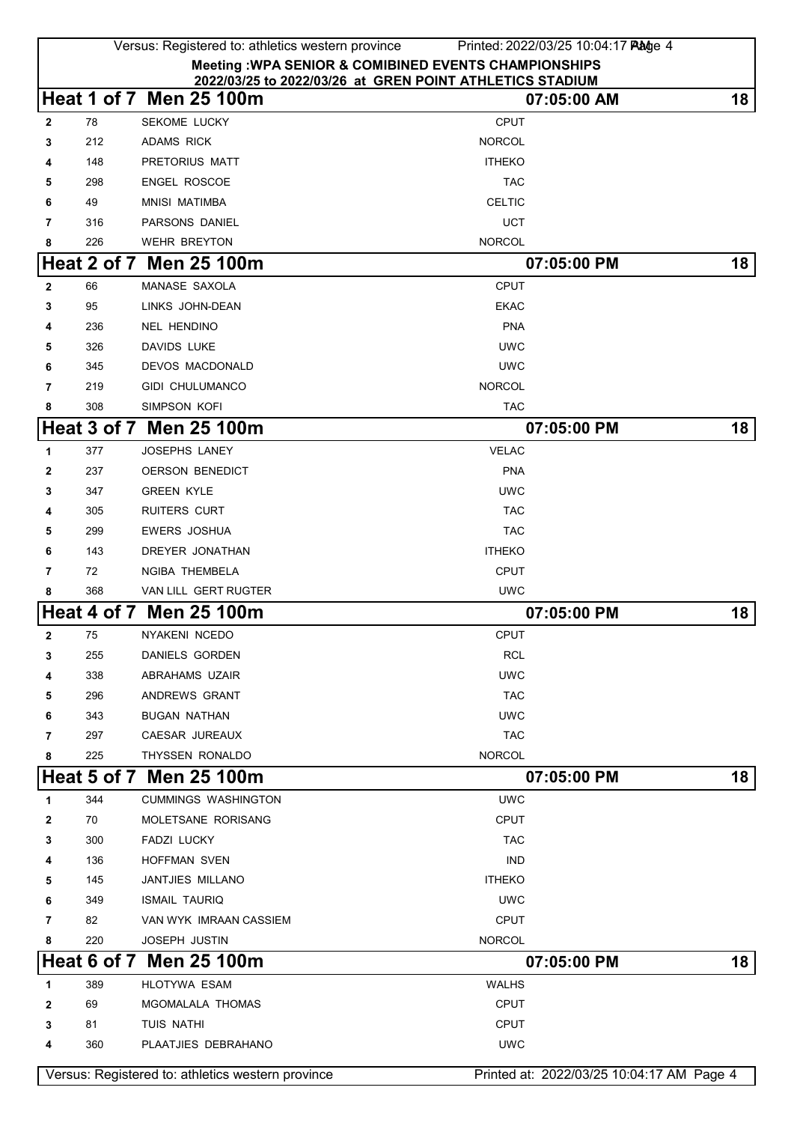| Meeting : WPA SENIOR & COMIBINED EVENTS CHAMPIONSHIPS<br>2022/03/25 to 2022/03/26 at GREN POINT ATHLETICS STADIUM<br>Heat 1 of 7 Men 25 100m<br>18<br>07:05:00 AM<br>SEKOME LUCKY<br><b>CPUT</b><br>78<br>$\mathbf{2}$<br>212<br><b>ADAMS RICK</b><br><b>NORCOL</b><br>3<br>PRETORIUS MATT<br><b>ITHEKO</b><br>148<br>4<br>298<br><b>ENGEL ROSCOE</b><br><b>TAC</b><br>5<br>49<br><b>MNISI MATIMBA</b><br>CELTIC<br>6<br>PARSONS DANIEL<br><b>UCT</b><br>316<br>7<br>226<br><b>WEHR BREYTON</b><br><b>NORCOL</b><br>8<br>Heat 2 of 7 Men 25 100m<br>07:05:00 PM<br>18<br>MANASE SAXOLA<br><b>CPUT</b><br>$\mathbf{2}$<br>66<br><b>EKAC</b><br>95<br>LINKS JOHN-DEAN<br>3<br><b>NEL HENDINO</b><br><b>PNA</b><br>236<br>4<br>326<br><b>DAVIDS LUKE</b><br><b>UWC</b><br>5<br><b>UWC</b><br>345<br><b>DEVOS MACDONALD</b><br>6<br>GIDI CHULUMANCO<br><b>NORCOL</b><br>219<br>7<br>SIMPSON KOFI<br><b>TAC</b><br>308<br>8<br>Heat 3 of 7<br><b>Men 25 100m</b><br>07:05:00 PM<br>18<br><b>VELAC</b><br>377<br><b>JOSEPHS LANEY</b><br>1<br><b>OERSON BENEDICT</b><br><b>PNA</b><br>$\mathbf{2}$<br>237<br><b>GREEN KYLE</b><br>3<br>347<br><b>UWC</b><br><b>RUITERS CURT</b><br><b>TAC</b><br>305<br>4<br><b>EWERS JOSHUA</b><br><b>TAC</b><br>299<br>5<br><b>ITHEKO</b><br>143<br>DREYER JONATHAN<br>6<br>72<br>NGIBA THEMBELA<br><b>CPUT</b><br>7<br>VAN LILL GERT RUGTER<br>368<br><b>UWC</b><br>8<br>Heat 4 of 7 Men 25 100m<br>07:05:00 PM<br>18<br>CPUT<br>2<br>NYAKENI NCEDO<br>75<br>255<br>DANIELS GORDEN<br><b>RCL</b><br>3<br>338<br><b>UWC</b><br>ABRAHAMS UZAIR<br>4<br><b>TAC</b><br>296<br>ANDREWS GRANT<br>5<br><b>UWC</b><br>343<br><b>BUGAN NATHAN</b><br>6<br>CAESAR JUREAUX<br><b>TAC</b><br>297<br>7<br>225<br>THYSSEN RONALDO<br><b>NORCOL</b><br>8<br>Heat 5 of 7 Men 25 100m<br>18<br>07:05:00 PM<br>344<br><b>CUMMINGS WASHINGTON</b><br><b>UWC</b><br>1<br>70<br><b>CPUT</b><br>$\mathbf{2}$<br>MOLETSANE RORISANG<br>300<br><b>TAC</b><br><b>FADZI LUCKY</b><br>3<br><b>IND</b><br>136<br><b>HOFFMAN SVEN</b><br>4<br><b>ITHEKO</b><br>145<br>JANTJIES MILLANO<br>5<br><b>UWC</b><br>349<br><b>ISMAIL TAURIQ</b><br>6<br><b>CPUT</b><br>82<br>VAN WYK IMRAAN CASSIEM<br>7<br>220<br><b>JOSEPH JUSTIN</b><br><b>NORCOL</b><br>8<br>Heat 6 of 7 Men 25 100m<br>07:05:00 PM<br>18<br>389<br><b>HLOTYWA ESAM</b><br><b>WALHS</b><br>1<br>CPUT<br>69<br>MGOMALALA THOMAS<br>$\mathbf{2}$<br>TUIS NATHI<br><b>CPUT</b><br>81<br>3<br><b>UWC</b><br>360<br>PLAATJIES DEBRAHANO<br>4 |  | Versus: Registered to: athletics western province | Printed: 2022/03/25 10:04:17 Plage 4 |  |
|------------------------------------------------------------------------------------------------------------------------------------------------------------------------------------------------------------------------------------------------------------------------------------------------------------------------------------------------------------------------------------------------------------------------------------------------------------------------------------------------------------------------------------------------------------------------------------------------------------------------------------------------------------------------------------------------------------------------------------------------------------------------------------------------------------------------------------------------------------------------------------------------------------------------------------------------------------------------------------------------------------------------------------------------------------------------------------------------------------------------------------------------------------------------------------------------------------------------------------------------------------------------------------------------------------------------------------------------------------------------------------------------------------------------------------------------------------------------------------------------------------------------------------------------------------------------------------------------------------------------------------------------------------------------------------------------------------------------------------------------------------------------------------------------------------------------------------------------------------------------------------------------------------------------------------------------------------------------------------------------------------------------------------------------------------------------------------------------------------------------------------------------------------------------------------------------------------------------------------------------------------------------------------------------------------------------------------------------------------------------------------------------------------------------------------------------------------------------------------------------------|--|---------------------------------------------------|--------------------------------------|--|
|                                                                                                                                                                                                                                                                                                                                                                                                                                                                                                                                                                                                                                                                                                                                                                                                                                                                                                                                                                                                                                                                                                                                                                                                                                                                                                                                                                                                                                                                                                                                                                                                                                                                                                                                                                                                                                                                                                                                                                                                                                                                                                                                                                                                                                                                                                                                                                                                                                                                                                      |  |                                                   |                                      |  |
|                                                                                                                                                                                                                                                                                                                                                                                                                                                                                                                                                                                                                                                                                                                                                                                                                                                                                                                                                                                                                                                                                                                                                                                                                                                                                                                                                                                                                                                                                                                                                                                                                                                                                                                                                                                                                                                                                                                                                                                                                                                                                                                                                                                                                                                                                                                                                                                                                                                                                                      |  |                                                   |                                      |  |
|                                                                                                                                                                                                                                                                                                                                                                                                                                                                                                                                                                                                                                                                                                                                                                                                                                                                                                                                                                                                                                                                                                                                                                                                                                                                                                                                                                                                                                                                                                                                                                                                                                                                                                                                                                                                                                                                                                                                                                                                                                                                                                                                                                                                                                                                                                                                                                                                                                                                                                      |  |                                                   |                                      |  |
|                                                                                                                                                                                                                                                                                                                                                                                                                                                                                                                                                                                                                                                                                                                                                                                                                                                                                                                                                                                                                                                                                                                                                                                                                                                                                                                                                                                                                                                                                                                                                                                                                                                                                                                                                                                                                                                                                                                                                                                                                                                                                                                                                                                                                                                                                                                                                                                                                                                                                                      |  |                                                   |                                      |  |
|                                                                                                                                                                                                                                                                                                                                                                                                                                                                                                                                                                                                                                                                                                                                                                                                                                                                                                                                                                                                                                                                                                                                                                                                                                                                                                                                                                                                                                                                                                                                                                                                                                                                                                                                                                                                                                                                                                                                                                                                                                                                                                                                                                                                                                                                                                                                                                                                                                                                                                      |  |                                                   |                                      |  |
|                                                                                                                                                                                                                                                                                                                                                                                                                                                                                                                                                                                                                                                                                                                                                                                                                                                                                                                                                                                                                                                                                                                                                                                                                                                                                                                                                                                                                                                                                                                                                                                                                                                                                                                                                                                                                                                                                                                                                                                                                                                                                                                                                                                                                                                                                                                                                                                                                                                                                                      |  |                                                   |                                      |  |
|                                                                                                                                                                                                                                                                                                                                                                                                                                                                                                                                                                                                                                                                                                                                                                                                                                                                                                                                                                                                                                                                                                                                                                                                                                                                                                                                                                                                                                                                                                                                                                                                                                                                                                                                                                                                                                                                                                                                                                                                                                                                                                                                                                                                                                                                                                                                                                                                                                                                                                      |  |                                                   |                                      |  |
|                                                                                                                                                                                                                                                                                                                                                                                                                                                                                                                                                                                                                                                                                                                                                                                                                                                                                                                                                                                                                                                                                                                                                                                                                                                                                                                                                                                                                                                                                                                                                                                                                                                                                                                                                                                                                                                                                                                                                                                                                                                                                                                                                                                                                                                                                                                                                                                                                                                                                                      |  |                                                   |                                      |  |
|                                                                                                                                                                                                                                                                                                                                                                                                                                                                                                                                                                                                                                                                                                                                                                                                                                                                                                                                                                                                                                                                                                                                                                                                                                                                                                                                                                                                                                                                                                                                                                                                                                                                                                                                                                                                                                                                                                                                                                                                                                                                                                                                                                                                                                                                                                                                                                                                                                                                                                      |  |                                                   |                                      |  |
|                                                                                                                                                                                                                                                                                                                                                                                                                                                                                                                                                                                                                                                                                                                                                                                                                                                                                                                                                                                                                                                                                                                                                                                                                                                                                                                                                                                                                                                                                                                                                                                                                                                                                                                                                                                                                                                                                                                                                                                                                                                                                                                                                                                                                                                                                                                                                                                                                                                                                                      |  |                                                   |                                      |  |
|                                                                                                                                                                                                                                                                                                                                                                                                                                                                                                                                                                                                                                                                                                                                                                                                                                                                                                                                                                                                                                                                                                                                                                                                                                                                                                                                                                                                                                                                                                                                                                                                                                                                                                                                                                                                                                                                                                                                                                                                                                                                                                                                                                                                                                                                                                                                                                                                                                                                                                      |  |                                                   |                                      |  |
|                                                                                                                                                                                                                                                                                                                                                                                                                                                                                                                                                                                                                                                                                                                                                                                                                                                                                                                                                                                                                                                                                                                                                                                                                                                                                                                                                                                                                                                                                                                                                                                                                                                                                                                                                                                                                                                                                                                                                                                                                                                                                                                                                                                                                                                                                                                                                                                                                                                                                                      |  |                                                   |                                      |  |
|                                                                                                                                                                                                                                                                                                                                                                                                                                                                                                                                                                                                                                                                                                                                                                                                                                                                                                                                                                                                                                                                                                                                                                                                                                                                                                                                                                                                                                                                                                                                                                                                                                                                                                                                                                                                                                                                                                                                                                                                                                                                                                                                                                                                                                                                                                                                                                                                                                                                                                      |  |                                                   |                                      |  |
|                                                                                                                                                                                                                                                                                                                                                                                                                                                                                                                                                                                                                                                                                                                                                                                                                                                                                                                                                                                                                                                                                                                                                                                                                                                                                                                                                                                                                                                                                                                                                                                                                                                                                                                                                                                                                                                                                                                                                                                                                                                                                                                                                                                                                                                                                                                                                                                                                                                                                                      |  |                                                   |                                      |  |
|                                                                                                                                                                                                                                                                                                                                                                                                                                                                                                                                                                                                                                                                                                                                                                                                                                                                                                                                                                                                                                                                                                                                                                                                                                                                                                                                                                                                                                                                                                                                                                                                                                                                                                                                                                                                                                                                                                                                                                                                                                                                                                                                                                                                                                                                                                                                                                                                                                                                                                      |  |                                                   |                                      |  |
|                                                                                                                                                                                                                                                                                                                                                                                                                                                                                                                                                                                                                                                                                                                                                                                                                                                                                                                                                                                                                                                                                                                                                                                                                                                                                                                                                                                                                                                                                                                                                                                                                                                                                                                                                                                                                                                                                                                                                                                                                                                                                                                                                                                                                                                                                                                                                                                                                                                                                                      |  |                                                   |                                      |  |
|                                                                                                                                                                                                                                                                                                                                                                                                                                                                                                                                                                                                                                                                                                                                                                                                                                                                                                                                                                                                                                                                                                                                                                                                                                                                                                                                                                                                                                                                                                                                                                                                                                                                                                                                                                                                                                                                                                                                                                                                                                                                                                                                                                                                                                                                                                                                                                                                                                                                                                      |  |                                                   |                                      |  |
|                                                                                                                                                                                                                                                                                                                                                                                                                                                                                                                                                                                                                                                                                                                                                                                                                                                                                                                                                                                                                                                                                                                                                                                                                                                                                                                                                                                                                                                                                                                                                                                                                                                                                                                                                                                                                                                                                                                                                                                                                                                                                                                                                                                                                                                                                                                                                                                                                                                                                                      |  |                                                   |                                      |  |
|                                                                                                                                                                                                                                                                                                                                                                                                                                                                                                                                                                                                                                                                                                                                                                                                                                                                                                                                                                                                                                                                                                                                                                                                                                                                                                                                                                                                                                                                                                                                                                                                                                                                                                                                                                                                                                                                                                                                                                                                                                                                                                                                                                                                                                                                                                                                                                                                                                                                                                      |  |                                                   |                                      |  |
|                                                                                                                                                                                                                                                                                                                                                                                                                                                                                                                                                                                                                                                                                                                                                                                                                                                                                                                                                                                                                                                                                                                                                                                                                                                                                                                                                                                                                                                                                                                                                                                                                                                                                                                                                                                                                                                                                                                                                                                                                                                                                                                                                                                                                                                                                                                                                                                                                                                                                                      |  |                                                   |                                      |  |
|                                                                                                                                                                                                                                                                                                                                                                                                                                                                                                                                                                                                                                                                                                                                                                                                                                                                                                                                                                                                                                                                                                                                                                                                                                                                                                                                                                                                                                                                                                                                                                                                                                                                                                                                                                                                                                                                                                                                                                                                                                                                                                                                                                                                                                                                                                                                                                                                                                                                                                      |  |                                                   |                                      |  |
|                                                                                                                                                                                                                                                                                                                                                                                                                                                                                                                                                                                                                                                                                                                                                                                                                                                                                                                                                                                                                                                                                                                                                                                                                                                                                                                                                                                                                                                                                                                                                                                                                                                                                                                                                                                                                                                                                                                                                                                                                                                                                                                                                                                                                                                                                                                                                                                                                                                                                                      |  |                                                   |                                      |  |
|                                                                                                                                                                                                                                                                                                                                                                                                                                                                                                                                                                                                                                                                                                                                                                                                                                                                                                                                                                                                                                                                                                                                                                                                                                                                                                                                                                                                                                                                                                                                                                                                                                                                                                                                                                                                                                                                                                                                                                                                                                                                                                                                                                                                                                                                                                                                                                                                                                                                                                      |  |                                                   |                                      |  |
|                                                                                                                                                                                                                                                                                                                                                                                                                                                                                                                                                                                                                                                                                                                                                                                                                                                                                                                                                                                                                                                                                                                                                                                                                                                                                                                                                                                                                                                                                                                                                                                                                                                                                                                                                                                                                                                                                                                                                                                                                                                                                                                                                                                                                                                                                                                                                                                                                                                                                                      |  |                                                   |                                      |  |
|                                                                                                                                                                                                                                                                                                                                                                                                                                                                                                                                                                                                                                                                                                                                                                                                                                                                                                                                                                                                                                                                                                                                                                                                                                                                                                                                                                                                                                                                                                                                                                                                                                                                                                                                                                                                                                                                                                                                                                                                                                                                                                                                                                                                                                                                                                                                                                                                                                                                                                      |  |                                                   |                                      |  |
|                                                                                                                                                                                                                                                                                                                                                                                                                                                                                                                                                                                                                                                                                                                                                                                                                                                                                                                                                                                                                                                                                                                                                                                                                                                                                                                                                                                                                                                                                                                                                                                                                                                                                                                                                                                                                                                                                                                                                                                                                                                                                                                                                                                                                                                                                                                                                                                                                                                                                                      |  |                                                   |                                      |  |
|                                                                                                                                                                                                                                                                                                                                                                                                                                                                                                                                                                                                                                                                                                                                                                                                                                                                                                                                                                                                                                                                                                                                                                                                                                                                                                                                                                                                                                                                                                                                                                                                                                                                                                                                                                                                                                                                                                                                                                                                                                                                                                                                                                                                                                                                                                                                                                                                                                                                                                      |  |                                                   |                                      |  |
|                                                                                                                                                                                                                                                                                                                                                                                                                                                                                                                                                                                                                                                                                                                                                                                                                                                                                                                                                                                                                                                                                                                                                                                                                                                                                                                                                                                                                                                                                                                                                                                                                                                                                                                                                                                                                                                                                                                                                                                                                                                                                                                                                                                                                                                                                                                                                                                                                                                                                                      |  |                                                   |                                      |  |
|                                                                                                                                                                                                                                                                                                                                                                                                                                                                                                                                                                                                                                                                                                                                                                                                                                                                                                                                                                                                                                                                                                                                                                                                                                                                                                                                                                                                                                                                                                                                                                                                                                                                                                                                                                                                                                                                                                                                                                                                                                                                                                                                                                                                                                                                                                                                                                                                                                                                                                      |  |                                                   |                                      |  |
|                                                                                                                                                                                                                                                                                                                                                                                                                                                                                                                                                                                                                                                                                                                                                                                                                                                                                                                                                                                                                                                                                                                                                                                                                                                                                                                                                                                                                                                                                                                                                                                                                                                                                                                                                                                                                                                                                                                                                                                                                                                                                                                                                                                                                                                                                                                                                                                                                                                                                                      |  |                                                   |                                      |  |
|                                                                                                                                                                                                                                                                                                                                                                                                                                                                                                                                                                                                                                                                                                                                                                                                                                                                                                                                                                                                                                                                                                                                                                                                                                                                                                                                                                                                                                                                                                                                                                                                                                                                                                                                                                                                                                                                                                                                                                                                                                                                                                                                                                                                                                                                                                                                                                                                                                                                                                      |  |                                                   |                                      |  |
|                                                                                                                                                                                                                                                                                                                                                                                                                                                                                                                                                                                                                                                                                                                                                                                                                                                                                                                                                                                                                                                                                                                                                                                                                                                                                                                                                                                                                                                                                                                                                                                                                                                                                                                                                                                                                                                                                                                                                                                                                                                                                                                                                                                                                                                                                                                                                                                                                                                                                                      |  |                                                   |                                      |  |
|                                                                                                                                                                                                                                                                                                                                                                                                                                                                                                                                                                                                                                                                                                                                                                                                                                                                                                                                                                                                                                                                                                                                                                                                                                                                                                                                                                                                                                                                                                                                                                                                                                                                                                                                                                                                                                                                                                                                                                                                                                                                                                                                                                                                                                                                                                                                                                                                                                                                                                      |  |                                                   |                                      |  |
|                                                                                                                                                                                                                                                                                                                                                                                                                                                                                                                                                                                                                                                                                                                                                                                                                                                                                                                                                                                                                                                                                                                                                                                                                                                                                                                                                                                                                                                                                                                                                                                                                                                                                                                                                                                                                                                                                                                                                                                                                                                                                                                                                                                                                                                                                                                                                                                                                                                                                                      |  |                                                   |                                      |  |
|                                                                                                                                                                                                                                                                                                                                                                                                                                                                                                                                                                                                                                                                                                                                                                                                                                                                                                                                                                                                                                                                                                                                                                                                                                                                                                                                                                                                                                                                                                                                                                                                                                                                                                                                                                                                                                                                                                                                                                                                                                                                                                                                                                                                                                                                                                                                                                                                                                                                                                      |  |                                                   |                                      |  |
|                                                                                                                                                                                                                                                                                                                                                                                                                                                                                                                                                                                                                                                                                                                                                                                                                                                                                                                                                                                                                                                                                                                                                                                                                                                                                                                                                                                                                                                                                                                                                                                                                                                                                                                                                                                                                                                                                                                                                                                                                                                                                                                                                                                                                                                                                                                                                                                                                                                                                                      |  |                                                   |                                      |  |
|                                                                                                                                                                                                                                                                                                                                                                                                                                                                                                                                                                                                                                                                                                                                                                                                                                                                                                                                                                                                                                                                                                                                                                                                                                                                                                                                                                                                                                                                                                                                                                                                                                                                                                                                                                                                                                                                                                                                                                                                                                                                                                                                                                                                                                                                                                                                                                                                                                                                                                      |  |                                                   |                                      |  |
|                                                                                                                                                                                                                                                                                                                                                                                                                                                                                                                                                                                                                                                                                                                                                                                                                                                                                                                                                                                                                                                                                                                                                                                                                                                                                                                                                                                                                                                                                                                                                                                                                                                                                                                                                                                                                                                                                                                                                                                                                                                                                                                                                                                                                                                                                                                                                                                                                                                                                                      |  |                                                   |                                      |  |
|                                                                                                                                                                                                                                                                                                                                                                                                                                                                                                                                                                                                                                                                                                                                                                                                                                                                                                                                                                                                                                                                                                                                                                                                                                                                                                                                                                                                                                                                                                                                                                                                                                                                                                                                                                                                                                                                                                                                                                                                                                                                                                                                                                                                                                                                                                                                                                                                                                                                                                      |  |                                                   |                                      |  |
|                                                                                                                                                                                                                                                                                                                                                                                                                                                                                                                                                                                                                                                                                                                                                                                                                                                                                                                                                                                                                                                                                                                                                                                                                                                                                                                                                                                                                                                                                                                                                                                                                                                                                                                                                                                                                                                                                                                                                                                                                                                                                                                                                                                                                                                                                                                                                                                                                                                                                                      |  |                                                   |                                      |  |
|                                                                                                                                                                                                                                                                                                                                                                                                                                                                                                                                                                                                                                                                                                                                                                                                                                                                                                                                                                                                                                                                                                                                                                                                                                                                                                                                                                                                                                                                                                                                                                                                                                                                                                                                                                                                                                                                                                                                                                                                                                                                                                                                                                                                                                                                                                                                                                                                                                                                                                      |  |                                                   |                                      |  |
|                                                                                                                                                                                                                                                                                                                                                                                                                                                                                                                                                                                                                                                                                                                                                                                                                                                                                                                                                                                                                                                                                                                                                                                                                                                                                                                                                                                                                                                                                                                                                                                                                                                                                                                                                                                                                                                                                                                                                                                                                                                                                                                                                                                                                                                                                                                                                                                                                                                                                                      |  |                                                   |                                      |  |
|                                                                                                                                                                                                                                                                                                                                                                                                                                                                                                                                                                                                                                                                                                                                                                                                                                                                                                                                                                                                                                                                                                                                                                                                                                                                                                                                                                                                                                                                                                                                                                                                                                                                                                                                                                                                                                                                                                                                                                                                                                                                                                                                                                                                                                                                                                                                                                                                                                                                                                      |  |                                                   |                                      |  |
|                                                                                                                                                                                                                                                                                                                                                                                                                                                                                                                                                                                                                                                                                                                                                                                                                                                                                                                                                                                                                                                                                                                                                                                                                                                                                                                                                                                                                                                                                                                                                                                                                                                                                                                                                                                                                                                                                                                                                                                                                                                                                                                                                                                                                                                                                                                                                                                                                                                                                                      |  |                                                   |                                      |  |
|                                                                                                                                                                                                                                                                                                                                                                                                                                                                                                                                                                                                                                                                                                                                                                                                                                                                                                                                                                                                                                                                                                                                                                                                                                                                                                                                                                                                                                                                                                                                                                                                                                                                                                                                                                                                                                                                                                                                                                                                                                                                                                                                                                                                                                                                                                                                                                                                                                                                                                      |  |                                                   |                                      |  |
|                                                                                                                                                                                                                                                                                                                                                                                                                                                                                                                                                                                                                                                                                                                                                                                                                                                                                                                                                                                                                                                                                                                                                                                                                                                                                                                                                                                                                                                                                                                                                                                                                                                                                                                                                                                                                                                                                                                                                                                                                                                                                                                                                                                                                                                                                                                                                                                                                                                                                                      |  |                                                   |                                      |  |
|                                                                                                                                                                                                                                                                                                                                                                                                                                                                                                                                                                                                                                                                                                                                                                                                                                                                                                                                                                                                                                                                                                                                                                                                                                                                                                                                                                                                                                                                                                                                                                                                                                                                                                                                                                                                                                                                                                                                                                                                                                                                                                                                                                                                                                                                                                                                                                                                                                                                                                      |  |                                                   |                                      |  |
| Printed at: 2022/03/25 10:04:17 AM Page 4<br>Versus: Registered to: athletics western province                                                                                                                                                                                                                                                                                                                                                                                                                                                                                                                                                                                                                                                                                                                                                                                                                                                                                                                                                                                                                                                                                                                                                                                                                                                                                                                                                                                                                                                                                                                                                                                                                                                                                                                                                                                                                                                                                                                                                                                                                                                                                                                                                                                                                                                                                                                                                                                                       |  |                                                   |                                      |  |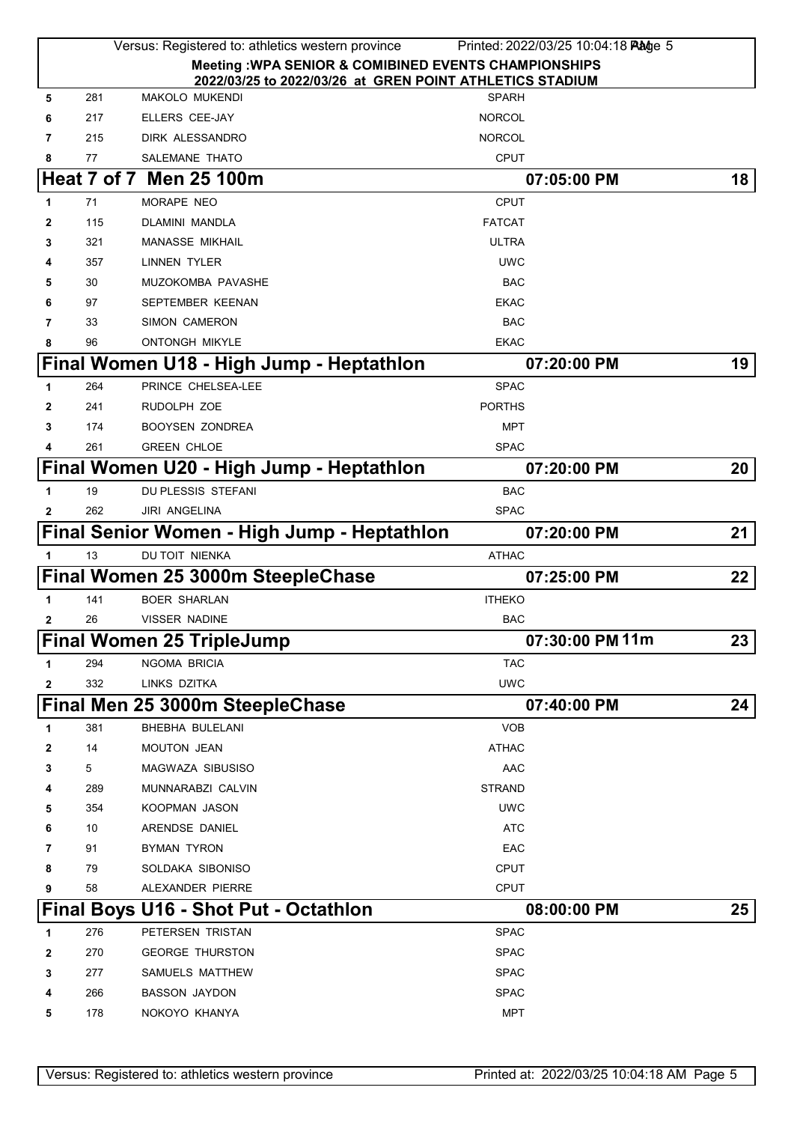|              |             | Versus: Registered to: athletics western province                                 | Printed: 2022/03/25 10:04:18 Padge 5 |                 |
|--------------|-------------|-----------------------------------------------------------------------------------|--------------------------------------|-----------------|
|              |             | <b>Meeting: WPA SENIOR &amp; COMIBINED EVENTS CHAMPIONSHIPS</b>                   |                                      |                 |
| 5            | 281         | 2022/03/25 to 2022/03/26 at GREN POINT ATHLETICS STADIUM<br><b>MAKOLO MUKENDI</b> | <b>SPARH</b>                         |                 |
| 6            | 217         | ELLERS CEE-JAY                                                                    | <b>NORCOL</b>                        |                 |
| 7            | 215         | DIRK ALESSANDRO                                                                   | <b>NORCOL</b>                        |                 |
| 8            | 77          | SALEMANE THATO                                                                    | <b>CPUT</b>                          |                 |
|              | Heat 7 of 7 | <b>Men 25 100m</b>                                                                | 07:05:00 PM                          | 18 <sup>1</sup> |
| 1            | 71          | MORAPE NEO                                                                        | <b>CPUT</b>                          |                 |
| 2            | 115         | DLAMINI MANDLA                                                                    | <b>FATCAT</b>                        |                 |
| 3            | 321         | MANASSE MIKHAIL                                                                   | <b>ULTRA</b>                         |                 |
| 4            | 357         | LINNEN TYLER                                                                      | <b>UWC</b>                           |                 |
| 5            | 30          | MUZOKOMBA PAVASHE                                                                 | <b>BAC</b>                           |                 |
| 6            | 97          | SEPTEMBER KEENAN                                                                  | EKAC                                 |                 |
| 7            | 33          | <b>SIMON CAMERON</b>                                                              | <b>BAC</b>                           |                 |
| 8            | 96          | <b>ONTONGH MIKYLE</b>                                                             | <b>EKAC</b>                          |                 |
|              |             | Final Women U18 - High Jump - Heptathlon                                          | 07:20:00 PM                          | 19 <sup>1</sup> |
|              | 264         | PRINCE CHELSEA-LEE                                                                | <b>SPAC</b>                          |                 |
| 2            | 241         | RUDOLPH ZOE                                                                       | <b>PORTHS</b>                        |                 |
| 3            | 174         | <b>BOOYSEN ZONDREA</b>                                                            | <b>MPT</b>                           |                 |
|              | 261         | <b>GREEN CHLOE</b>                                                                | <b>SPAC</b>                          |                 |
|              |             | Final Women U20 - High Jump - Heptathlon                                          | 07:20:00 PM                          | 20 <sub>1</sub> |
| 1            | 19          | DU PLESSIS STEFANI                                                                | <b>BAC</b>                           |                 |
| 2            | 262         | JIRI ANGELINA                                                                     | <b>SPAC</b>                          |                 |
|              |             | Final Senior Women - High Jump - Heptathlon                                       | 07:20:00 PM                          | 21              |
|              | 13          | DU TOIT NIENKA                                                                    | <b>ATHAC</b>                         |                 |
|              |             | Final Women 25 3000m SteepleChase                                                 | 07:25:00 PM                          | 22              |
| 1            | 141         | <b>BOER SHARLAN</b>                                                               | <b>ITHEKO</b>                        |                 |
| 2            | 26          | VISSER NADINE                                                                     | <b>BAC</b>                           |                 |
|              |             | Final Women 25 TripleJump                                                         | 07:30:00 PM 11m                      | 23              |
| 1            | 294         | <b>NGOMA BRICIA</b>                                                               | <b>TAC</b>                           |                 |
| $\mathbf{2}$ | 332         | LINKS DZITKA                                                                      | <b>UWC</b>                           |                 |
|              |             | Final Men 25 3000m SteepleChase                                                   | 07:40:00 PM                          | 24              |
| 1            | 381         | BHEBHA BULELANI                                                                   | <b>VOB</b>                           |                 |
| 2            | 14          | <b>MOUTON JEAN</b>                                                                | <b>ATHAC</b>                         |                 |
| 3            | 5           | MAGWAZA SIBUSISO                                                                  | AAC                                  |                 |
| 4            | 289         | MUNNARABZI CALVIN                                                                 | <b>STRAND</b>                        |                 |
| 5            | 354         | KOOPMAN JASON                                                                     | <b>UWC</b>                           |                 |
| 6            | 10          | ARENDSE DANIEL                                                                    | <b>ATC</b>                           |                 |
| 7            | 91          | <b>BYMAN TYRON</b>                                                                | EAC                                  |                 |
| 8            | 79          | SOLDAKA SIBONISO                                                                  | <b>CPUT</b>                          |                 |
| 9            | 58          | ALEXANDER PIERRE                                                                  | <b>CPUT</b>                          |                 |
|              |             | Final Boys U16 - Shot Put - Octathlon                                             | 08:00:00 PM                          | 25 <sub>1</sub> |
| 1            | 276         | PETERSEN TRISTAN                                                                  | <b>SPAC</b>                          |                 |
| 2            | 270         | <b>GEORGE THURSTON</b>                                                            | <b>SPAC</b>                          |                 |
| 3            | 277         | SAMUELS MATTHEW                                                                   | <b>SPAC</b>                          |                 |
| 4            | 266         | <b>BASSON JAYDON</b>                                                              | <b>SPAC</b>                          |                 |
| 5            | 178         | NOKOYO KHANYA                                                                     | <b>MPT</b>                           |                 |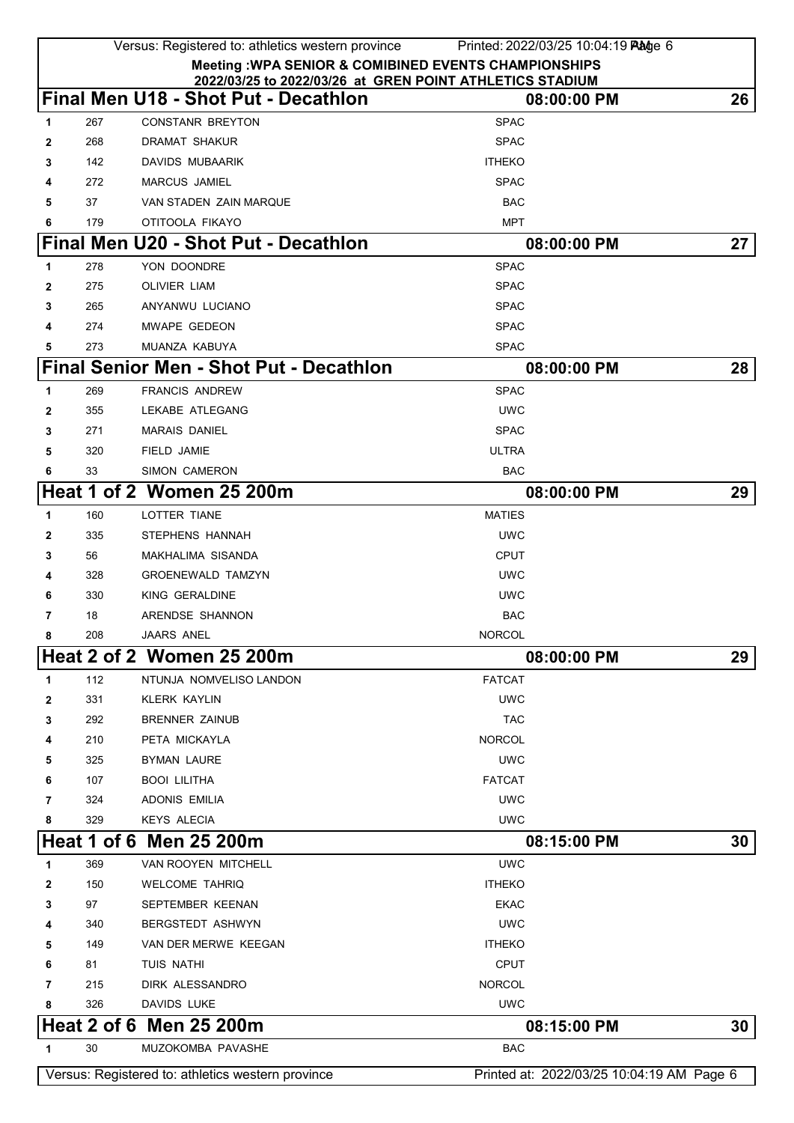| Meeting : WPA SENIOR & COMIBINED EVENTS CHAMPIONSHIPS<br>2022/03/25 to 2022/03/26 at GREN POINT ATHLETICS STADIUM<br>Final Men U18 - Shot Put - Decathlon<br>26<br>08:00:00 PM<br>267<br><b>CONSTANR BREYTON</b><br><b>SPAC</b><br>1<br>268<br><b>DRAMAT SHAKUR</b><br><b>SPAC</b><br>2<br><b>ITHEKO</b><br>142<br>DAVIDS MUBAARIK<br>3<br><b>SPAC</b><br>272<br><b>MARCUS JAMIEL</b><br>4<br>37<br>VAN STADEN ZAIN MARQUE<br><b>BAC</b><br>5<br><b>MPT</b><br>179<br>OTITOOLA FIKAYO<br>6<br>Final Men U20 - Shot Put - Decathlon<br>27<br>08:00:00 PM<br>278<br>YON DOONDRE<br><b>SPAC</b><br>1<br>275<br>OLIVIER LIAM<br><b>SPAC</b><br>2 |
|----------------------------------------------------------------------------------------------------------------------------------------------------------------------------------------------------------------------------------------------------------------------------------------------------------------------------------------------------------------------------------------------------------------------------------------------------------------------------------------------------------------------------------------------------------------------------------------------------------------------------------------------|
|                                                                                                                                                                                                                                                                                                                                                                                                                                                                                                                                                                                                                                              |
|                                                                                                                                                                                                                                                                                                                                                                                                                                                                                                                                                                                                                                              |
|                                                                                                                                                                                                                                                                                                                                                                                                                                                                                                                                                                                                                                              |
|                                                                                                                                                                                                                                                                                                                                                                                                                                                                                                                                                                                                                                              |
|                                                                                                                                                                                                                                                                                                                                                                                                                                                                                                                                                                                                                                              |
|                                                                                                                                                                                                                                                                                                                                                                                                                                                                                                                                                                                                                                              |
|                                                                                                                                                                                                                                                                                                                                                                                                                                                                                                                                                                                                                                              |
|                                                                                                                                                                                                                                                                                                                                                                                                                                                                                                                                                                                                                                              |
|                                                                                                                                                                                                                                                                                                                                                                                                                                                                                                                                                                                                                                              |
|                                                                                                                                                                                                                                                                                                                                                                                                                                                                                                                                                                                                                                              |
|                                                                                                                                                                                                                                                                                                                                                                                                                                                                                                                                                                                                                                              |
|                                                                                                                                                                                                                                                                                                                                                                                                                                                                                                                                                                                                                                              |
| <b>SPAC</b><br>3<br>265<br>ANYANWU LUCIANO                                                                                                                                                                                                                                                                                                                                                                                                                                                                                                                                                                                                   |
| 274<br><b>SPAC</b><br><b>MWAPE GEDEON</b><br>4                                                                                                                                                                                                                                                                                                                                                                                                                                                                                                                                                                                               |
| <b>SPAC</b><br>273<br>MUANZA KABUYA<br>5                                                                                                                                                                                                                                                                                                                                                                                                                                                                                                                                                                                                     |
| <b>Final Senior Men - Shot Put - Decathlon</b><br>08:00:00 PM<br>28                                                                                                                                                                                                                                                                                                                                                                                                                                                                                                                                                                          |
| 269<br><b>FRANCIS ANDREW</b><br><b>SPAC</b><br>1                                                                                                                                                                                                                                                                                                                                                                                                                                                                                                                                                                                             |
| <b>UWC</b><br>355<br>LEKABE ATLEGANG<br>2                                                                                                                                                                                                                                                                                                                                                                                                                                                                                                                                                                                                    |
| <b>SPAC</b><br>271<br><b>MARAIS DANIEL</b><br>3                                                                                                                                                                                                                                                                                                                                                                                                                                                                                                                                                                                              |
| 320<br>FIELD JAMIE<br><b>ULTRA</b><br>5                                                                                                                                                                                                                                                                                                                                                                                                                                                                                                                                                                                                      |
| 33<br><b>SIMON CAMERON</b><br><b>BAC</b><br>6                                                                                                                                                                                                                                                                                                                                                                                                                                                                                                                                                                                                |
| <b>Heat 1 of 2 Women 25 200m</b><br>29<br>08:00:00 PM                                                                                                                                                                                                                                                                                                                                                                                                                                                                                                                                                                                        |
| 160<br>LOTTER TIANE<br><b>MATIES</b><br>1                                                                                                                                                                                                                                                                                                                                                                                                                                                                                                                                                                                                    |
| 335<br>STEPHENS HANNAH<br><b>UWC</b><br>2                                                                                                                                                                                                                                                                                                                                                                                                                                                                                                                                                                                                    |
| <b>CPUT</b><br>3<br>56<br>MAKHALIMA SISANDA                                                                                                                                                                                                                                                                                                                                                                                                                                                                                                                                                                                                  |
| <b>UWC</b><br>328<br><b>GROENEWALD TAMZYN</b><br>4                                                                                                                                                                                                                                                                                                                                                                                                                                                                                                                                                                                           |
| <b>UWC</b><br>330<br>KING GERALDINE<br>6                                                                                                                                                                                                                                                                                                                                                                                                                                                                                                                                                                                                     |
| ARENDSE SHANNON<br>7<br>18<br><b>BAC</b>                                                                                                                                                                                                                                                                                                                                                                                                                                                                                                                                                                                                     |
| 208<br>JAARS ANEL<br><b>NORCOL</b><br>8                                                                                                                                                                                                                                                                                                                                                                                                                                                                                                                                                                                                      |
| <b>Heat 2 of 2 Women 25 200m</b><br>08:00:00 PM<br>29                                                                                                                                                                                                                                                                                                                                                                                                                                                                                                                                                                                        |
| 112<br>NTUNJA NOMVELISO LANDON<br><b>FATCAT</b><br>1                                                                                                                                                                                                                                                                                                                                                                                                                                                                                                                                                                                         |
| 331<br><b>UWC</b><br><b>KLERK KAYLIN</b><br>$\mathbf{2}$                                                                                                                                                                                                                                                                                                                                                                                                                                                                                                                                                                                     |
| <b>BRENNER ZAINUB</b><br>292<br><b>TAC</b><br>3                                                                                                                                                                                                                                                                                                                                                                                                                                                                                                                                                                                              |
| 210<br>PETA MICKAYLA<br><b>NORCOL</b><br>4                                                                                                                                                                                                                                                                                                                                                                                                                                                                                                                                                                                                   |
| <b>UWC</b><br>325<br><b>BYMAN LAURE</b><br>5                                                                                                                                                                                                                                                                                                                                                                                                                                                                                                                                                                                                 |
| 107<br><b>BOOI LILITHA</b><br><b>FATCAT</b><br>6                                                                                                                                                                                                                                                                                                                                                                                                                                                                                                                                                                                             |
| <b>UWC</b><br>7<br>324<br><b>ADONIS EMILIA</b>                                                                                                                                                                                                                                                                                                                                                                                                                                                                                                                                                                                               |
| <b>KEYS ALECIA</b><br>8<br>329<br><b>UWC</b>                                                                                                                                                                                                                                                                                                                                                                                                                                                                                                                                                                                                 |
| <b>Heat 1 of 6 Men 25 200m</b><br>30<br>08:15:00 PM                                                                                                                                                                                                                                                                                                                                                                                                                                                                                                                                                                                          |
| 369<br>VAN ROOYEN MITCHELL<br><b>UWC</b><br>1                                                                                                                                                                                                                                                                                                                                                                                                                                                                                                                                                                                                |
| 150<br><b>WELCOME TAHRIQ</b><br><b>ITHEKO</b><br>2                                                                                                                                                                                                                                                                                                                                                                                                                                                                                                                                                                                           |
| 97<br>SEPTEMBER KEENAN<br><b>EKAC</b><br>3                                                                                                                                                                                                                                                                                                                                                                                                                                                                                                                                                                                                   |
| <b>BERGSTEDT ASHWYN</b><br><b>UWC</b><br>340<br>4                                                                                                                                                                                                                                                                                                                                                                                                                                                                                                                                                                                            |
| 149<br>VAN DER MERWE KEEGAN<br><b>ITHEKO</b><br>5                                                                                                                                                                                                                                                                                                                                                                                                                                                                                                                                                                                            |
| 81<br><b>TUIS NATHI</b><br><b>CPUT</b><br>6                                                                                                                                                                                                                                                                                                                                                                                                                                                                                                                                                                                                  |
| 215<br>DIRK ALESSANDRO<br>NORCOL<br>7                                                                                                                                                                                                                                                                                                                                                                                                                                                                                                                                                                                                        |
| 326<br>DAVIDS LUKE<br><b>UWC</b><br>8                                                                                                                                                                                                                                                                                                                                                                                                                                                                                                                                                                                                        |
| Heat 2 of 6 Men 25 200m<br>08:15:00 PM<br>30                                                                                                                                                                                                                                                                                                                                                                                                                                                                                                                                                                                                 |
| 30<br>MUZOKOMBA PAVASHE<br><b>BAC</b><br>1                                                                                                                                                                                                                                                                                                                                                                                                                                                                                                                                                                                                   |
| Printed at: 2022/03/25 10:04:19 AM Page 6<br>Versus: Registered to: athletics western province                                                                                                                                                                                                                                                                                                                                                                                                                                                                                                                                               |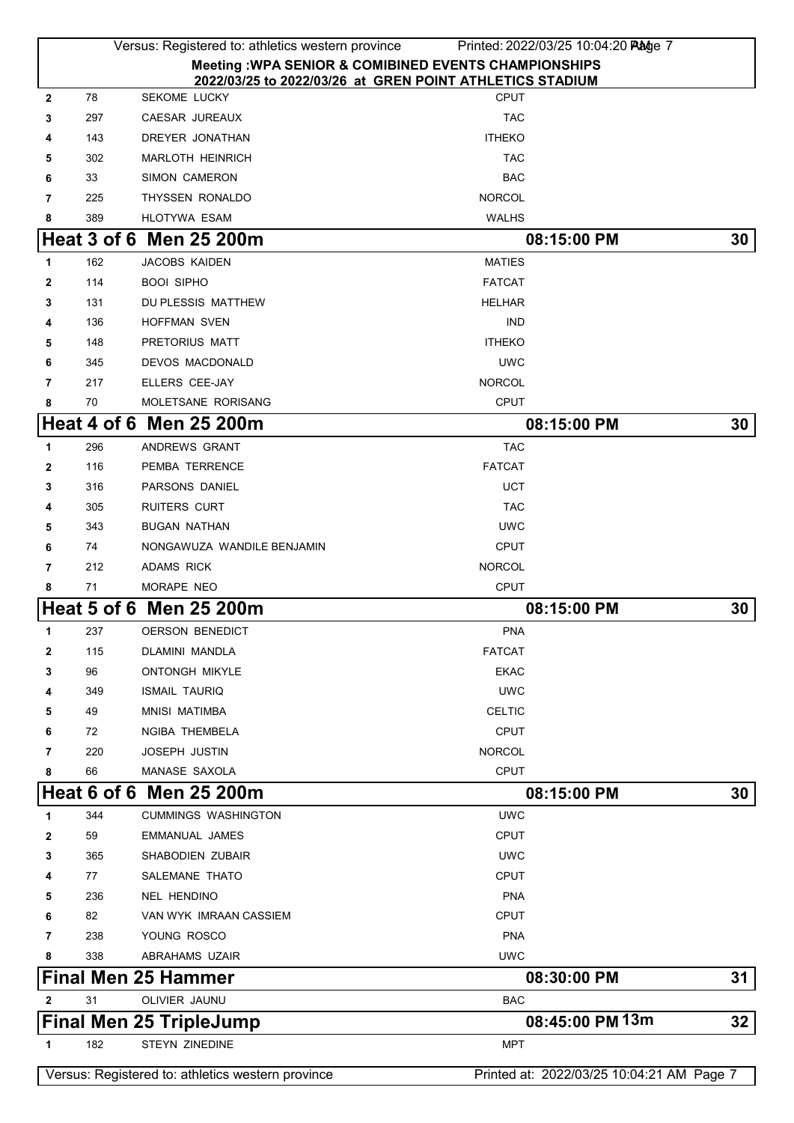| Meeting : WPA SENIOR & COMIBINED EVENTS CHAMPIONSHIPS<br>2022/03/25 to 2022/03/26 at GREN POINT ATHLETICS STADIUM<br>SEKOME LUCKY<br><b>CPUT</b><br>78<br>$\mathbf{2}$<br>297<br><b>TAC</b><br>3<br>CAESAR JUREAUX<br>143<br><b>ITHEKO</b><br>DREYER JONATHAN<br>4<br>302<br><b>TAC</b><br><b>MARLOTH HEINRICH</b><br>5<br><b>SIMON CAMERON</b><br><b>BAC</b><br>6<br>33<br>225<br><b>NORCOL</b><br>7<br>THYSSEN RONALDO<br><b>HLOTYWA ESAM</b><br><b>WALHS</b><br>389<br>8<br>Heat 3 of 6 Men 25 200m<br>08:15:00 PM<br>162<br><b>JACOBS KAIDEN</b><br><b>MATIES</b><br>1<br>114<br><b>BOOI SIPHO</b><br><b>FATCAT</b><br>2<br>131<br>DU PLESSIS MATTHEW<br><b>HELHAR</b><br>3<br><b>IND</b><br>136<br><b>HOFFMAN SVEN</b><br>4<br>148<br><b>ITHEKO</b><br>5<br>PRETORIUS MATT<br>345<br><b>DEVOS MACDONALD</b><br><b>UWC</b><br>6<br>217<br>ELLERS CEE-JAY<br><b>NORCOL</b><br>7<br>MOLETSANE RORISANG<br><b>CPUT</b><br>8<br>70<br>Heat 4 of 6 Men 25 200m<br>08:15:00 PM<br>30<br>296<br>ANDREWS GRANT<br><b>TAC</b><br>1<br>116<br>PEMBA TERRENCE<br><b>FATCAT</b><br>$\mathbf{2}$<br>316<br>PARSONS DANIEL<br><b>UCT</b><br>3<br><b>RUITERS CURT</b><br><b>TAC</b><br>305<br>4<br>343<br><b>UWC</b><br><b>BUGAN NATHAN</b><br>5<br><b>CPUT</b><br>74<br>NONGAWUZA WANDILE BENJAMIN<br>6<br>212<br><b>ADAMS RICK</b><br><b>NORCOL</b><br>7<br>MORAPE NEO<br><b>CPUT</b><br>71<br>8<br>Heat 5 of 6 Men 25 200m<br>08:15:00 PM<br>30<br><b>PNA</b><br>237<br><b>OERSON BENEDICT</b><br>1.<br>115<br><b>FATCAT</b><br>$\mathbf{2}$<br>DLAMINI MANDLA<br>96<br><b>ONTONGH MIKYLE</b><br><b>EKAC</b><br>3<br><b>UWC</b><br>349<br><b>ISMAIL TAURIQ</b><br>4<br><b>CELTIC</b><br>5<br>49<br><b>MNISI MATIMBA</b><br><b>NGIBA THEMBELA</b><br><b>CPUT</b><br>6<br>72<br>220<br><b>JOSEPH JUSTIN</b><br><b>NORCOL</b><br>$\overline{7}$<br>66<br>MANASE SAXOLA<br><b>CPUT</b><br>8<br>Heat 6 of 6 Men 25 200m<br>08:15:00 PM<br>344<br><b>CUMMINGS WASHINGTON</b><br><b>UWC</b><br>1<br>59<br><b>CPUT</b><br>EMMANUAL JAMES<br>2<br><b>UWC</b><br>365<br>SHABODIEN ZUBAIR<br>3<br>77<br><b>CPUT</b><br>SALEMANE THATO<br>4<br><b>PNA</b><br>5<br>236<br><b>NEL HENDINO</b><br><b>CPUT</b><br>6<br>82<br>VAN WYK IMRAAN CASSIEM<br><b>PNA</b><br>7<br>238<br>YOUNG ROSCO<br><b>UWC</b><br>338<br>ABRAHAMS UZAIR<br>8<br><b>Final Men 25 Hammer</b><br>08:30:00 PM<br>31<br>OLIVIER JAUNU<br><b>BAC</b><br>2<br>08:45:00 PM 13m<br><b>Final Men 25 TripleJump</b><br>32 <sub>2</sub><br>182<br><b>STEYN ZINEDINE</b><br><b>MPT</b><br>1<br>Printed at: 2022/03/25 10:04:21 AM Page 7<br>Versus: Registered to: athletics western province |  | Versus: Registered to: athletics western province | Printed: 2022/03/25 10:04:20 Padge 7 |  |
|--------------------------------------------------------------------------------------------------------------------------------------------------------------------------------------------------------------------------------------------------------------------------------------------------------------------------------------------------------------------------------------------------------------------------------------------------------------------------------------------------------------------------------------------------------------------------------------------------------------------------------------------------------------------------------------------------------------------------------------------------------------------------------------------------------------------------------------------------------------------------------------------------------------------------------------------------------------------------------------------------------------------------------------------------------------------------------------------------------------------------------------------------------------------------------------------------------------------------------------------------------------------------------------------------------------------------------------------------------------------------------------------------------------------------------------------------------------------------------------------------------------------------------------------------------------------------------------------------------------------------------------------------------------------------------------------------------------------------------------------------------------------------------------------------------------------------------------------------------------------------------------------------------------------------------------------------------------------------------------------------------------------------------------------------------------------------------------------------------------------------------------------------------------------------------------------------------------------------------------------------------------------------------------------------------------------------------------------------------------------------------------------------------------------------------------------------------------------------------------------------------------------------------------------------------------------------------------------------------------------------------------|--|---------------------------------------------------|--------------------------------------|--|
|                                                                                                                                                                                                                                                                                                                                                                                                                                                                                                                                                                                                                                                                                                                                                                                                                                                                                                                                                                                                                                                                                                                                                                                                                                                                                                                                                                                                                                                                                                                                                                                                                                                                                                                                                                                                                                                                                                                                                                                                                                                                                                                                                                                                                                                                                                                                                                                                                                                                                                                                                                                                                                      |  |                                                   |                                      |  |
|                                                                                                                                                                                                                                                                                                                                                                                                                                                                                                                                                                                                                                                                                                                                                                                                                                                                                                                                                                                                                                                                                                                                                                                                                                                                                                                                                                                                                                                                                                                                                                                                                                                                                                                                                                                                                                                                                                                                                                                                                                                                                                                                                                                                                                                                                                                                                                                                                                                                                                                                                                                                                                      |  |                                                   |                                      |  |
| 30 <sub>1</sub><br>30 <sub>1</sub><br>31                                                                                                                                                                                                                                                                                                                                                                                                                                                                                                                                                                                                                                                                                                                                                                                                                                                                                                                                                                                                                                                                                                                                                                                                                                                                                                                                                                                                                                                                                                                                                                                                                                                                                                                                                                                                                                                                                                                                                                                                                                                                                                                                                                                                                                                                                                                                                                                                                                                                                                                                                                                             |  |                                                   |                                      |  |
|                                                                                                                                                                                                                                                                                                                                                                                                                                                                                                                                                                                                                                                                                                                                                                                                                                                                                                                                                                                                                                                                                                                                                                                                                                                                                                                                                                                                                                                                                                                                                                                                                                                                                                                                                                                                                                                                                                                                                                                                                                                                                                                                                                                                                                                                                                                                                                                                                                                                                                                                                                                                                                      |  |                                                   |                                      |  |
|                                                                                                                                                                                                                                                                                                                                                                                                                                                                                                                                                                                                                                                                                                                                                                                                                                                                                                                                                                                                                                                                                                                                                                                                                                                                                                                                                                                                                                                                                                                                                                                                                                                                                                                                                                                                                                                                                                                                                                                                                                                                                                                                                                                                                                                                                                                                                                                                                                                                                                                                                                                                                                      |  |                                                   |                                      |  |
|                                                                                                                                                                                                                                                                                                                                                                                                                                                                                                                                                                                                                                                                                                                                                                                                                                                                                                                                                                                                                                                                                                                                                                                                                                                                                                                                                                                                                                                                                                                                                                                                                                                                                                                                                                                                                                                                                                                                                                                                                                                                                                                                                                                                                                                                                                                                                                                                                                                                                                                                                                                                                                      |  |                                                   |                                      |  |
|                                                                                                                                                                                                                                                                                                                                                                                                                                                                                                                                                                                                                                                                                                                                                                                                                                                                                                                                                                                                                                                                                                                                                                                                                                                                                                                                                                                                                                                                                                                                                                                                                                                                                                                                                                                                                                                                                                                                                                                                                                                                                                                                                                                                                                                                                                                                                                                                                                                                                                                                                                                                                                      |  |                                                   |                                      |  |
|                                                                                                                                                                                                                                                                                                                                                                                                                                                                                                                                                                                                                                                                                                                                                                                                                                                                                                                                                                                                                                                                                                                                                                                                                                                                                                                                                                                                                                                                                                                                                                                                                                                                                                                                                                                                                                                                                                                                                                                                                                                                                                                                                                                                                                                                                                                                                                                                                                                                                                                                                                                                                                      |  |                                                   |                                      |  |
|                                                                                                                                                                                                                                                                                                                                                                                                                                                                                                                                                                                                                                                                                                                                                                                                                                                                                                                                                                                                                                                                                                                                                                                                                                                                                                                                                                                                                                                                                                                                                                                                                                                                                                                                                                                                                                                                                                                                                                                                                                                                                                                                                                                                                                                                                                                                                                                                                                                                                                                                                                                                                                      |  |                                                   |                                      |  |
|                                                                                                                                                                                                                                                                                                                                                                                                                                                                                                                                                                                                                                                                                                                                                                                                                                                                                                                                                                                                                                                                                                                                                                                                                                                                                                                                                                                                                                                                                                                                                                                                                                                                                                                                                                                                                                                                                                                                                                                                                                                                                                                                                                                                                                                                                                                                                                                                                                                                                                                                                                                                                                      |  |                                                   |                                      |  |
|                                                                                                                                                                                                                                                                                                                                                                                                                                                                                                                                                                                                                                                                                                                                                                                                                                                                                                                                                                                                                                                                                                                                                                                                                                                                                                                                                                                                                                                                                                                                                                                                                                                                                                                                                                                                                                                                                                                                                                                                                                                                                                                                                                                                                                                                                                                                                                                                                                                                                                                                                                                                                                      |  |                                                   |                                      |  |
|                                                                                                                                                                                                                                                                                                                                                                                                                                                                                                                                                                                                                                                                                                                                                                                                                                                                                                                                                                                                                                                                                                                                                                                                                                                                                                                                                                                                                                                                                                                                                                                                                                                                                                                                                                                                                                                                                                                                                                                                                                                                                                                                                                                                                                                                                                                                                                                                                                                                                                                                                                                                                                      |  |                                                   |                                      |  |
|                                                                                                                                                                                                                                                                                                                                                                                                                                                                                                                                                                                                                                                                                                                                                                                                                                                                                                                                                                                                                                                                                                                                                                                                                                                                                                                                                                                                                                                                                                                                                                                                                                                                                                                                                                                                                                                                                                                                                                                                                                                                                                                                                                                                                                                                                                                                                                                                                                                                                                                                                                                                                                      |  |                                                   |                                      |  |
|                                                                                                                                                                                                                                                                                                                                                                                                                                                                                                                                                                                                                                                                                                                                                                                                                                                                                                                                                                                                                                                                                                                                                                                                                                                                                                                                                                                                                                                                                                                                                                                                                                                                                                                                                                                                                                                                                                                                                                                                                                                                                                                                                                                                                                                                                                                                                                                                                                                                                                                                                                                                                                      |  |                                                   |                                      |  |
|                                                                                                                                                                                                                                                                                                                                                                                                                                                                                                                                                                                                                                                                                                                                                                                                                                                                                                                                                                                                                                                                                                                                                                                                                                                                                                                                                                                                                                                                                                                                                                                                                                                                                                                                                                                                                                                                                                                                                                                                                                                                                                                                                                                                                                                                                                                                                                                                                                                                                                                                                                                                                                      |  |                                                   |                                      |  |
|                                                                                                                                                                                                                                                                                                                                                                                                                                                                                                                                                                                                                                                                                                                                                                                                                                                                                                                                                                                                                                                                                                                                                                                                                                                                                                                                                                                                                                                                                                                                                                                                                                                                                                                                                                                                                                                                                                                                                                                                                                                                                                                                                                                                                                                                                                                                                                                                                                                                                                                                                                                                                                      |  |                                                   |                                      |  |
|                                                                                                                                                                                                                                                                                                                                                                                                                                                                                                                                                                                                                                                                                                                                                                                                                                                                                                                                                                                                                                                                                                                                                                                                                                                                                                                                                                                                                                                                                                                                                                                                                                                                                                                                                                                                                                                                                                                                                                                                                                                                                                                                                                                                                                                                                                                                                                                                                                                                                                                                                                                                                                      |  |                                                   |                                      |  |
|                                                                                                                                                                                                                                                                                                                                                                                                                                                                                                                                                                                                                                                                                                                                                                                                                                                                                                                                                                                                                                                                                                                                                                                                                                                                                                                                                                                                                                                                                                                                                                                                                                                                                                                                                                                                                                                                                                                                                                                                                                                                                                                                                                                                                                                                                                                                                                                                                                                                                                                                                                                                                                      |  |                                                   |                                      |  |
|                                                                                                                                                                                                                                                                                                                                                                                                                                                                                                                                                                                                                                                                                                                                                                                                                                                                                                                                                                                                                                                                                                                                                                                                                                                                                                                                                                                                                                                                                                                                                                                                                                                                                                                                                                                                                                                                                                                                                                                                                                                                                                                                                                                                                                                                                                                                                                                                                                                                                                                                                                                                                                      |  |                                                   |                                      |  |
|                                                                                                                                                                                                                                                                                                                                                                                                                                                                                                                                                                                                                                                                                                                                                                                                                                                                                                                                                                                                                                                                                                                                                                                                                                                                                                                                                                                                                                                                                                                                                                                                                                                                                                                                                                                                                                                                                                                                                                                                                                                                                                                                                                                                                                                                                                                                                                                                                                                                                                                                                                                                                                      |  |                                                   |                                      |  |
|                                                                                                                                                                                                                                                                                                                                                                                                                                                                                                                                                                                                                                                                                                                                                                                                                                                                                                                                                                                                                                                                                                                                                                                                                                                                                                                                                                                                                                                                                                                                                                                                                                                                                                                                                                                                                                                                                                                                                                                                                                                                                                                                                                                                                                                                                                                                                                                                                                                                                                                                                                                                                                      |  |                                                   |                                      |  |
|                                                                                                                                                                                                                                                                                                                                                                                                                                                                                                                                                                                                                                                                                                                                                                                                                                                                                                                                                                                                                                                                                                                                                                                                                                                                                                                                                                                                                                                                                                                                                                                                                                                                                                                                                                                                                                                                                                                                                                                                                                                                                                                                                                                                                                                                                                                                                                                                                                                                                                                                                                                                                                      |  |                                                   |                                      |  |
|                                                                                                                                                                                                                                                                                                                                                                                                                                                                                                                                                                                                                                                                                                                                                                                                                                                                                                                                                                                                                                                                                                                                                                                                                                                                                                                                                                                                                                                                                                                                                                                                                                                                                                                                                                                                                                                                                                                                                                                                                                                                                                                                                                                                                                                                                                                                                                                                                                                                                                                                                                                                                                      |  |                                                   |                                      |  |
|                                                                                                                                                                                                                                                                                                                                                                                                                                                                                                                                                                                                                                                                                                                                                                                                                                                                                                                                                                                                                                                                                                                                                                                                                                                                                                                                                                                                                                                                                                                                                                                                                                                                                                                                                                                                                                                                                                                                                                                                                                                                                                                                                                                                                                                                                                                                                                                                                                                                                                                                                                                                                                      |  |                                                   |                                      |  |
|                                                                                                                                                                                                                                                                                                                                                                                                                                                                                                                                                                                                                                                                                                                                                                                                                                                                                                                                                                                                                                                                                                                                                                                                                                                                                                                                                                                                                                                                                                                                                                                                                                                                                                                                                                                                                                                                                                                                                                                                                                                                                                                                                                                                                                                                                                                                                                                                                                                                                                                                                                                                                                      |  |                                                   |                                      |  |
|                                                                                                                                                                                                                                                                                                                                                                                                                                                                                                                                                                                                                                                                                                                                                                                                                                                                                                                                                                                                                                                                                                                                                                                                                                                                                                                                                                                                                                                                                                                                                                                                                                                                                                                                                                                                                                                                                                                                                                                                                                                                                                                                                                                                                                                                                                                                                                                                                                                                                                                                                                                                                                      |  |                                                   |                                      |  |
|                                                                                                                                                                                                                                                                                                                                                                                                                                                                                                                                                                                                                                                                                                                                                                                                                                                                                                                                                                                                                                                                                                                                                                                                                                                                                                                                                                                                                                                                                                                                                                                                                                                                                                                                                                                                                                                                                                                                                                                                                                                                                                                                                                                                                                                                                                                                                                                                                                                                                                                                                                                                                                      |  |                                                   |                                      |  |
|                                                                                                                                                                                                                                                                                                                                                                                                                                                                                                                                                                                                                                                                                                                                                                                                                                                                                                                                                                                                                                                                                                                                                                                                                                                                                                                                                                                                                                                                                                                                                                                                                                                                                                                                                                                                                                                                                                                                                                                                                                                                                                                                                                                                                                                                                                                                                                                                                                                                                                                                                                                                                                      |  |                                                   |                                      |  |
|                                                                                                                                                                                                                                                                                                                                                                                                                                                                                                                                                                                                                                                                                                                                                                                                                                                                                                                                                                                                                                                                                                                                                                                                                                                                                                                                                                                                                                                                                                                                                                                                                                                                                                                                                                                                                                                                                                                                                                                                                                                                                                                                                                                                                                                                                                                                                                                                                                                                                                                                                                                                                                      |  |                                                   |                                      |  |
|                                                                                                                                                                                                                                                                                                                                                                                                                                                                                                                                                                                                                                                                                                                                                                                                                                                                                                                                                                                                                                                                                                                                                                                                                                                                                                                                                                                                                                                                                                                                                                                                                                                                                                                                                                                                                                                                                                                                                                                                                                                                                                                                                                                                                                                                                                                                                                                                                                                                                                                                                                                                                                      |  |                                                   |                                      |  |
|                                                                                                                                                                                                                                                                                                                                                                                                                                                                                                                                                                                                                                                                                                                                                                                                                                                                                                                                                                                                                                                                                                                                                                                                                                                                                                                                                                                                                                                                                                                                                                                                                                                                                                                                                                                                                                                                                                                                                                                                                                                                                                                                                                                                                                                                                                                                                                                                                                                                                                                                                                                                                                      |  |                                                   |                                      |  |
|                                                                                                                                                                                                                                                                                                                                                                                                                                                                                                                                                                                                                                                                                                                                                                                                                                                                                                                                                                                                                                                                                                                                                                                                                                                                                                                                                                                                                                                                                                                                                                                                                                                                                                                                                                                                                                                                                                                                                                                                                                                                                                                                                                                                                                                                                                                                                                                                                                                                                                                                                                                                                                      |  |                                                   |                                      |  |
|                                                                                                                                                                                                                                                                                                                                                                                                                                                                                                                                                                                                                                                                                                                                                                                                                                                                                                                                                                                                                                                                                                                                                                                                                                                                                                                                                                                                                                                                                                                                                                                                                                                                                                                                                                                                                                                                                                                                                                                                                                                                                                                                                                                                                                                                                                                                                                                                                                                                                                                                                                                                                                      |  |                                                   |                                      |  |
|                                                                                                                                                                                                                                                                                                                                                                                                                                                                                                                                                                                                                                                                                                                                                                                                                                                                                                                                                                                                                                                                                                                                                                                                                                                                                                                                                                                                                                                                                                                                                                                                                                                                                                                                                                                                                                                                                                                                                                                                                                                                                                                                                                                                                                                                                                                                                                                                                                                                                                                                                                                                                                      |  |                                                   |                                      |  |
|                                                                                                                                                                                                                                                                                                                                                                                                                                                                                                                                                                                                                                                                                                                                                                                                                                                                                                                                                                                                                                                                                                                                                                                                                                                                                                                                                                                                                                                                                                                                                                                                                                                                                                                                                                                                                                                                                                                                                                                                                                                                                                                                                                                                                                                                                                                                                                                                                                                                                                                                                                                                                                      |  |                                                   |                                      |  |
|                                                                                                                                                                                                                                                                                                                                                                                                                                                                                                                                                                                                                                                                                                                                                                                                                                                                                                                                                                                                                                                                                                                                                                                                                                                                                                                                                                                                                                                                                                                                                                                                                                                                                                                                                                                                                                                                                                                                                                                                                                                                                                                                                                                                                                                                                                                                                                                                                                                                                                                                                                                                                                      |  |                                                   |                                      |  |
|                                                                                                                                                                                                                                                                                                                                                                                                                                                                                                                                                                                                                                                                                                                                                                                                                                                                                                                                                                                                                                                                                                                                                                                                                                                                                                                                                                                                                                                                                                                                                                                                                                                                                                                                                                                                                                                                                                                                                                                                                                                                                                                                                                                                                                                                                                                                                                                                                                                                                                                                                                                                                                      |  |                                                   |                                      |  |
|                                                                                                                                                                                                                                                                                                                                                                                                                                                                                                                                                                                                                                                                                                                                                                                                                                                                                                                                                                                                                                                                                                                                                                                                                                                                                                                                                                                                                                                                                                                                                                                                                                                                                                                                                                                                                                                                                                                                                                                                                                                                                                                                                                                                                                                                                                                                                                                                                                                                                                                                                                                                                                      |  |                                                   |                                      |  |
|                                                                                                                                                                                                                                                                                                                                                                                                                                                                                                                                                                                                                                                                                                                                                                                                                                                                                                                                                                                                                                                                                                                                                                                                                                                                                                                                                                                                                                                                                                                                                                                                                                                                                                                                                                                                                                                                                                                                                                                                                                                                                                                                                                                                                                                                                                                                                                                                                                                                                                                                                                                                                                      |  |                                                   |                                      |  |
|                                                                                                                                                                                                                                                                                                                                                                                                                                                                                                                                                                                                                                                                                                                                                                                                                                                                                                                                                                                                                                                                                                                                                                                                                                                                                                                                                                                                                                                                                                                                                                                                                                                                                                                                                                                                                                                                                                                                                                                                                                                                                                                                                                                                                                                                                                                                                                                                                                                                                                                                                                                                                                      |  |                                                   |                                      |  |
|                                                                                                                                                                                                                                                                                                                                                                                                                                                                                                                                                                                                                                                                                                                                                                                                                                                                                                                                                                                                                                                                                                                                                                                                                                                                                                                                                                                                                                                                                                                                                                                                                                                                                                                                                                                                                                                                                                                                                                                                                                                                                                                                                                                                                                                                                                                                                                                                                                                                                                                                                                                                                                      |  |                                                   |                                      |  |
|                                                                                                                                                                                                                                                                                                                                                                                                                                                                                                                                                                                                                                                                                                                                                                                                                                                                                                                                                                                                                                                                                                                                                                                                                                                                                                                                                                                                                                                                                                                                                                                                                                                                                                                                                                                                                                                                                                                                                                                                                                                                                                                                                                                                                                                                                                                                                                                                                                                                                                                                                                                                                                      |  |                                                   |                                      |  |
|                                                                                                                                                                                                                                                                                                                                                                                                                                                                                                                                                                                                                                                                                                                                                                                                                                                                                                                                                                                                                                                                                                                                                                                                                                                                                                                                                                                                                                                                                                                                                                                                                                                                                                                                                                                                                                                                                                                                                                                                                                                                                                                                                                                                                                                                                                                                                                                                                                                                                                                                                                                                                                      |  |                                                   |                                      |  |
|                                                                                                                                                                                                                                                                                                                                                                                                                                                                                                                                                                                                                                                                                                                                                                                                                                                                                                                                                                                                                                                                                                                                                                                                                                                                                                                                                                                                                                                                                                                                                                                                                                                                                                                                                                                                                                                                                                                                                                                                                                                                                                                                                                                                                                                                                                                                                                                                                                                                                                                                                                                                                                      |  |                                                   |                                      |  |
|                                                                                                                                                                                                                                                                                                                                                                                                                                                                                                                                                                                                                                                                                                                                                                                                                                                                                                                                                                                                                                                                                                                                                                                                                                                                                                                                                                                                                                                                                                                                                                                                                                                                                                                                                                                                                                                                                                                                                                                                                                                                                                                                                                                                                                                                                                                                                                                                                                                                                                                                                                                                                                      |  |                                                   |                                      |  |
|                                                                                                                                                                                                                                                                                                                                                                                                                                                                                                                                                                                                                                                                                                                                                                                                                                                                                                                                                                                                                                                                                                                                                                                                                                                                                                                                                                                                                                                                                                                                                                                                                                                                                                                                                                                                                                                                                                                                                                                                                                                                                                                                                                                                                                                                                                                                                                                                                                                                                                                                                                                                                                      |  |                                                   |                                      |  |
|                                                                                                                                                                                                                                                                                                                                                                                                                                                                                                                                                                                                                                                                                                                                                                                                                                                                                                                                                                                                                                                                                                                                                                                                                                                                                                                                                                                                                                                                                                                                                                                                                                                                                                                                                                                                                                                                                                                                                                                                                                                                                                                                                                                                                                                                                                                                                                                                                                                                                                                                                                                                                                      |  |                                                   |                                      |  |
|                                                                                                                                                                                                                                                                                                                                                                                                                                                                                                                                                                                                                                                                                                                                                                                                                                                                                                                                                                                                                                                                                                                                                                                                                                                                                                                                                                                                                                                                                                                                                                                                                                                                                                                                                                                                                                                                                                                                                                                                                                                                                                                                                                                                                                                                                                                                                                                                                                                                                                                                                                                                                                      |  |                                                   |                                      |  |
|                                                                                                                                                                                                                                                                                                                                                                                                                                                                                                                                                                                                                                                                                                                                                                                                                                                                                                                                                                                                                                                                                                                                                                                                                                                                                                                                                                                                                                                                                                                                                                                                                                                                                                                                                                                                                                                                                                                                                                                                                                                                                                                                                                                                                                                                                                                                                                                                                                                                                                                                                                                                                                      |  |                                                   |                                      |  |
|                                                                                                                                                                                                                                                                                                                                                                                                                                                                                                                                                                                                                                                                                                                                                                                                                                                                                                                                                                                                                                                                                                                                                                                                                                                                                                                                                                                                                                                                                                                                                                                                                                                                                                                                                                                                                                                                                                                                                                                                                                                                                                                                                                                                                                                                                                                                                                                                                                                                                                                                                                                                                                      |  |                                                   |                                      |  |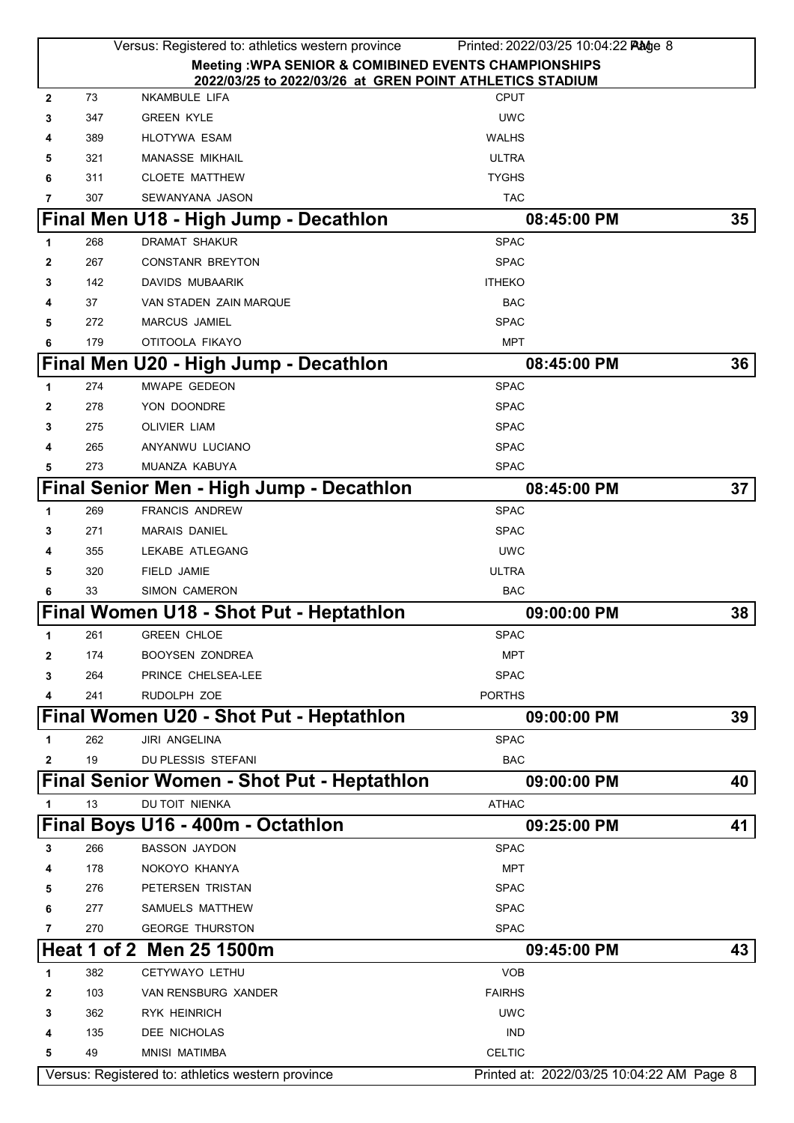|              |     | Versus: Registered to: athletics western province        | Printed: 2022/03/25 10:04:22 Plane 8      |                 |
|--------------|-----|----------------------------------------------------------|-------------------------------------------|-----------------|
|              |     | Meeting : WPA SENIOR & COMIBINED EVENTS CHAMPIONSHIPS    |                                           |                 |
|              |     | 2022/03/25 to 2022/03/26 at GREN POINT ATHLETICS STADIUM |                                           |                 |
| $\mathbf{2}$ | 73  | <b>NKAMBULE LIFA</b>                                     | <b>CPUT</b>                               |                 |
| 3            | 347 | <b>GREEN KYLE</b>                                        | <b>UWC</b>                                |                 |
| 4            | 389 | <b>HLOTYWA ESAM</b>                                      | <b>WALHS</b>                              |                 |
| 5            | 321 | <b>MANASSE MIKHAIL</b>                                   | <b>ULTRA</b>                              |                 |
| 6            | 311 | <b>CLOETE MATTHEW</b>                                    | <b>TYGHS</b>                              |                 |
| 7            | 307 | SEWANYANA JASON                                          | <b>TAC</b>                                |                 |
|              |     | Final Men U18 - High Jump - Decathlon                    | 08:45:00 PM                               | 35 <sub>1</sub> |
| 1            | 268 | <b>DRAMAT SHAKUR</b>                                     | <b>SPAC</b>                               |                 |
| 2            | 267 | <b>CONSTANR BREYTON</b>                                  | <b>SPAC</b>                               |                 |
| 3            | 142 | DAVIDS MUBAARIK                                          | <b>ITHEKO</b>                             |                 |
| 4            | 37  | VAN STADEN ZAIN MARQUE                                   | <b>BAC</b>                                |                 |
| 5            | 272 | <b>MARCUS JAMIEL</b>                                     | <b>SPAC</b>                               |                 |
| 6            | 179 | OTITOOLA FIKAYO                                          | <b>MPT</b>                                |                 |
|              |     | Final Men U20 - High Jump - Decathlon                    | 08:45:00 PM                               | 36 <sup>1</sup> |
| 1            | 274 | <b>MWAPE GEDEON</b>                                      | <b>SPAC</b>                               |                 |
| 2            | 278 | YON DOONDRE                                              | <b>SPAC</b>                               |                 |
| 3            | 275 | <b>OLIVIER LIAM</b>                                      | <b>SPAC</b>                               |                 |
| 4            | 265 | ANYANWU LUCIANO                                          | <b>SPAC</b>                               |                 |
| 5            | 273 | MUANZA KABUYA                                            | <b>SPAC</b>                               |                 |
|              |     | Final Senior Men - High Jump - Decathlon                 | 08:45:00 PM                               | 37 <sup>1</sup> |
| 1            | 269 | <b>FRANCIS ANDREW</b>                                    | <b>SPAC</b>                               |                 |
| 3            | 271 | <b>MARAIS DANIEL</b>                                     | <b>SPAC</b>                               |                 |
| 4            | 355 | LEKABE ATLEGANG                                          | <b>UWC</b>                                |                 |
| 5            | 320 | FIELD JAMIE                                              | <b>ULTRA</b>                              |                 |
| 6            | 33  | <b>SIMON CAMERON</b>                                     | <b>BAC</b>                                |                 |
|              |     | Final Women U18 - Shot Put - Heptathlon                  | 09:00:00 PM                               | 38              |
|              | 261 | <b>GREEN CHLOE</b>                                       | <b>SPAC</b>                               |                 |
| 2            | 174 | <b>BOOYSEN ZONDREA</b>                                   | <b>MPT</b>                                |                 |
| 3            | 264 | PRINCE CHELSEA-LEE                                       | <b>SPAC</b>                               |                 |
| 4            | 241 | RUDOLPH ZOE                                              | <b>PORTHS</b>                             |                 |
|              |     | Final Women U20 - Shot Put - Heptathlon                  | 09:00:00 PM                               | 39 <sup>°</sup> |
| 1            | 262 | <b>JIRI ANGELINA</b>                                     | <b>SPAC</b>                               |                 |
| 2            | 19  | <b>DU PLESSIS STEFANI</b>                                | <b>BAC</b>                                |                 |
|              |     | <b>Final Senior Women - Shot Put - Heptathlon</b>        | 09:00:00 PM                               | 40              |
|              |     |                                                          |                                           |                 |
| 1            | 13  | DU TOIT NIENKA                                           | <b>ATHAC</b>                              |                 |
|              |     | Final Boys U16 - 400m - Octathlon                        | 09:25:00 PM                               | 41              |
| 3            | 266 | <b>BASSON JAYDON</b>                                     | <b>SPAC</b>                               |                 |
|              | 178 | NOKOYO KHANYA                                            | <b>MPT</b>                                |                 |
| 5            | 276 | PETERSEN TRISTAN                                         | <b>SPAC</b>                               |                 |
| 6            | 277 | SAMUELS MATTHEW                                          | <b>SPAC</b>                               |                 |
| 7            | 270 | <b>GEORGE THURSTON</b>                                   | <b>SPAC</b>                               |                 |
|              |     | Heat 1 of 2 Men 25 1500m                                 | 09:45:00 PM                               | 43              |
| 1            | 382 | CETYWAYO LETHU                                           | <b>VOB</b>                                |                 |
| 2            | 103 | VAN RENSBURG XANDER                                      | <b>FAIRHS</b>                             |                 |
| 3            | 362 | <b>RYK HEINRICH</b>                                      | <b>UWC</b>                                |                 |
| 4            | 135 | DEE NICHOLAS                                             | <b>IND</b>                                |                 |
| 5            | 49  | <b>MNISI MATIMBA</b>                                     | <b>CELTIC</b>                             |                 |
|              |     | Versus: Registered to: athletics western province        | Printed at: 2022/03/25 10:04:22 AM Page 8 |                 |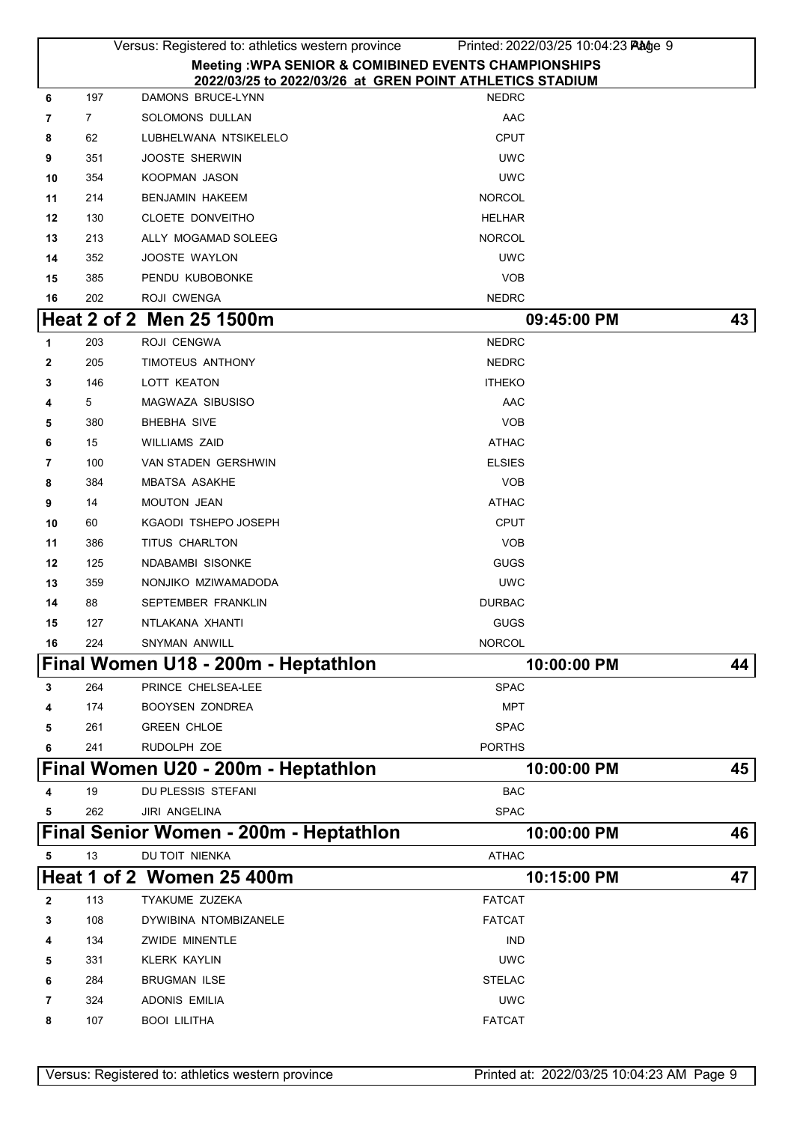|              |     | Versus: Registered to: athletics western province                                                                 | Printed: 2022/03/25 10:04:23 Plage 9 |      |
|--------------|-----|-------------------------------------------------------------------------------------------------------------------|--------------------------------------|------|
|              |     | Meeting : WPA SENIOR & COMIBINED EVENTS CHAMPIONSHIPS<br>2022/03/25 to 2022/03/26 at GREN POINT ATHLETICS STADIUM |                                      |      |
| 6            | 197 | DAMONS BRUCE-LYNN                                                                                                 | <b>NEDRC</b>                         |      |
| 7            | 7   | <b>SOLOMONS DULLAN</b>                                                                                            | AAC                                  |      |
| 8            | 62  | LUBHELWANA NTSIKELELO                                                                                             | <b>CPUT</b>                          |      |
| 9            | 351 | <b>JOOSTE SHERWIN</b>                                                                                             | <b>UWC</b>                           |      |
| 10           | 354 | <b>KOOPMAN JASON</b>                                                                                              | <b>UWC</b>                           |      |
| 11           | 214 | <b>BENJAMIN HAKEEM</b>                                                                                            | <b>NORCOL</b>                        |      |
| 12           | 130 | CLOETE DONVEITHO                                                                                                  | <b>HELHAR</b>                        |      |
| 13           | 213 | ALLY MOGAMAD SOLEEG                                                                                               | <b>NORCOL</b>                        |      |
| 14           | 352 | <b>JOOSTE WAYLON</b>                                                                                              | <b>UWC</b>                           |      |
| 15           | 385 | PENDU KUBOBONKE                                                                                                   | <b>VOB</b>                           |      |
| 16           | 202 | ROJI CWENGA                                                                                                       | <b>NEDRC</b>                         |      |
|              |     | Heat 2 of 2 Men 25 1500m                                                                                          | 09:45:00 PM                          | 43   |
| 1            | 203 | <b>ROJI CENGWA</b>                                                                                                | <b>NEDRC</b>                         |      |
| $\mathbf{2}$ | 205 | TIMOTEUS ANTHONY                                                                                                  | <b>NEDRC</b>                         |      |
| 3            | 146 | <b>LOTT KEATON</b>                                                                                                | <b>ITHEKO</b>                        |      |
| 4            | 5   | MAGWAZA SIBUSISO                                                                                                  | AAC                                  |      |
| 5            | 380 | <b>BHEBHA SIVE</b>                                                                                                | <b>VOB</b>                           |      |
| 6            | 15  | <b>WILLIAMS ZAID</b>                                                                                              | <b>ATHAC</b>                         |      |
| 7            | 100 | VAN STADEN GERSHWIN                                                                                               | <b>ELSIES</b>                        |      |
| 8            | 384 | <b>MBATSA ASAKHE</b>                                                                                              | <b>VOB</b>                           |      |
| 9            | 14  | <b>MOUTON JEAN</b>                                                                                                | <b>ATHAC</b>                         |      |
| 10           | 60  | KGAODI TSHEPO JOSEPH                                                                                              | <b>CPUT</b>                          |      |
| 11           | 386 | TITUS CHARLTON                                                                                                    | <b>VOB</b>                           |      |
| 12           | 125 | <b>NDABAMBI SISONKE</b>                                                                                           | <b>GUGS</b>                          |      |
| 13           | 359 | NONJIKO MZIWAMADODA                                                                                               | <b>UWC</b>                           |      |
| 14           | 88  | SEPTEMBER FRANKLIN                                                                                                | <b>DURBAC</b>                        |      |
| 15           | 127 | NTLAKANA XHANTI                                                                                                   | <b>GUGS</b>                          |      |
| 16           | 224 | <b>SNYMAN ANWILL</b>                                                                                              | <b>NORCOL</b>                        |      |
|              |     | Final Women U18 - 200m - Heptathlon                                                                               | 10:00:00 PM                          | 44   |
| 3            | 264 | PRINCE CHELSEA-LEE                                                                                                | <b>SPAC</b>                          |      |
| 4            | 174 | <b>BOOYSEN ZONDREA</b>                                                                                            | <b>MPT</b>                           |      |
| 5            | 261 | <b>GREEN CHLOE</b>                                                                                                | <b>SPAC</b>                          |      |
| 6            | 241 | RUDOLPH ZOE                                                                                                       | <b>PORTHS</b>                        |      |
|              |     |                                                                                                                   |                                      |      |
|              |     | Final Women U20 - 200m - Heptathlon                                                                               | 10:00:00 PM                          | 45   |
| 4            | 19  | DU PLESSIS STEFANI                                                                                                | <b>BAC</b>                           |      |
| 5            | 262 | JIRI ANGELINA                                                                                                     | <b>SPAC</b>                          |      |
|              |     | Final Senior Women - 200m - Heptathlon                                                                            | 10:00:00 PM                          | 46   |
| 5            | 13  | DU TOIT NIENKA                                                                                                    | <b>ATHAC</b>                         |      |
|              |     | <b>Heat 1 of 2 Women 25 400m</b>                                                                                  | 10:15:00 PM                          | 47 I |
| 2            | 113 | TYAKUME ZUZEKA                                                                                                    | <b>FATCAT</b>                        |      |
| 3            | 108 | DYWIBINA NTOMBIZANELE                                                                                             | <b>FATCAT</b>                        |      |
| 4            | 134 | <b>ZWIDE MINENTLE</b>                                                                                             | <b>IND</b>                           |      |
| 5            | 331 | <b>KLERK KAYLIN</b>                                                                                               | <b>UWC</b>                           |      |
| 6            | 284 | <b>BRUGMAN ILSE</b>                                                                                               | <b>STELAC</b>                        |      |
| 7            | 324 | <b>ADONIS EMILIA</b>                                                                                              | <b>UWC</b>                           |      |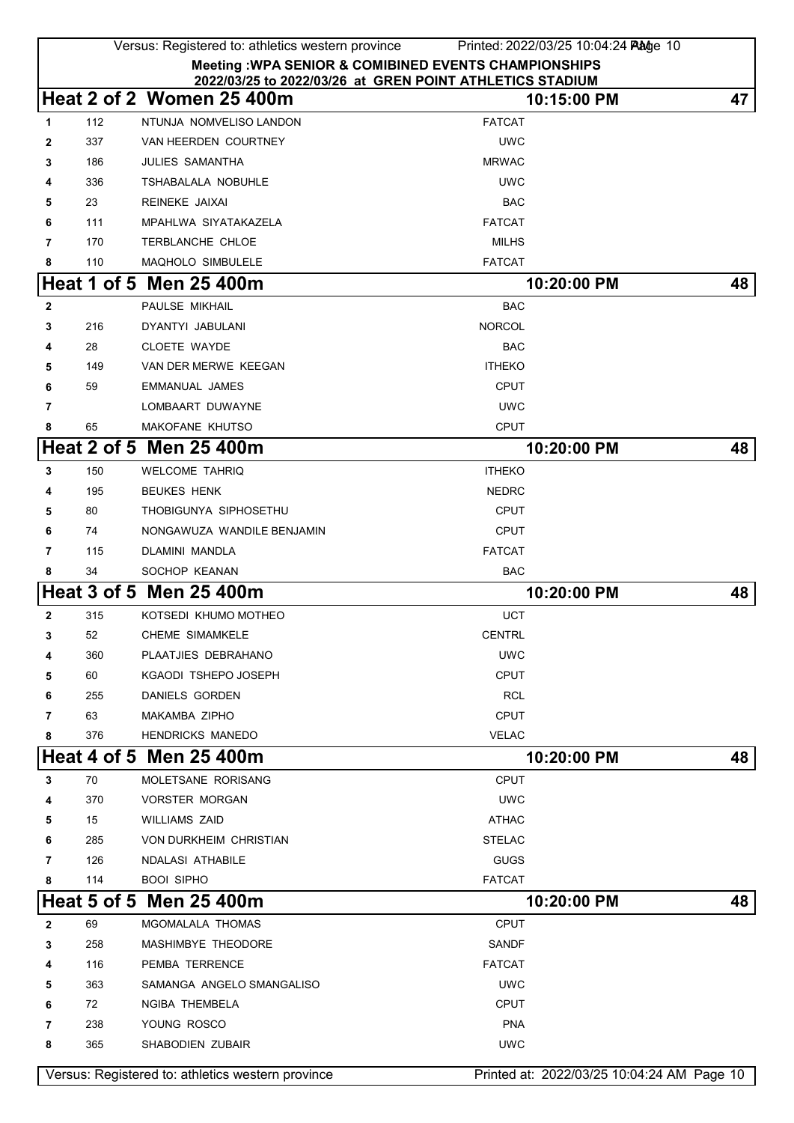|                |             | Versus: Registered to: athletics western province | Printed: 2022/03/25 10:04:24 Plage 10                    |    |
|----------------|-------------|---------------------------------------------------|----------------------------------------------------------|----|
|                |             |                                                   | Meeting : WPA SENIOR & COMIBINED EVENTS CHAMPIONSHIPS    |    |
|                |             |                                                   | 2022/03/25 to 2022/03/26 at GREN POINT ATHLETICS STADIUM |    |
|                |             | Heat 2 of 2 Women 25 400m                         | 10:15:00 PM                                              | 47 |
| 1              | 112         | NTUNJA NOMVELISO LANDON                           | <b>FATCAT</b>                                            |    |
| 2              | 337         | VAN HEERDEN COURTNEY                              | <b>UWC</b>                                               |    |
| 3              | 186         | <b>JULIES SAMANTHA</b>                            | <b>MRWAC</b>                                             |    |
| 4              | 336         | <b>TSHABALALA NOBUHLE</b>                         | <b>UWC</b>                                               |    |
| 5              | 23          | REINEKE JAIXAI                                    | <b>BAC</b>                                               |    |
| 6              | 111         | MPAHLWA SIYATAKAZELA                              | <b>FATCAT</b>                                            |    |
| $\overline{7}$ | 170         | TERBLANCHE CHLOE                                  | <b>MILHS</b>                                             |    |
| 8              | 110         | MAQHOLO SIMBULELE                                 | <b>FATCAT</b>                                            |    |
|                |             | Heat 1 of 5 Men 25 400m                           | 10:20:00 PM                                              | 48 |
| 2              |             | PAULSE MIKHAIL                                    | <b>BAC</b>                                               |    |
| 3              | 216         | DYANTYI JABULANI                                  | <b>NORCOL</b>                                            |    |
| 4              | 28          | <b>CLOETE WAYDE</b>                               | <b>BAC</b>                                               |    |
| 5              | 149         | VAN DER MERWE KEEGAN                              | <b>ITHEKO</b>                                            |    |
| 6              | 59          | <b>EMMANUAL JAMES</b>                             | <b>CPUT</b>                                              |    |
| 7              |             | LOMBAART DUWAYNE                                  | <b>UWC</b>                                               |    |
| 8              | 65          | MAKOFANE KHUTSO                                   | <b>CPUT</b>                                              |    |
|                | Heat 2 of 5 | <b>Men 25 400m</b>                                | 10:20:00 PM                                              | 48 |
| 3              | 150         | <b>WELCOME TAHRIQ</b>                             | <b>ITHEKO</b>                                            |    |
| 4              | 195         | <b>BEUKES HENK</b>                                | <b>NEDRC</b>                                             |    |
| 5              | 80          | THOBIGUNYA SIPHOSETHU                             | <b>CPUT</b>                                              |    |
| 6              | 74          | NONGAWUZA WANDILE BENJAMIN                        | <b>CPUT</b>                                              |    |
| 7              | 115         | <b>DLAMINI MANDLA</b>                             | <b>FATCAT</b>                                            |    |
| 8              | 34          | SOCHOP KEANAN                                     | <b>BAC</b>                                               |    |
|                |             | Heat 3 of 5 Men 25 400m                           | 10:20:00 PM                                              | 48 |
| $\mathbf{2}$   | 315         | KOTSEDI KHUMO MOTHEO                              | <b>UCT</b>                                               |    |
| 3              | 52          | CHEME SIMAMKELE                                   | <b>CENTRL</b>                                            |    |
| 4              | 360         | PLAATJIES DEBRAHANO                               | <b>UWC</b>                                               |    |
| 5              | 60          | KGAODI TSHEPO JOSEPH                              | <b>CPUT</b>                                              |    |
| 6              | 255         | DANIELS GORDEN                                    | <b>RCL</b>                                               |    |
| 7              | 63          | MAKAMBA ZIPHO                                     | <b>CPUT</b>                                              |    |
| 8              | 376         | <b>HENDRICKS MANEDO</b>                           | <b>VELAC</b>                                             |    |
|                |             | Heat 4 of 5 Men 25 400m                           | 10:20:00 PM                                              | 48 |
| 3              | 70          | MOLETSANE RORISANG                                | <b>CPUT</b>                                              |    |
| 4              | 370         | <b>VORSTER MORGAN</b>                             | <b>UWC</b>                                               |    |
| 5              | 15          | <b>WILLIAMS ZAID</b>                              | <b>ATHAC</b>                                             |    |
| 6              | 285         | VON DURKHEIM CHRISTIAN                            | <b>STELAC</b>                                            |    |
| 7              | 126         | NDALASI ATHABILE                                  | GUGS                                                     |    |
| 8              | 114         | <b>BOOI SIPHO</b>                                 | <b>FATCAT</b>                                            |    |
|                |             | Heat 5 of 5 Men 25 400m                           | 10:20:00 PM                                              | 48 |
| 2              | 69          | MGOMALALA THOMAS                                  | <b>CPUT</b>                                              |    |
| 3              | 258         | MASHIMBYE THEODORE                                | <b>SANDF</b>                                             |    |
| 4              | 116         | PEMBA TERRENCE                                    | <b>FATCAT</b>                                            |    |
| 5              | 363         | SAMANGA ANGELO SMANGALISO                         | <b>UWC</b>                                               |    |
| 6              | 72          | NGIBA THEMBELA                                    | <b>CPUT</b>                                              |    |
| 7              | 238         | YOUNG ROSCO                                       | <b>PNA</b>                                               |    |
| 8              | 365         | SHABODIEN ZUBAIR                                  | <b>UWC</b>                                               |    |
|                |             | Versus: Registered to: athletics western province | Printed at: 2022/03/25 10:04:24 AM Page 10               |    |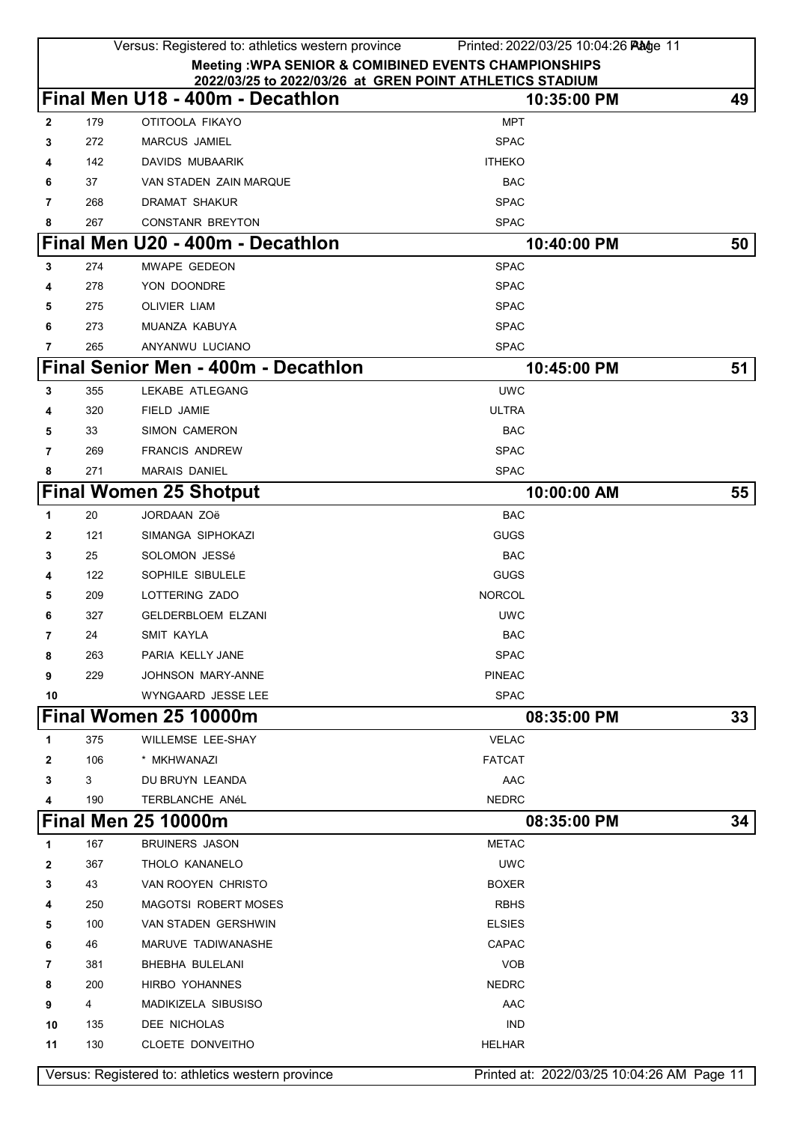|              |     | Versus: Registered to: athletics western province                                            | Printed: 2022/03/25 10:04:26 Page 11       |                 |
|--------------|-----|----------------------------------------------------------------------------------------------|--------------------------------------------|-----------------|
|              |     | Meeting : WPA SENIOR & COMIBINED EVENTS CHAMPIONSHIPS                                        |                                            |                 |
|              |     | 2022/03/25 to 2022/03/26 at GREN POINT ATHLETICS STADIUM<br>Final Men U18 - 400m - Decathlon | 10:35:00 PM                                | 49              |
| $\mathbf{2}$ | 179 | OTITOOLA FIKAYO                                                                              | <b>MPT</b>                                 |                 |
| 3            | 272 | <b>MARCUS JAMIEL</b>                                                                         | <b>SPAC</b>                                |                 |
| 4            | 142 | DAVIDS MUBAARIK                                                                              | <b>ITHEKO</b>                              |                 |
| 6            | 37  | VAN STADEN ZAIN MARQUE                                                                       | <b>BAC</b>                                 |                 |
| 7            | 268 | DRAMAT SHAKUR                                                                                | <b>SPAC</b>                                |                 |
| 8            | 267 | <b>CONSTANR BREYTON</b>                                                                      | <b>SPAC</b>                                |                 |
|              |     | Final Men U20 - 400m - Decathlon                                                             | 10:40:00 PM                                | 50              |
| 3            | 274 | MWAPE GEDEON                                                                                 | <b>SPAC</b>                                |                 |
| 4            | 278 | YON DOONDRE                                                                                  | <b>SPAC</b>                                |                 |
| 5            | 275 | <b>OLIVIER LIAM</b>                                                                          | <b>SPAC</b>                                |                 |
| 6            | 273 | MUANZA KABUYA                                                                                | <b>SPAC</b>                                |                 |
| 7            | 265 | ANYANWU LUCIANO                                                                              | <b>SPAC</b>                                |                 |
|              |     | Final Senior Men - 400m - Decathlon                                                          | 10:45:00 PM                                | 51              |
| 3            | 355 | LEKABE ATLEGANG                                                                              | <b>UWC</b>                                 |                 |
| 4            | 320 | FIELD JAMIE                                                                                  | <b>ULTRA</b>                               |                 |
| 5            | 33  | <b>SIMON CAMERON</b>                                                                         | <b>BAC</b>                                 |                 |
| 7            | 269 | <b>FRANCIS ANDREW</b>                                                                        | <b>SPAC</b>                                |                 |
| 8            | 271 | <b>MARAIS DANIEL</b>                                                                         | <b>SPAC</b>                                |                 |
|              |     | <b>Final Women 25 Shotput</b>                                                                | 10:00:00 AM                                | 55 <sub>1</sub> |
| 1            | 20  | <b>JORDAAN ZOë</b>                                                                           | <b>BAC</b>                                 |                 |
| $\mathbf{2}$ | 121 | SIMANGA SIPHOKAZI                                                                            | <b>GUGS</b>                                |                 |
| 3            | 25  | SOLOMON JESSé                                                                                | <b>BAC</b>                                 |                 |
| 4            | 122 | SOPHILE SIBULELE                                                                             | <b>GUGS</b>                                |                 |
| 5            | 209 | LOTTERING ZADO                                                                               | <b>NORCOL</b>                              |                 |
| 6            | 327 | <b>GELDERBLOEM ELZANI</b>                                                                    | <b>UWC</b>                                 |                 |
| 7            | 24  | SMIT KAYLA                                                                                   | <b>BAC</b>                                 |                 |
| 8            | 263 | PARIA KELLY JANE                                                                             | <b>SPAC</b>                                |                 |
| 9            | 229 | JOHNSON MARY-ANNE                                                                            | <b>PINEAC</b>                              |                 |
| 10           |     | WYNGAARD JESSE LEE                                                                           | <b>SPAC</b>                                |                 |
|              |     | Final Women 25 10000m                                                                        | 08:35:00 PM                                | 33              |
| 1            | 375 | WILLEMSE LEE-SHAY                                                                            | <b>VELAC</b>                               |                 |
| 2            | 106 | * MKHWANAZI                                                                                  | <b>FATCAT</b>                              |                 |
| 3            | 3   | DU BRUYN LEANDA                                                                              | AAC                                        |                 |
| 4            | 190 | TERBLANCHE ANéL                                                                              | <b>NEDRC</b>                               |                 |
|              |     | <b>Final Men 25 10000m</b>                                                                   | 08:35:00 PM                                | 34              |
| 1            | 167 | <b>BRUINERS JASON</b>                                                                        | <b>METAC</b>                               |                 |
| 2            | 367 | THOLO KANANELO                                                                               | <b>UWC</b>                                 |                 |
| 3            | 43  | VAN ROOYEN CHRISTO                                                                           | <b>BOXER</b>                               |                 |
| 4            | 250 | <b>MAGOTSI ROBERT MOSES</b>                                                                  | <b>RBHS</b>                                |                 |
| 5            | 100 | VAN STADEN GERSHWIN                                                                          | <b>ELSIES</b>                              |                 |
| 6            | 46  | MARUVE TADIWANASHE                                                                           | CAPAC                                      |                 |
| 7            | 381 | BHEBHA BULELANI                                                                              | <b>VOB</b>                                 |                 |
| 8            | 200 | HIRBO YOHANNES                                                                               | <b>NEDRC</b>                               |                 |
| 9            | 4   | MADIKIZELA SIBUSISO                                                                          | AAC                                        |                 |
| 10           | 135 | DEE NICHOLAS                                                                                 | <b>IND</b>                                 |                 |
| 11           | 130 | CLOETE DONVEITHO                                                                             | <b>HELHAR</b>                              |                 |
|              |     | Versus: Registered to: athletics western province                                            | Printed at: 2022/03/25 10:04:26 AM Page 11 |                 |
|              |     |                                                                                              |                                            |                 |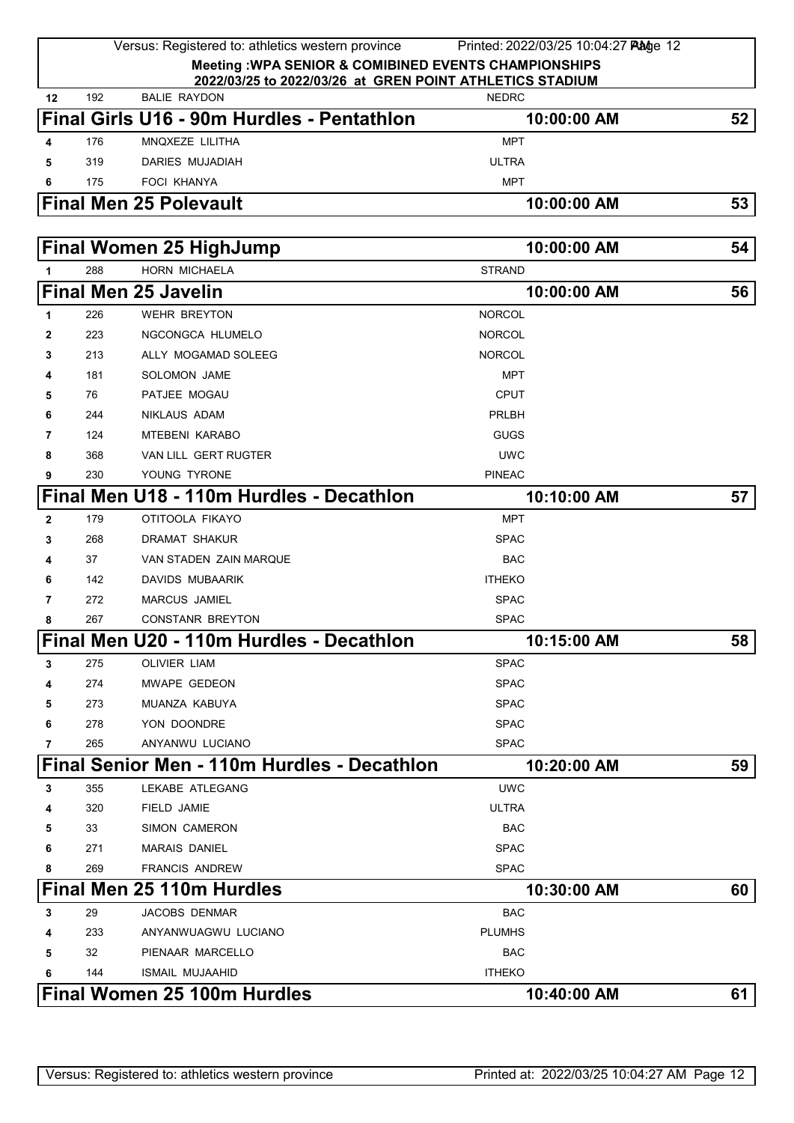| <b>Meeting: WPA SENIOR &amp; COMIBINED EVENTS CHAMPIONSHIPS</b><br>2022/03/25 to 2022/03/26 at GREN POINT ATHLETICS STADIUM<br><b>BALIE RAYDON</b><br>192<br><b>NEDRC</b><br>12<br>Final Girls U16 - 90m Hurdles - Pentathlon<br>10:00:00 AM<br>52<br><b>MPT</b><br>MNQXEZE LILITHA<br>176<br>4<br>319<br>DARIES MUJADIAH<br><b>ULTRA</b><br>5<br>FOCI KHANYA<br><b>MPT</b><br>175<br>6<br><b>Final Men 25 Polevault</b><br>10:00:00 AM<br>53<br><b>Final Women 25 HighJump</b><br>10:00:00 AM<br>54<br>288<br><b>HORN MICHAELA</b><br><b>STRAND</b><br>1<br><b>Final Men 25 Javelin</b><br>10:00:00 AM<br>56<br>226<br><b>WEHR BREYTON</b><br><b>NORCOL</b><br>1<br>223<br>NGCONGCA HLUMELO<br><b>NORCOL</b><br>$\mathbf{2}$<br>213<br>ALLY MOGAMAD SOLEEG<br><b>NORCOL</b><br>3<br><b>MPT</b><br>181<br>SOLOMON JAME<br>4<br>PATJEE MOGAU<br><b>CPUT</b><br>76<br>5<br><b>PRLBH</b><br>244<br>NIKLAUS ADAM<br>6<br><b>GUGS</b><br>124<br>MTEBENI KARABO<br>7<br>368<br><b>UWC</b><br>VAN LILL GERT RUGTER<br>8<br>230<br>YOUNG TYRONE<br><b>PINEAC</b><br>9<br>Final Men U18 - 110m Hurdles - Decathlon<br>57<br>10:10:00 AM<br>OTITOOLA FIKAYO<br><b>MPT</b><br>$\mathbf{2}$<br>179<br>268<br>DRAMAT SHAKUR<br><b>SPAC</b><br>3<br>37<br>VAN STADEN ZAIN MARQUE<br><b>BAC</b><br>4<br>142<br>DAVIDS MUBAARIK<br><b>ITHEKO</b><br>6<br>272<br><b>SPAC</b><br><b>MARCUS JAMIEL</b><br>7<br><b>SPAC</b><br>267<br><b>CONSTANR BREYTON</b><br>8<br>Final Men U20 - 110m Hurdles - Decathlon<br>58<br>10:15:00 AM<br><b>SPAC</b><br>3<br>275<br><b>OLIVIER LIAM</b><br>274<br>MWAPE GEDEON<br><b>SPAC</b><br>4<br>273<br>MUANZA KABUYA<br><b>SPAC</b><br>5<br>278<br>YON DOONDRE<br><b>SPAC</b><br>6<br>ANYANWU LUCIANO<br><b>SPAC</b><br>7<br>265<br><b>Final Senior Men - 110m Hurdles - Decathlon</b><br>10:20:00 AM<br>59<br>355<br>LEKABE ATLEGANG<br><b>UWC</b><br>3<br>320<br>FIELD JAMIE<br><b>ULTRA</b><br>4<br><b>SIMON CAMERON</b><br><b>BAC</b><br>33<br>5<br>271<br><b>MARAIS DANIEL</b><br><b>SPAC</b><br>6<br><b>SPAC</b><br>269<br><b>FRANCIS ANDREW</b><br>8<br>Final Men 25 110m Hurdles<br>10:30:00 AM<br>60<br><b>BAC</b><br>29<br><b>JACOBS DENMAR</b><br>3<br>233<br>ANYANWUAGWU LUCIANO<br><b>PLUMHS</b><br>4<br>32<br>PIENAAR MARCELLO<br><b>BAC</b><br>5<br>ISMAIL MUJAAHID<br><b>ITHEKO</b><br>144<br>6<br><b>Final Women 25 100m Hurdles</b><br>10:40:00 AM<br>61 |  | Versus: Registered to: athletics western province | Printed: 2022/03/25 10:04:27 Plane 12 |  |
|--------------------------------------------------------------------------------------------------------------------------------------------------------------------------------------------------------------------------------------------------------------------------------------------------------------------------------------------------------------------------------------------------------------------------------------------------------------------------------------------------------------------------------------------------------------------------------------------------------------------------------------------------------------------------------------------------------------------------------------------------------------------------------------------------------------------------------------------------------------------------------------------------------------------------------------------------------------------------------------------------------------------------------------------------------------------------------------------------------------------------------------------------------------------------------------------------------------------------------------------------------------------------------------------------------------------------------------------------------------------------------------------------------------------------------------------------------------------------------------------------------------------------------------------------------------------------------------------------------------------------------------------------------------------------------------------------------------------------------------------------------------------------------------------------------------------------------------------------------------------------------------------------------------------------------------------------------------------------------------------------------------------------------------------------------------------------------------------------------------------------------------------------------------------------------------------------------------------------------------------------------------------------------------------------------------------------------------------------------------------------------------------|--|---------------------------------------------------|---------------------------------------|--|
|                                                                                                                                                                                                                                                                                                                                                                                                                                                                                                                                                                                                                                                                                                                                                                                                                                                                                                                                                                                                                                                                                                                                                                                                                                                                                                                                                                                                                                                                                                                                                                                                                                                                                                                                                                                                                                                                                                                                                                                                                                                                                                                                                                                                                                                                                                                                                                                            |  |                                                   |                                       |  |
|                                                                                                                                                                                                                                                                                                                                                                                                                                                                                                                                                                                                                                                                                                                                                                                                                                                                                                                                                                                                                                                                                                                                                                                                                                                                                                                                                                                                                                                                                                                                                                                                                                                                                                                                                                                                                                                                                                                                                                                                                                                                                                                                                                                                                                                                                                                                                                                            |  |                                                   |                                       |  |
|                                                                                                                                                                                                                                                                                                                                                                                                                                                                                                                                                                                                                                                                                                                                                                                                                                                                                                                                                                                                                                                                                                                                                                                                                                                                                                                                                                                                                                                                                                                                                                                                                                                                                                                                                                                                                                                                                                                                                                                                                                                                                                                                                                                                                                                                                                                                                                                            |  |                                                   |                                       |  |
|                                                                                                                                                                                                                                                                                                                                                                                                                                                                                                                                                                                                                                                                                                                                                                                                                                                                                                                                                                                                                                                                                                                                                                                                                                                                                                                                                                                                                                                                                                                                                                                                                                                                                                                                                                                                                                                                                                                                                                                                                                                                                                                                                                                                                                                                                                                                                                                            |  |                                                   |                                       |  |
|                                                                                                                                                                                                                                                                                                                                                                                                                                                                                                                                                                                                                                                                                                                                                                                                                                                                                                                                                                                                                                                                                                                                                                                                                                                                                                                                                                                                                                                                                                                                                                                                                                                                                                                                                                                                                                                                                                                                                                                                                                                                                                                                                                                                                                                                                                                                                                                            |  |                                                   |                                       |  |
|                                                                                                                                                                                                                                                                                                                                                                                                                                                                                                                                                                                                                                                                                                                                                                                                                                                                                                                                                                                                                                                                                                                                                                                                                                                                                                                                                                                                                                                                                                                                                                                                                                                                                                                                                                                                                                                                                                                                                                                                                                                                                                                                                                                                                                                                                                                                                                                            |  |                                                   |                                       |  |
|                                                                                                                                                                                                                                                                                                                                                                                                                                                                                                                                                                                                                                                                                                                                                                                                                                                                                                                                                                                                                                                                                                                                                                                                                                                                                                                                                                                                                                                                                                                                                                                                                                                                                                                                                                                                                                                                                                                                                                                                                                                                                                                                                                                                                                                                                                                                                                                            |  |                                                   |                                       |  |
|                                                                                                                                                                                                                                                                                                                                                                                                                                                                                                                                                                                                                                                                                                                                                                                                                                                                                                                                                                                                                                                                                                                                                                                                                                                                                                                                                                                                                                                                                                                                                                                                                                                                                                                                                                                                                                                                                                                                                                                                                                                                                                                                                                                                                                                                                                                                                                                            |  |                                                   |                                       |  |
|                                                                                                                                                                                                                                                                                                                                                                                                                                                                                                                                                                                                                                                                                                                                                                                                                                                                                                                                                                                                                                                                                                                                                                                                                                                                                                                                                                                                                                                                                                                                                                                                                                                                                                                                                                                                                                                                                                                                                                                                                                                                                                                                                                                                                                                                                                                                                                                            |  |                                                   |                                       |  |
|                                                                                                                                                                                                                                                                                                                                                                                                                                                                                                                                                                                                                                                                                                                                                                                                                                                                                                                                                                                                                                                                                                                                                                                                                                                                                                                                                                                                                                                                                                                                                                                                                                                                                                                                                                                                                                                                                                                                                                                                                                                                                                                                                                                                                                                                                                                                                                                            |  |                                                   |                                       |  |
|                                                                                                                                                                                                                                                                                                                                                                                                                                                                                                                                                                                                                                                                                                                                                                                                                                                                                                                                                                                                                                                                                                                                                                                                                                                                                                                                                                                                                                                                                                                                                                                                                                                                                                                                                                                                                                                                                                                                                                                                                                                                                                                                                                                                                                                                                                                                                                                            |  |                                                   |                                       |  |
|                                                                                                                                                                                                                                                                                                                                                                                                                                                                                                                                                                                                                                                                                                                                                                                                                                                                                                                                                                                                                                                                                                                                                                                                                                                                                                                                                                                                                                                                                                                                                                                                                                                                                                                                                                                                                                                                                                                                                                                                                                                                                                                                                                                                                                                                                                                                                                                            |  |                                                   |                                       |  |
|                                                                                                                                                                                                                                                                                                                                                                                                                                                                                                                                                                                                                                                                                                                                                                                                                                                                                                                                                                                                                                                                                                                                                                                                                                                                                                                                                                                                                                                                                                                                                                                                                                                                                                                                                                                                                                                                                                                                                                                                                                                                                                                                                                                                                                                                                                                                                                                            |  |                                                   |                                       |  |
|                                                                                                                                                                                                                                                                                                                                                                                                                                                                                                                                                                                                                                                                                                                                                                                                                                                                                                                                                                                                                                                                                                                                                                                                                                                                                                                                                                                                                                                                                                                                                                                                                                                                                                                                                                                                                                                                                                                                                                                                                                                                                                                                                                                                                                                                                                                                                                                            |  |                                                   |                                       |  |
|                                                                                                                                                                                                                                                                                                                                                                                                                                                                                                                                                                                                                                                                                                                                                                                                                                                                                                                                                                                                                                                                                                                                                                                                                                                                                                                                                                                                                                                                                                                                                                                                                                                                                                                                                                                                                                                                                                                                                                                                                                                                                                                                                                                                                                                                                                                                                                                            |  |                                                   |                                       |  |
|                                                                                                                                                                                                                                                                                                                                                                                                                                                                                                                                                                                                                                                                                                                                                                                                                                                                                                                                                                                                                                                                                                                                                                                                                                                                                                                                                                                                                                                                                                                                                                                                                                                                                                                                                                                                                                                                                                                                                                                                                                                                                                                                                                                                                                                                                                                                                                                            |  |                                                   |                                       |  |
|                                                                                                                                                                                                                                                                                                                                                                                                                                                                                                                                                                                                                                                                                                                                                                                                                                                                                                                                                                                                                                                                                                                                                                                                                                                                                                                                                                                                                                                                                                                                                                                                                                                                                                                                                                                                                                                                                                                                                                                                                                                                                                                                                                                                                                                                                                                                                                                            |  |                                                   |                                       |  |
|                                                                                                                                                                                                                                                                                                                                                                                                                                                                                                                                                                                                                                                                                                                                                                                                                                                                                                                                                                                                                                                                                                                                                                                                                                                                                                                                                                                                                                                                                                                                                                                                                                                                                                                                                                                                                                                                                                                                                                                                                                                                                                                                                                                                                                                                                                                                                                                            |  |                                                   |                                       |  |
|                                                                                                                                                                                                                                                                                                                                                                                                                                                                                                                                                                                                                                                                                                                                                                                                                                                                                                                                                                                                                                                                                                                                                                                                                                                                                                                                                                                                                                                                                                                                                                                                                                                                                                                                                                                                                                                                                                                                                                                                                                                                                                                                                                                                                                                                                                                                                                                            |  |                                                   |                                       |  |
|                                                                                                                                                                                                                                                                                                                                                                                                                                                                                                                                                                                                                                                                                                                                                                                                                                                                                                                                                                                                                                                                                                                                                                                                                                                                                                                                                                                                                                                                                                                                                                                                                                                                                                                                                                                                                                                                                                                                                                                                                                                                                                                                                                                                                                                                                                                                                                                            |  |                                                   |                                       |  |
|                                                                                                                                                                                                                                                                                                                                                                                                                                                                                                                                                                                                                                                                                                                                                                                                                                                                                                                                                                                                                                                                                                                                                                                                                                                                                                                                                                                                                                                                                                                                                                                                                                                                                                                                                                                                                                                                                                                                                                                                                                                                                                                                                                                                                                                                                                                                                                                            |  |                                                   |                                       |  |
|                                                                                                                                                                                                                                                                                                                                                                                                                                                                                                                                                                                                                                                                                                                                                                                                                                                                                                                                                                                                                                                                                                                                                                                                                                                                                                                                                                                                                                                                                                                                                                                                                                                                                                                                                                                                                                                                                                                                                                                                                                                                                                                                                                                                                                                                                                                                                                                            |  |                                                   |                                       |  |
|                                                                                                                                                                                                                                                                                                                                                                                                                                                                                                                                                                                                                                                                                                                                                                                                                                                                                                                                                                                                                                                                                                                                                                                                                                                                                                                                                                                                                                                                                                                                                                                                                                                                                                                                                                                                                                                                                                                                                                                                                                                                                                                                                                                                                                                                                                                                                                                            |  |                                                   |                                       |  |
|                                                                                                                                                                                                                                                                                                                                                                                                                                                                                                                                                                                                                                                                                                                                                                                                                                                                                                                                                                                                                                                                                                                                                                                                                                                                                                                                                                                                                                                                                                                                                                                                                                                                                                                                                                                                                                                                                                                                                                                                                                                                                                                                                                                                                                                                                                                                                                                            |  |                                                   |                                       |  |
|                                                                                                                                                                                                                                                                                                                                                                                                                                                                                                                                                                                                                                                                                                                                                                                                                                                                                                                                                                                                                                                                                                                                                                                                                                                                                                                                                                                                                                                                                                                                                                                                                                                                                                                                                                                                                                                                                                                                                                                                                                                                                                                                                                                                                                                                                                                                                                                            |  |                                                   |                                       |  |
|                                                                                                                                                                                                                                                                                                                                                                                                                                                                                                                                                                                                                                                                                                                                                                                                                                                                                                                                                                                                                                                                                                                                                                                                                                                                                                                                                                                                                                                                                                                                                                                                                                                                                                                                                                                                                                                                                                                                                                                                                                                                                                                                                                                                                                                                                                                                                                                            |  |                                                   |                                       |  |
|                                                                                                                                                                                                                                                                                                                                                                                                                                                                                                                                                                                                                                                                                                                                                                                                                                                                                                                                                                                                                                                                                                                                                                                                                                                                                                                                                                                                                                                                                                                                                                                                                                                                                                                                                                                                                                                                                                                                                                                                                                                                                                                                                                                                                                                                                                                                                                                            |  |                                                   |                                       |  |
|                                                                                                                                                                                                                                                                                                                                                                                                                                                                                                                                                                                                                                                                                                                                                                                                                                                                                                                                                                                                                                                                                                                                                                                                                                                                                                                                                                                                                                                                                                                                                                                                                                                                                                                                                                                                                                                                                                                                                                                                                                                                                                                                                                                                                                                                                                                                                                                            |  |                                                   |                                       |  |
|                                                                                                                                                                                                                                                                                                                                                                                                                                                                                                                                                                                                                                                                                                                                                                                                                                                                                                                                                                                                                                                                                                                                                                                                                                                                                                                                                                                                                                                                                                                                                                                                                                                                                                                                                                                                                                                                                                                                                                                                                                                                                                                                                                                                                                                                                                                                                                                            |  |                                                   |                                       |  |
|                                                                                                                                                                                                                                                                                                                                                                                                                                                                                                                                                                                                                                                                                                                                                                                                                                                                                                                                                                                                                                                                                                                                                                                                                                                                                                                                                                                                                                                                                                                                                                                                                                                                                                                                                                                                                                                                                                                                                                                                                                                                                                                                                                                                                                                                                                                                                                                            |  |                                                   |                                       |  |
|                                                                                                                                                                                                                                                                                                                                                                                                                                                                                                                                                                                                                                                                                                                                                                                                                                                                                                                                                                                                                                                                                                                                                                                                                                                                                                                                                                                                                                                                                                                                                                                                                                                                                                                                                                                                                                                                                                                                                                                                                                                                                                                                                                                                                                                                                                                                                                                            |  |                                                   |                                       |  |
|                                                                                                                                                                                                                                                                                                                                                                                                                                                                                                                                                                                                                                                                                                                                                                                                                                                                                                                                                                                                                                                                                                                                                                                                                                                                                                                                                                                                                                                                                                                                                                                                                                                                                                                                                                                                                                                                                                                                                                                                                                                                                                                                                                                                                                                                                                                                                                                            |  |                                                   |                                       |  |
|                                                                                                                                                                                                                                                                                                                                                                                                                                                                                                                                                                                                                                                                                                                                                                                                                                                                                                                                                                                                                                                                                                                                                                                                                                                                                                                                                                                                                                                                                                                                                                                                                                                                                                                                                                                                                                                                                                                                                                                                                                                                                                                                                                                                                                                                                                                                                                                            |  |                                                   |                                       |  |
|                                                                                                                                                                                                                                                                                                                                                                                                                                                                                                                                                                                                                                                                                                                                                                                                                                                                                                                                                                                                                                                                                                                                                                                                                                                                                                                                                                                                                                                                                                                                                                                                                                                                                                                                                                                                                                                                                                                                                                                                                                                                                                                                                                                                                                                                                                                                                                                            |  |                                                   |                                       |  |
|                                                                                                                                                                                                                                                                                                                                                                                                                                                                                                                                                                                                                                                                                                                                                                                                                                                                                                                                                                                                                                                                                                                                                                                                                                                                                                                                                                                                                                                                                                                                                                                                                                                                                                                                                                                                                                                                                                                                                                                                                                                                                                                                                                                                                                                                                                                                                                                            |  |                                                   |                                       |  |
|                                                                                                                                                                                                                                                                                                                                                                                                                                                                                                                                                                                                                                                                                                                                                                                                                                                                                                                                                                                                                                                                                                                                                                                                                                                                                                                                                                                                                                                                                                                                                                                                                                                                                                                                                                                                                                                                                                                                                                                                                                                                                                                                                                                                                                                                                                                                                                                            |  |                                                   |                                       |  |
|                                                                                                                                                                                                                                                                                                                                                                                                                                                                                                                                                                                                                                                                                                                                                                                                                                                                                                                                                                                                                                                                                                                                                                                                                                                                                                                                                                                                                                                                                                                                                                                                                                                                                                                                                                                                                                                                                                                                                                                                                                                                                                                                                                                                                                                                                                                                                                                            |  |                                                   |                                       |  |
|                                                                                                                                                                                                                                                                                                                                                                                                                                                                                                                                                                                                                                                                                                                                                                                                                                                                                                                                                                                                                                                                                                                                                                                                                                                                                                                                                                                                                                                                                                                                                                                                                                                                                                                                                                                                                                                                                                                                                                                                                                                                                                                                                                                                                                                                                                                                                                                            |  |                                                   |                                       |  |
|                                                                                                                                                                                                                                                                                                                                                                                                                                                                                                                                                                                                                                                                                                                                                                                                                                                                                                                                                                                                                                                                                                                                                                                                                                                                                                                                                                                                                                                                                                                                                                                                                                                                                                                                                                                                                                                                                                                                                                                                                                                                                                                                                                                                                                                                                                                                                                                            |  |                                                   |                                       |  |
|                                                                                                                                                                                                                                                                                                                                                                                                                                                                                                                                                                                                                                                                                                                                                                                                                                                                                                                                                                                                                                                                                                                                                                                                                                                                                                                                                                                                                                                                                                                                                                                                                                                                                                                                                                                                                                                                                                                                                                                                                                                                                                                                                                                                                                                                                                                                                                                            |  |                                                   |                                       |  |
|                                                                                                                                                                                                                                                                                                                                                                                                                                                                                                                                                                                                                                                                                                                                                                                                                                                                                                                                                                                                                                                                                                                                                                                                                                                                                                                                                                                                                                                                                                                                                                                                                                                                                                                                                                                                                                                                                                                                                                                                                                                                                                                                                                                                                                                                                                                                                                                            |  |                                                   |                                       |  |
|                                                                                                                                                                                                                                                                                                                                                                                                                                                                                                                                                                                                                                                                                                                                                                                                                                                                                                                                                                                                                                                                                                                                                                                                                                                                                                                                                                                                                                                                                                                                                                                                                                                                                                                                                                                                                                                                                                                                                                                                                                                                                                                                                                                                                                                                                                                                                                                            |  |                                                   |                                       |  |
|                                                                                                                                                                                                                                                                                                                                                                                                                                                                                                                                                                                                                                                                                                                                                                                                                                                                                                                                                                                                                                                                                                                                                                                                                                                                                                                                                                                                                                                                                                                                                                                                                                                                                                                                                                                                                                                                                                                                                                                                                                                                                                                                                                                                                                                                                                                                                                                            |  |                                                   |                                       |  |
|                                                                                                                                                                                                                                                                                                                                                                                                                                                                                                                                                                                                                                                                                                                                                                                                                                                                                                                                                                                                                                                                                                                                                                                                                                                                                                                                                                                                                                                                                                                                                                                                                                                                                                                                                                                                                                                                                                                                                                                                                                                                                                                                                                                                                                                                                                                                                                                            |  |                                                   |                                       |  |
|                                                                                                                                                                                                                                                                                                                                                                                                                                                                                                                                                                                                                                                                                                                                                                                                                                                                                                                                                                                                                                                                                                                                                                                                                                                                                                                                                                                                                                                                                                                                                                                                                                                                                                                                                                                                                                                                                                                                                                                                                                                                                                                                                                                                                                                                                                                                                                                            |  |                                                   |                                       |  |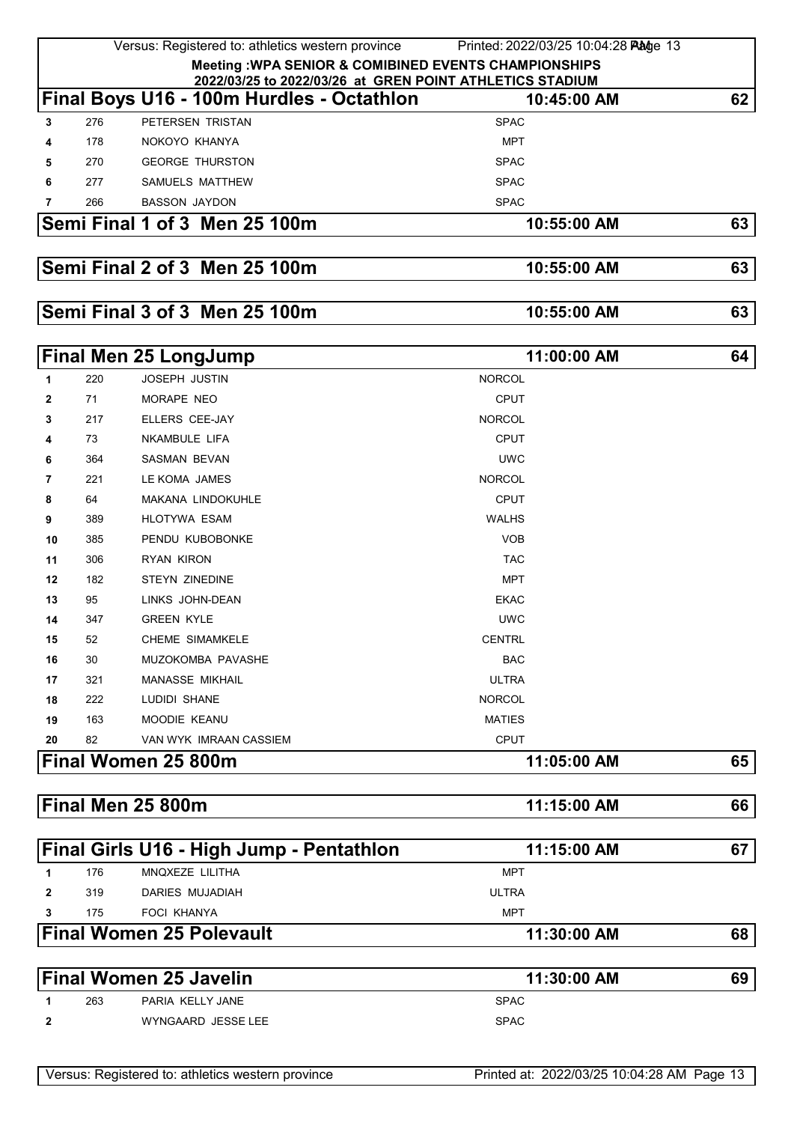|    |     | Versus: Registered to: athletics western province                                                                 | Printed: 2022/03/25 10:04:28 Plage 13 |    |
|----|-----|-------------------------------------------------------------------------------------------------------------------|---------------------------------------|----|
|    |     | Meeting : WPA SENIOR & COMIBINED EVENTS CHAMPIONSHIPS<br>2022/03/25 to 2022/03/26 at GREN POINT ATHLETICS STADIUM |                                       |    |
|    |     | Final Boys U16 - 100m Hurdles - Octathlon                                                                         | 10:45:00 AM                           | 62 |
| 3  | 276 | PETERSEN TRISTAN                                                                                                  | <b>SPAC</b>                           |    |
| 4  | 178 | NOKOYO KHANYA                                                                                                     | <b>MPT</b>                            |    |
| 5  | 270 | <b>GEORGE THURSTON</b>                                                                                            | <b>SPAC</b>                           |    |
| 6  | 277 | SAMUELS MATTHEW                                                                                                   | <b>SPAC</b>                           |    |
| 7  | 266 | <b>BASSON JAYDON</b>                                                                                              | <b>SPAC</b>                           |    |
|    |     | Semi Final 1 of 3 Men 25 100m                                                                                     | 10:55:00 AM                           | 63 |
|    |     |                                                                                                                   |                                       |    |
|    |     | Semi Final 2 of 3 Men 25 100m                                                                                     | 10:55:00 AM                           | 63 |
|    |     | Semi Final 3 of 3 Men 25 100m                                                                                     | 10:55:00 AM                           | 63 |
|    |     |                                                                                                                   |                                       |    |
|    |     | <b>Final Men 25 LongJump</b>                                                                                      | 11:00:00 AM                           | 64 |
| 1. | 220 | <b>JOSEPH JUSTIN</b>                                                                                              | <b>NORCOL</b>                         |    |
| 2  | 71  | MORAPE NEO                                                                                                        | <b>CPUT</b>                           |    |
| 3  | 217 | ELLERS CEE-JAY                                                                                                    | <b>NORCOL</b>                         |    |
|    | 73  | <b>NKAMBULE LIFA</b>                                                                                              | <b>CPUT</b>                           |    |
| 6  | 364 | SASMAN BEVAN                                                                                                      | <b>UWC</b>                            |    |
| 7  | 221 | LE KOMA JAMES                                                                                                     | <b>NORCOL</b>                         |    |
| 8  | 64  | <b>MAKANA LINDOKUHLE</b>                                                                                          | <b>CPUT</b>                           |    |
| 9  | 389 | <b>HLOTYWA ESAM</b>                                                                                               | <b>WALHS</b>                          |    |
| 10 | 385 | PENDU KUBOBONKE                                                                                                   | <b>VOB</b>                            |    |
| 11 | 306 | RYAN KIRON                                                                                                        | <b>TAC</b>                            |    |
| 12 | 182 | STEYN ZINEDINE                                                                                                    | <b>MPT</b>                            |    |
| 13 | 95  | LINKS JOHN-DEAN                                                                                                   | <b>EKAC</b>                           |    |
| 14 | 347 | <b>GREEN KYLE</b>                                                                                                 | <b>UWC</b>                            |    |
| 15 | 52  | <b>CHEME SIMAMKELE</b>                                                                                            | <b>CENTRL</b>                         |    |
| 16 | 30  | MUZOKOMBA PAVASHE                                                                                                 | <b>BAC</b>                            |    |
| 17 | 321 | <b>MANASSE MIKHAIL</b>                                                                                            | <b>ULTRA</b>                          |    |
| 18 | 222 | LUDIDI SHANE                                                                                                      | <b>NORCOL</b>                         |    |
| 19 | 163 | MOODIE KEANU                                                                                                      | <b>MATIES</b>                         |    |
| 20 | 82  | VAN WYK IMRAAN CASSIEM                                                                                            | <b>CPUT</b>                           |    |
|    |     | Final Women 25 800m                                                                                               | 11:05:00 AM                           | 65 |
|    |     |                                                                                                                   |                                       |    |
|    |     | Final Men 25 800m                                                                                                 | 11:15:00 AM                           | 66 |
|    |     | Final Girls U16 - High Jump - Pentathlon                                                                          | 11:15:00 AM                           | 67 |
| 1  | 176 | MNQXEZE LILITHA                                                                                                   | <b>MPT</b>                            |    |
| 2  | 319 | DARIES MUJADIAH                                                                                                   | <b>ULTRA</b>                          |    |
| 3  | 175 | <b>FOCI KHANYA</b>                                                                                                | <b>MPT</b>                            |    |
|    |     | <b>Final Women 25 Polevault</b>                                                                                   | 11:30:00 AM                           | 68 |
|    |     |                                                                                                                   |                                       |    |
|    |     | <b>Final Women 25 Javelin</b>                                                                                     | 11:30:00 AM                           | 69 |
| 1  | 263 | PARIA KELLY JANE                                                                                                  | <b>SPAC</b>                           |    |
| 2  |     | WYNGAARD JESSE LEE                                                                                                | <b>SPAC</b>                           |    |
|    |     |                                                                                                                   |                                       |    |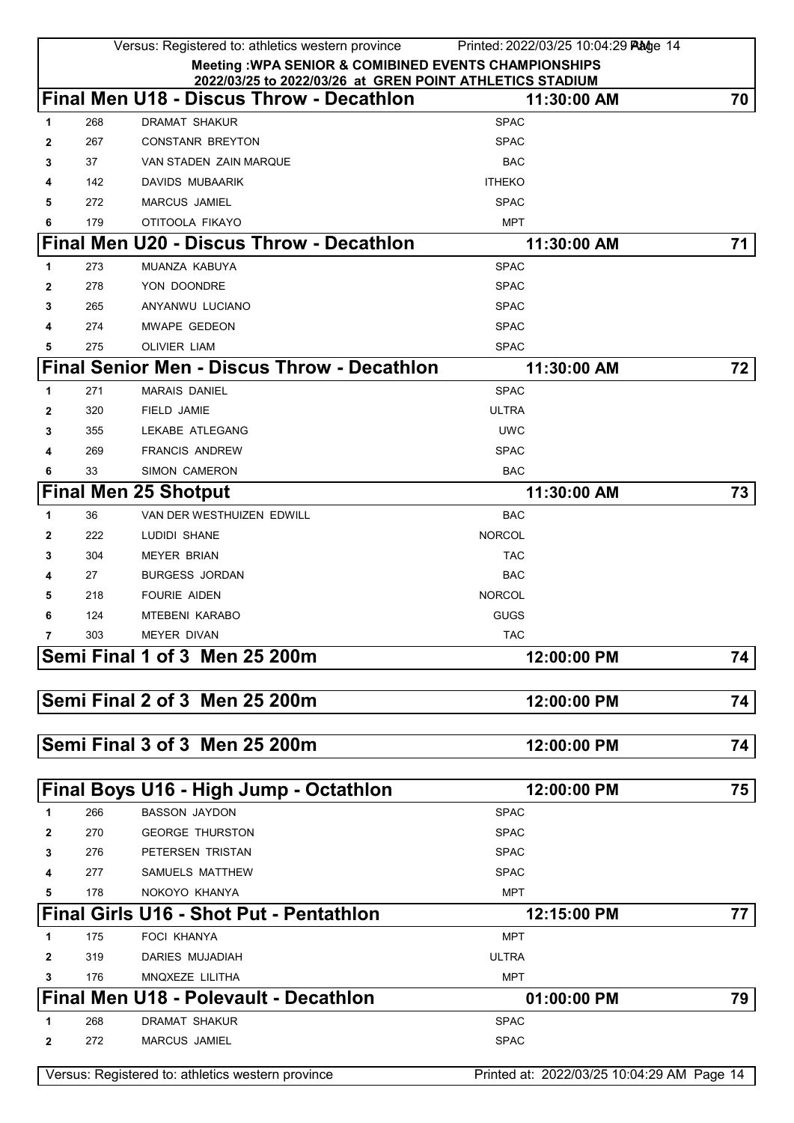|              |     | Versus: Registered to: athletics western province        | Printed: 2022/03/25 10:04:29 PAMge 14      |    |
|--------------|-----|----------------------------------------------------------|--------------------------------------------|----|
|              |     | Meeting : WPA SENIOR & COMIBINED EVENTS CHAMPIONSHIPS    |                                            |    |
|              |     | 2022/03/25 to 2022/03/26 at GREN POINT ATHLETICS STADIUM |                                            |    |
|              |     | Final Men U18 - Discus Throw - Decathlon                 | 11:30:00 AM                                | 70 |
| 1            | 268 | <b>DRAMAT SHAKUR</b>                                     | <b>SPAC</b>                                |    |
| 2            | 267 | <b>CONSTANR BREYTON</b>                                  | <b>SPAC</b>                                |    |
| 3            | 37  | VAN STADEN ZAIN MARQUE                                   | <b>BAC</b>                                 |    |
|              | 142 | DAVIDS MUBAARIK                                          | <b>ITHEKO</b>                              |    |
| 5            | 272 | <b>MARCUS JAMIEL</b>                                     | <b>SPAC</b>                                |    |
| 6            | 179 | OTITOOLA FIKAYO                                          | <b>MPT</b>                                 |    |
|              |     | Final Men U20 - Discus Throw - Decathlon                 | 11:30:00 AM                                | 71 |
| 1            | 273 | MUANZA KABUYA                                            | <b>SPAC</b>                                |    |
| 2            | 278 | YON DOONDRE                                              | <b>SPAC</b>                                |    |
| 3            | 265 | ANYANWU LUCIANO                                          | <b>SPAC</b>                                |    |
| 4            | 274 | <b>MWAPE GEDEON</b>                                      | <b>SPAC</b>                                |    |
| 5            | 275 | <b>OLIVIER LIAM</b>                                      | <b>SPAC</b>                                |    |
|              |     | <b>Final Senior Men - Discus Throw - Decathlon</b>       | 11:30:00 AM                                | 72 |
| 1            | 271 | <b>MARAIS DANIEL</b>                                     | <b>SPAC</b>                                |    |
| $\mathbf{2}$ | 320 | FIELD JAMIE                                              | <b>ULTRA</b>                               |    |
| 3            | 355 | LEKABE ATLEGANG                                          | <b>UWC</b>                                 |    |
| 4            | 269 | <b>FRANCIS ANDREW</b>                                    | <b>SPAC</b>                                |    |
| 6            | 33  | SIMON CAMERON                                            | <b>BAC</b>                                 |    |
|              |     | <b>Final Men 25 Shotput</b>                              | 11:30:00 AM                                | 73 |
| 1            | 36  | VAN DER WESTHUIZEN EDWILL                                | <b>BAC</b>                                 |    |
| 2            | 222 | LUDIDI SHANE                                             | <b>NORCOL</b>                              |    |
| 3            | 304 | <b>MEYER BRIAN</b>                                       | <b>TAC</b>                                 |    |
|              | 27  | <b>BURGESS JORDAN</b>                                    | <b>BAC</b>                                 |    |
| 5            | 218 | <b>FOURIE AIDEN</b>                                      | <b>NORCOL</b>                              |    |
| 6            | 124 | <b>MTEBENI KARABO</b>                                    | GUGS                                       |    |
|              | 303 | <b>MEYER DIVAN</b>                                       | <b>TAC</b>                                 |    |
|              |     | Semi Final 1 of 3 Men 25 200m                            | 12:00:00 PM                                | 74 |
|              |     |                                                          |                                            |    |
|              |     | Semi Final 2 of 3 Men 25 200m                            | 12:00:00 PM                                | 74 |
|              |     |                                                          |                                            |    |
|              |     | Semi Final 3 of 3 Men 25 200m                            | 12:00:00 PM                                | 74 |
|              |     |                                                          |                                            |    |
|              |     | Final Boys U16 - High Jump - Octathlon                   | 12:00:00 PM                                | 75 |
| 1            | 266 | <b>BASSON JAYDON</b>                                     | <b>SPAC</b>                                |    |
| 2            | 270 | <b>GEORGE THURSTON</b>                                   | <b>SPAC</b>                                |    |
| 3            | 276 | PETERSEN TRISTAN                                         | <b>SPAC</b>                                |    |
| 4            | 277 | SAMUELS MATTHEW                                          | <b>SPAC</b>                                |    |
| 5            | 178 | NOKOYO KHANYA                                            | <b>MPT</b>                                 |    |
|              |     | <b>Final Girls U16 - Shot Put - Pentathlon</b>           | 12:15:00 PM                                | 77 |
| 1            | 175 | <b>FOCI KHANYA</b>                                       | <b>MPT</b>                                 |    |
| $\mathbf{2}$ | 319 | DARIES MUJADIAH                                          | <b>ULTRA</b>                               |    |
| 3            | 176 | MNQXEZE LILITHA                                          | <b>MPT</b>                                 |    |
|              |     | Final Men U18 - Polevault - Decathlon                    | 01:00:00 PM                                | 79 |
| 1            | 268 | DRAMAT SHAKUR                                            | <b>SPAC</b>                                |    |
| $\mathbf{2}$ | 272 | <b>MARCUS JAMIEL</b>                                     | <b>SPAC</b>                                |    |
|              |     |                                                          |                                            |    |
|              |     | Versus: Registered to: athletics western province        | Printed at: 2022/03/25 10:04:29 AM Page 14 |    |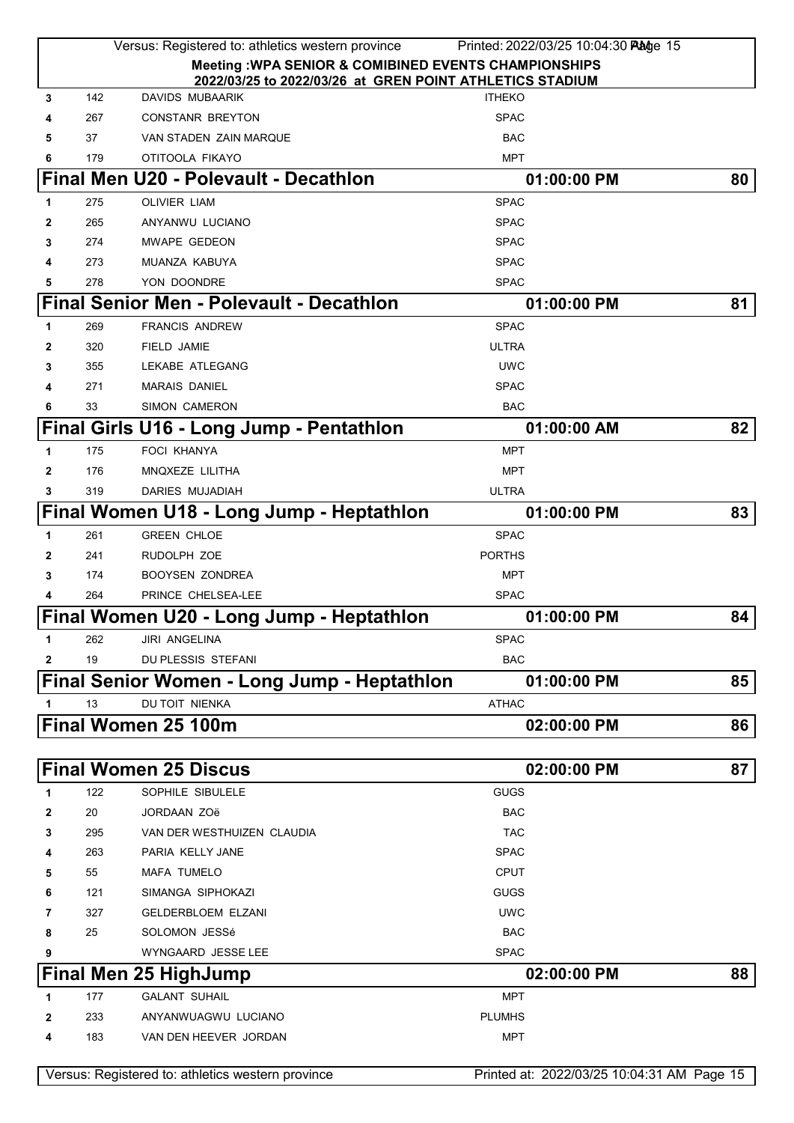|              |     | Versus: Registered to: athletics western province        | Printed: 2022/03/25 10:04:30 Page 15       |    |
|--------------|-----|----------------------------------------------------------|--------------------------------------------|----|
|              |     | Meeting : WPA SENIOR & COMIBINED EVENTS CHAMPIONSHIPS    |                                            |    |
|              |     | 2022/03/25 to 2022/03/26 at GREN POINT ATHLETICS STADIUM |                                            |    |
| 3            | 142 | <b>DAVIDS MUBAARIK</b>                                   | <b>ITHEKO</b>                              |    |
| 4            | 267 | <b>CONSTANR BREYTON</b>                                  | <b>SPAC</b>                                |    |
| 5            | 37  | VAN STADEN ZAIN MARQUE                                   | <b>BAC</b>                                 |    |
| 6            | 179 | OTITOOLA FIKAYO                                          | <b>MPT</b>                                 |    |
|              |     | <b>Final Men U20 - Polevault - Decathlon</b>             | 01:00:00 PM                                | 80 |
| 1            | 275 | <b>OLIVIER LIAM</b>                                      | <b>SPAC</b>                                |    |
| 2            | 265 | ANYANWU LUCIANO                                          | <b>SPAC</b>                                |    |
| 3            | 274 | MWAPE GEDEON                                             | <b>SPAC</b>                                |    |
| 4            | 273 | MUANZA KABUYA                                            | <b>SPAC</b>                                |    |
| 5            | 278 | YON DOONDRE                                              | <b>SPAC</b>                                |    |
|              |     | <b>Final Senior Men - Polevault - Decathlon</b>          | 01:00:00 PM                                | 81 |
| 1            | 269 | <b>FRANCIS ANDREW</b>                                    | <b>SPAC</b>                                |    |
| 2            | 320 | <b>FIELD JAMIE</b>                                       | <b>ULTRA</b>                               |    |
| 3            | 355 | LEKABE ATLEGANG                                          | <b>UWC</b>                                 |    |
| 4            | 271 | <b>MARAIS DANIEL</b>                                     | <b>SPAC</b>                                |    |
| 6            | 33  | <b>SIMON CAMERON</b>                                     | <b>BAC</b>                                 |    |
|              |     | Final Girls U16 - Long Jump - Pentathlon                 | 01:00:00 AM                                | 82 |
| 1            | 175 | <b>FOCI KHANYA</b>                                       | <b>MPT</b>                                 |    |
| 2            | 176 | MNQXEZE LILITHA                                          | <b>MPT</b>                                 |    |
| 3            | 319 | DARIES MUJADIAH                                          | <b>ULTRA</b>                               |    |
|              |     | Final Women U18 - Long Jump - Heptathlon                 | 01:00:00 PM                                | 83 |
| 1            | 261 | <b>GREEN CHLOE</b>                                       | <b>SPAC</b>                                |    |
| 2            | 241 | RUDOLPH ZOE                                              | <b>PORTHS</b>                              |    |
| 3            | 174 | <b>BOOYSEN ZONDREA</b>                                   | <b>MPT</b>                                 |    |
| 4            | 264 | PRINCE CHELSEA-LEE                                       | <b>SPAC</b>                                |    |
|              |     | Final Women U20 - Long Jump - Heptathlon                 | 01:00:00 PM                                | 84 |
| 1            | 262 | JIRI ANGELINA                                            | <b>SPAC</b>                                |    |
| $\mathbf{2}$ | 19  | DU PLESSIS STEFANI                                       | <b>BAC</b>                                 |    |
|              |     | Final Senior Women - Long Jump - Heptathlon              | 01:00:00 PM                                | 85 |
|              |     |                                                          |                                            |    |
| 1            | 13  | DU TOIT NIENKA                                           | <b>ATHAC</b>                               |    |
|              |     | Final Women 25 100m                                      | 02:00:00 PM                                | 86 |
|              |     |                                                          |                                            |    |
|              |     | <b>Final Women 25 Discus</b>                             | 02:00:00 PM                                | 87 |
| 1            | 122 | SOPHILE SIBULELE                                         | <b>GUGS</b>                                |    |
| 2            | 20  | <b>JORDAAN ZOë</b>                                       | <b>BAC</b>                                 |    |
| 3            | 295 | VAN DER WESTHUIZEN CLAUDIA                               | <b>TAC</b>                                 |    |
| 4            | 263 | PARIA KELLY JANE                                         | <b>SPAC</b>                                |    |
| 5            | 55  | MAFA TUMELO                                              | <b>CPUT</b>                                |    |
| 6            | 121 | SIMANGA SIPHOKAZI                                        | GUGS                                       |    |
| 7            | 327 | <b>GELDERBLOEM ELZANI</b>                                | <b>UWC</b>                                 |    |
| 8            | 25  | SOLOMON JESSé                                            | <b>BAC</b>                                 |    |
| 9            |     | WYNGAARD JESSE LEE                                       | <b>SPAC</b>                                |    |
|              |     | <b>Final Men 25 HighJump</b>                             | 02:00:00 PM                                | 88 |
| 1            | 177 | <b>GALANT SUHAIL</b>                                     | <b>MPT</b>                                 |    |
| 2            | 233 | ANYANWUAGWU LUCIANO                                      | <b>PLUMHS</b>                              |    |
| 4            | 183 | VAN DEN HEEVER JORDAN                                    | MPT                                        |    |
|              |     |                                                          |                                            |    |
|              |     | Versus: Registered to: athletics western province        | Printed at: 2022/03/25 10:04:31 AM Page 15 |    |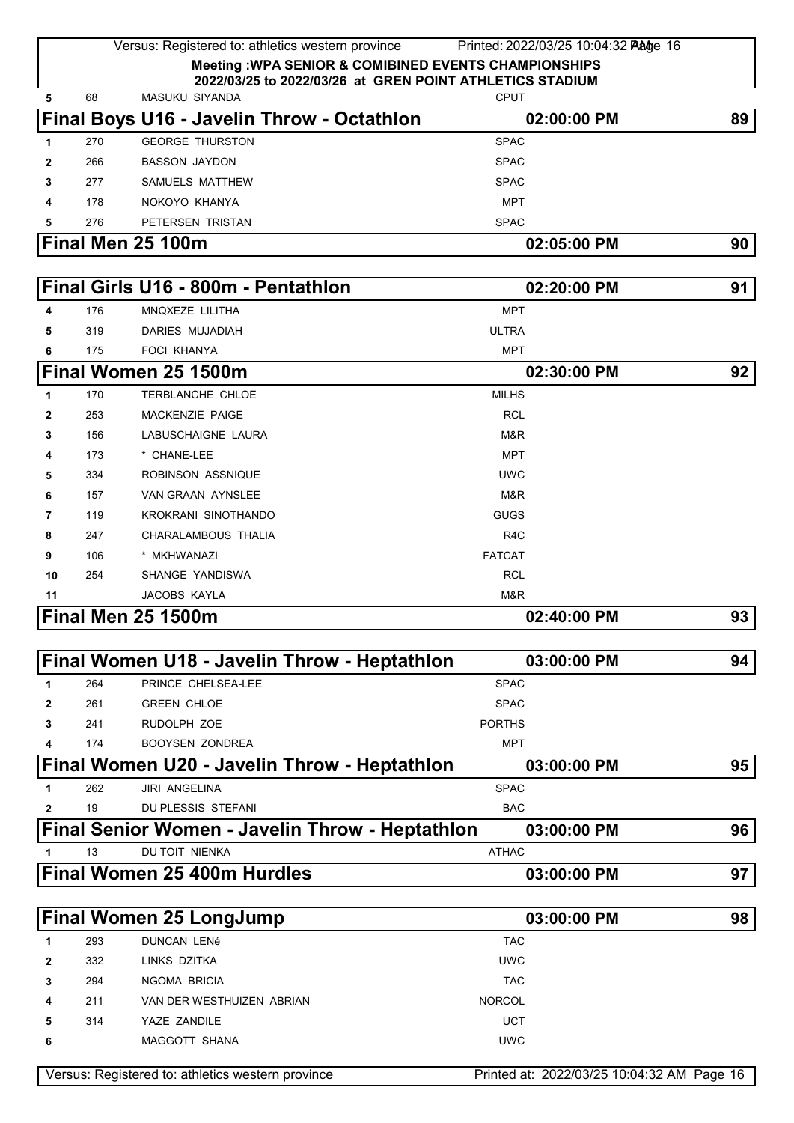|              |     | Versus: Registered to: athletics western province | Printed: 2022/03/25 10:04:32 Plange 16                                  |    |
|--------------|-----|---------------------------------------------------|-------------------------------------------------------------------------|----|
|              |     |                                                   | Meeting : WPA SENIOR & COMIBINED EVENTS CHAMPIONSHIPS                   |    |
|              | 68  | <b>MASUKU SIYANDA</b>                             | 2022/03/25 to 2022/03/26 at GREN POINT ATHLETICS STADIUM<br><b>CPUT</b> |    |
| 5            |     |                                                   |                                                                         |    |
|              |     | Final Boys U16 - Javelin Throw - Octathlon        | 02:00:00 PM                                                             | 89 |
| 1            | 270 | <b>GEORGE THURSTON</b>                            | <b>SPAC</b>                                                             |    |
| 2            | 266 | <b>BASSON JAYDON</b>                              | <b>SPAC</b>                                                             |    |
| 3            | 277 | SAMUELS MATTHEW                                   | <b>SPAC</b>                                                             |    |
|              | 178 | NOKOYO KHANYA                                     | <b>MPT</b>                                                              |    |
| 5            | 276 | PETERSEN TRISTAN                                  | <b>SPAC</b>                                                             |    |
|              |     | Final Men 25 100m                                 | 02:05:00 PM                                                             | 90 |
|              |     |                                                   |                                                                         |    |
|              |     | Final Girls U16 - 800m - Pentathlon               | 02:20:00 PM                                                             | 91 |
| 4            | 176 | MNQXEZE LILITHA                                   | <b>MPT</b>                                                              |    |
| 5            | 319 | <b>DARIES MUJADIAH</b>                            | <b>ULTRA</b>                                                            |    |
| 6            | 175 | <b>FOCI KHANYA</b>                                | <b>MPT</b>                                                              |    |
|              |     | Final Women 25 1500m                              | 02:30:00 PM                                                             | 92 |
| 1            | 170 | <b>TERBLANCHE CHLOE</b>                           | <b>MILHS</b>                                                            |    |
| 2            | 253 | <b>MACKENZIE PAIGE</b>                            | <b>RCL</b>                                                              |    |
| 3            | 156 | LABUSCHAIGNE LAURA                                | M&R                                                                     |    |
| 4            | 173 | * CHANE-LEE                                       | <b>MPT</b>                                                              |    |
| 5            | 334 | ROBINSON ASSNIQUE                                 | <b>UWC</b>                                                              |    |
| 6            | 157 | VAN GRAAN AYNSLEE                                 | M&R                                                                     |    |
| 7            | 119 | KROKRANI SINOTHANDO                               | <b>GUGS</b>                                                             |    |
| 8            | 247 | CHARALAMBOUS THALIA                               | R <sub>4</sub> C                                                        |    |
| 9            | 106 | * MKHWANAZI                                       | <b>FATCAT</b>                                                           |    |
| 10           | 254 | SHANGE YANDISWA                                   | <b>RCL</b>                                                              |    |
| 11           |     | JACOBS KAYLA                                      | M&R                                                                     |    |
|              |     | Final Men 25 1500m                                | 02:40:00 PM                                                             | 93 |
|              |     |                                                   |                                                                         |    |
|              |     | Final Women U18 - Javelin Throw - Heptathlon      | 03:00:00 PM                                                             | 94 |
| 1            | 264 | PRINCE CHELSEA-LEE                                | <b>SPAC</b>                                                             |    |
| $\mathbf{2}$ | 261 | <b>GREEN CHLOE</b>                                | <b>SPAC</b>                                                             |    |
| 3            | 241 | RUDOLPH ZOE                                       | <b>PORTHS</b>                                                           |    |
|              | 174 | <b>BOOYSEN ZONDREA</b>                            | <b>MPT</b>                                                              |    |
|              |     | Final Women U20 - Javelin Throw - Heptathlon      | 03:00:00 PM                                                             | 95 |
| 1            | 262 | <b>JIRI ANGELINA</b>                              | <b>SPAC</b>                                                             |    |
|              | 19  | DU PLESSIS STEFANI                                | <b>BAC</b>                                                              |    |
| 2            |     | Final Senior Women - Javelin Throw - Heptathlon   | 03:00:00 PM                                                             | 96 |
|              | 13  |                                                   |                                                                         |    |
| $\mathbf{1}$ |     | DU TOIT NIENKA                                    | <b>ATHAC</b>                                                            |    |
|              |     | Final Women 25 400m Hurdles                       | 03:00:00 PM                                                             | 97 |
|              |     |                                                   |                                                                         |    |
|              |     | <b>Final Women 25 LongJump</b>                    | 03:00:00 PM                                                             | 98 |
| 1            | 293 | <b>DUNCAN LENé</b>                                | <b>TAC</b>                                                              |    |
| 2            | 332 | LINKS DZITKA                                      | <b>UWC</b>                                                              |    |
| 3            | 294 | NGOMA BRICIA                                      | <b>TAC</b>                                                              |    |
|              | 211 | VAN DER WESTHUIZEN ABRIAN                         | <b>NORCOL</b>                                                           |    |
| 5            | 314 | YAZE ZANDILE                                      | <b>UCT</b>                                                              |    |
| 6            |     | MAGGOTT SHANA                                     | <b>UWC</b>                                                              |    |
|              |     | Versus: Registered to: athletics western province | Printed at: 2022/03/25 10:04:32 AM Page 16                              |    |
|              |     |                                                   |                                                                         |    |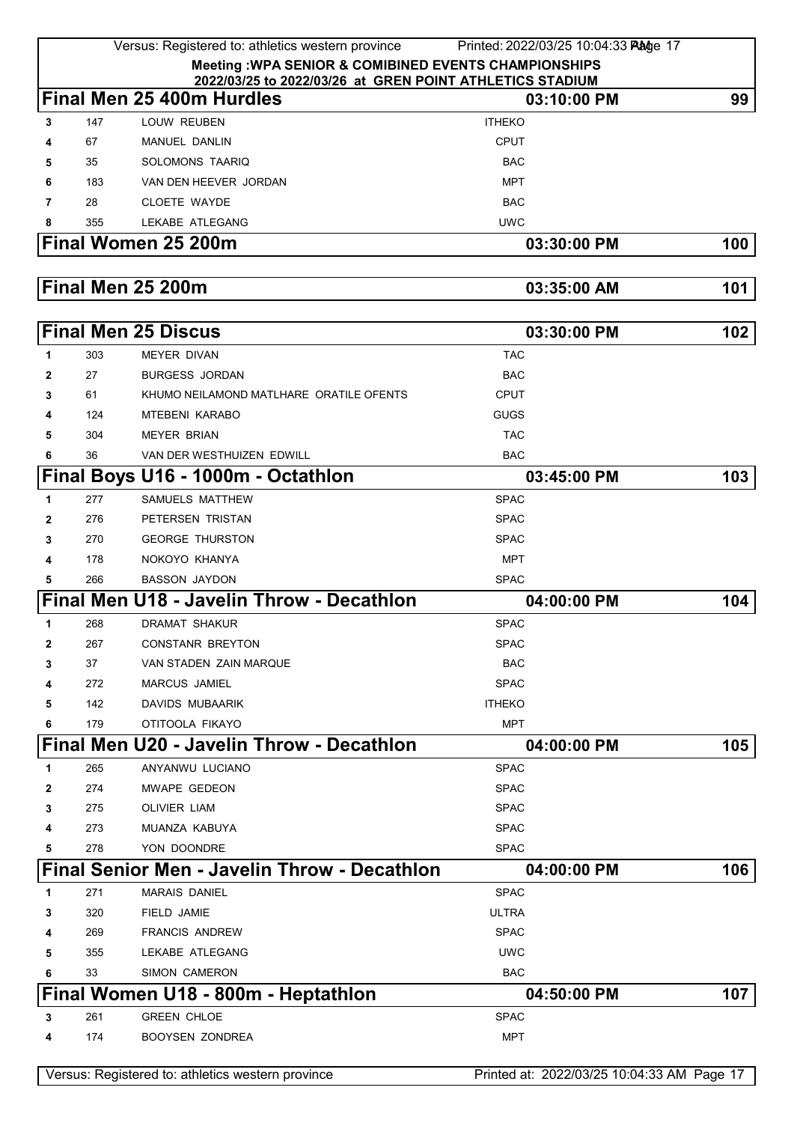|              |     | Versus: Registered to: athletics western province        | Printed: 2022/03/25 10:04:33 Padge 17      |     |
|--------------|-----|----------------------------------------------------------|--------------------------------------------|-----|
|              |     | Meeting : WPA SENIOR & COMIBINED EVENTS CHAMPIONSHIPS    |                                            |     |
|              |     | 2022/03/25 to 2022/03/26 at GREN POINT ATHLETICS STADIUM |                                            |     |
|              |     | Final Men 25 400m Hurdles                                | 03:10:00 PM                                | 99  |
| 3            | 147 | <b>LOUW REUBEN</b>                                       | <b>ITHEKO</b>                              |     |
|              | 67  | <b>MANUEL DANLIN</b>                                     | <b>CPUT</b>                                |     |
| 5            | 35  | SOLOMONS TAARIQ                                          | <b>BAC</b>                                 |     |
| 6            | 183 | VAN DEN HEEVER JORDAN                                    | <b>MPT</b>                                 |     |
| 7            | 28  | <b>CLOETE WAYDE</b>                                      | <b>BAC</b>                                 |     |
| 8            | 355 | LEKABE ATLEGANG                                          | <b>UWC</b>                                 |     |
|              |     | Final Women 25 200m                                      | 03:30:00 PM                                | 100 |
|              |     | Final Men 25 200m                                        | 03:35:00 AM                                | 101 |
|              |     |                                                          |                                            |     |
|              |     | <b>Final Men 25 Discus</b>                               | 03:30:00 PM                                | 102 |
| 1            | 303 | <b>MEYER DIVAN</b>                                       | <b>TAC</b>                                 |     |
| $\mathbf{2}$ | 27  | <b>BURGESS JORDAN</b>                                    | <b>BAC</b>                                 |     |
| 3            | 61  | KHUMO NEILAMOND MATLHARE ORATILE OFENTS                  | <b>CPUT</b>                                |     |
|              | 124 | <b>MTEBENI KARABO</b>                                    | <b>GUGS</b>                                |     |
| 5            | 304 | <b>MEYER BRIAN</b>                                       | <b>TAC</b>                                 |     |
| 6            | 36  | VAN DER WESTHUIZEN EDWILL                                | <b>BAC</b>                                 |     |
|              |     | Final Boys U16 - 1000m - Octathion                       | 03:45:00 PM                                | 103 |
| 1            | 277 | SAMUELS MATTHEW                                          | <b>SPAC</b>                                |     |
| $\mathbf{2}$ | 276 | PETERSEN TRISTAN                                         | <b>SPAC</b>                                |     |
| 3            | 270 | <b>GEORGE THURSTON</b>                                   | <b>SPAC</b>                                |     |
| 4            | 178 | NOKOYO KHANYA                                            | <b>MPT</b>                                 |     |
| 5            | 266 | <b>BASSON JAYDON</b>                                     | <b>SPAC</b>                                |     |
|              |     | <b>Final Men U18 - Javelin Throw - Decathlon</b>         | 04:00:00 PM                                | 104 |
| 1            | 268 | DRAMAT SHAKUR                                            | <b>SPAC</b>                                |     |
| $\mathbf{2}$ | 267 | <b>CONSTANR BREYTON</b>                                  | <b>SPAC</b>                                |     |
| 3            | 37  | VAN STADEN ZAIN MARQUE                                   | <b>BAC</b>                                 |     |
| 4            | 272 | <b>MARCUS JAMIEL</b>                                     | <b>SPAC</b>                                |     |
| 5            | 142 | DAVIDS MUBAARIK                                          | <b>ITHEKO</b>                              |     |
| 6            | 179 | OTITOOLA FIKAYO                                          | <b>MPT</b>                                 |     |
|              |     | Final Men U20 - Javelin Throw - Decathlon                | 04:00:00 PM                                | 105 |
| $\mathbf{1}$ | 265 | ANYANWU LUCIANO                                          | <b>SPAC</b>                                |     |
| 2            | 274 | MWAPE GEDEON                                             | <b>SPAC</b>                                |     |
| 3            | 275 | OLIVIER LIAM                                             | <b>SPAC</b>                                |     |
| 4            | 273 | MUANZA KABUYA                                            | <b>SPAC</b>                                |     |
| 5            | 278 | YON DOONDRE                                              | <b>SPAC</b>                                |     |
|              |     | <b>Final Senior Men - Javelin Throw - Decathlon</b>      | 04:00:00 PM                                | 106 |
| 1            | 271 | <b>MARAIS DANIEL</b>                                     | <b>SPAC</b>                                |     |
| 3            | 320 | FIELD JAMIE                                              | <b>ULTRA</b>                               |     |
|              | 269 | <b>FRANCIS ANDREW</b>                                    | <b>SPAC</b>                                |     |
| 5            | 355 | LEKABE ATLEGANG                                          | <b>UWC</b>                                 |     |
| 6            | 33  | <b>SIMON CAMERON</b>                                     | <b>BAC</b>                                 |     |
|              |     | Final Women U18 - 800m - Heptathlon                      | 04:50:00 PM                                | 107 |
| 3            | 261 | <b>GREEN CHLOE</b>                                       | <b>SPAC</b>                                |     |
| 4            | 174 | BOOYSEN ZONDREA                                          | <b>MPT</b>                                 |     |
|              |     | Versus: Registered to: athletics western province        | Printed at: 2022/03/25 10:04:33 AM Page 17 |     |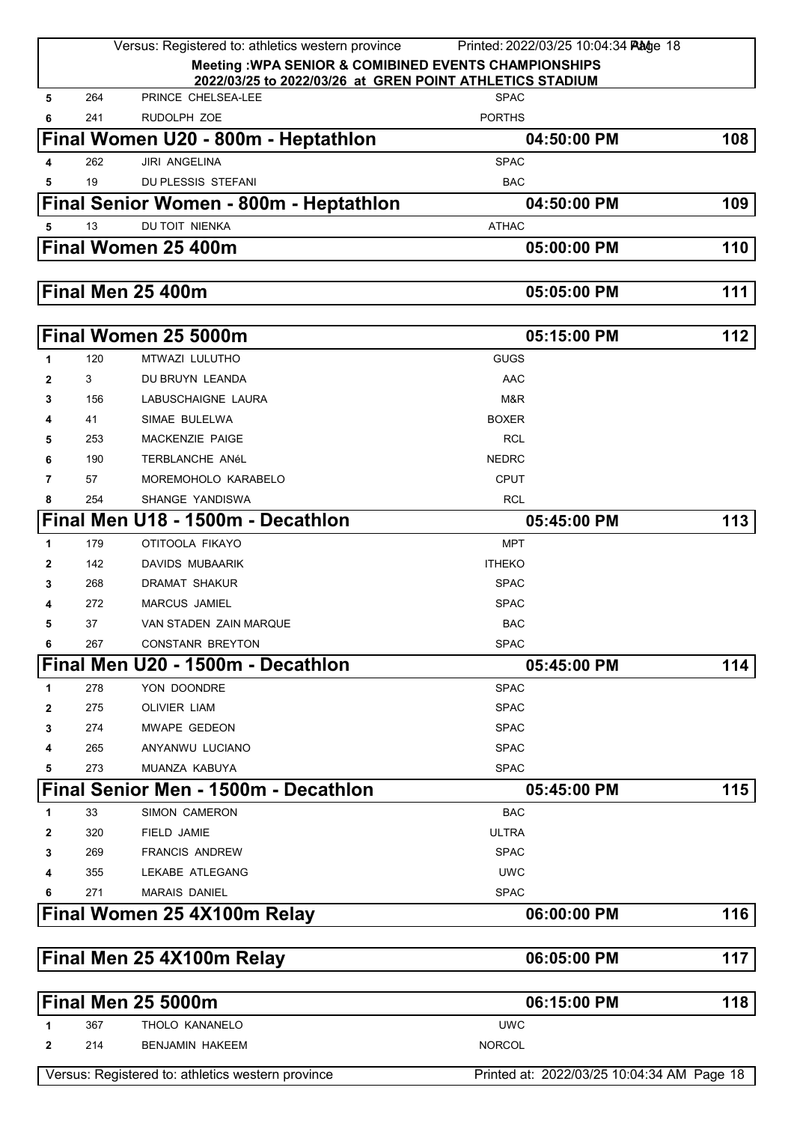|              |     | Versus: Registered to: athletics western province                              | Printed: 2022/03/25 10:04:34 Plage 18      |     |
|--------------|-----|--------------------------------------------------------------------------------|--------------------------------------------|-----|
|              |     | <b>Meeting: WPA SENIOR &amp; COMIBINED EVENTS CHAMPIONSHIPS</b>                |                                            |     |
|              | 264 | 2022/03/25 to 2022/03/26 at GREN POINT ATHLETICS STADIUM<br>PRINCE CHELSEA-LEE | <b>SPAC</b>                                |     |
| 5<br>6       | 241 | RUDOLPH ZOE                                                                    | <b>PORTHS</b>                              |     |
|              |     |                                                                                | 04:50:00 PM                                | 108 |
|              |     | Final Women U20 - 800m - Heptathlon                                            |                                            |     |
| 4            | 262 | <b>JIRI ANGELINA</b>                                                           | <b>SPAC</b>                                |     |
| 5            | 19  | DU PLESSIS STEFANI                                                             | <b>BAC</b>                                 |     |
|              |     | Final Senior Women - 800m - Heptathlon                                         | 04:50:00 PM                                | 109 |
| 5            | 13  | DU TOIT NIENKA                                                                 | <b>ATHAC</b>                               |     |
|              |     | Final Women 25 400m                                                            | 05:00:00 PM                                | 110 |
|              |     | Final Men 25 400m                                                              | 05:05:00 PM                                | 111 |
|              |     | Final Women 25 5000m                                                           | 05:15:00 PM                                | 112 |
| 1            | 120 | MTWAZI LULUTHO                                                                 | <b>GUGS</b>                                |     |
| 2            | 3   | DU BRUYN LEANDA                                                                | AAC                                        |     |
| 3            | 156 | LABUSCHAIGNE LAURA                                                             | M&R                                        |     |
|              | 41  | SIMAE BULELWA                                                                  | <b>BOXER</b>                               |     |
| 5            | 253 | <b>MACKENZIE PAIGE</b>                                                         | RCL                                        |     |
| 6            | 190 | <b>TERBLANCHE ANÉL</b>                                                         | <b>NEDRC</b>                               |     |
| 7            | 57  | MOREMOHOLO KARABELO                                                            | <b>CPUT</b>                                |     |
| 8            | 254 | SHANGE YANDISWA                                                                | <b>RCL</b>                                 |     |
|              |     | Final Men U18 - 1500m - Decathlon                                              | 05:45:00 PM                                | 113 |
| 1            | 179 | OTITOOLA FIKAYO                                                                | <b>MPT</b>                                 |     |
| 2            | 142 | <b>DAVIDS MUBAARIK</b>                                                         | <b>ITHEKO</b>                              |     |
| 3            | 268 | DRAMAT SHAKUR                                                                  | <b>SPAC</b>                                |     |
|              | 272 | <b>MARCUS JAMIEL</b>                                                           | <b>SPAC</b>                                |     |
| 5            | 37  | VAN STADEN ZAIN MARQUE                                                         | <b>BAC</b>                                 |     |
| 6            | 267 | <b>CONSTANR BREYTON</b>                                                        | <b>SPAC</b>                                |     |
|              |     | Final Men U20 - 1500m - Decathlon                                              | 05:45:00 PM                                | 114 |
|              | 278 | YON DOONDRE                                                                    | <b>SPAC</b>                                |     |
| 1            | 275 | <b>OLIVIER LIAM</b>                                                            | <b>SPAC</b>                                |     |
| 2            | 274 | MWAPE GEDEON                                                                   | <b>SPAC</b>                                |     |
| 3<br>4       | 265 | ANYANWU LUCIANO                                                                | <b>SPAC</b>                                |     |
| 5            | 273 | MUANZA KABUYA                                                                  | <b>SPAC</b>                                |     |
|              |     | Final Senior Men - 1500m - Decathlon                                           | 05:45:00 PM                                | 115 |
|              |     |                                                                                |                                            |     |
| 1            | 33  | <b>SIMON CAMERON</b>                                                           | <b>BAC</b>                                 |     |
| 2            | 320 | FIELD JAMIE                                                                    | ULTRA                                      |     |
| 3            | 269 | <b>FRANCIS ANDREW</b>                                                          | <b>SPAC</b>                                |     |
|              | 355 | LEKABE ATLEGANG<br><b>MARAIS DANIEL</b>                                        | <b>UWC</b><br><b>SPAC</b>                  |     |
| 6            | 271 |                                                                                |                                            |     |
|              |     | Final Women 25 4X100m Relay                                                    | 06:00:00 PM                                | 116 |
|              |     | Final Men 25 4X100m Relay                                                      | 06:05:00 PM                                | 117 |
|              |     | <b>Final Men 25 5000m</b>                                                      | 06:15:00 PM                                | 118 |
| 1            | 367 | THOLO KANANELO                                                                 | <b>UWC</b>                                 |     |
| $\mathbf{2}$ | 214 | <b>BENJAMIN HAKEEM</b>                                                         | <b>NORCOL</b>                              |     |
|              |     | Versus: Registered to: athletics western province                              | Printed at: 2022/03/25 10:04:34 AM Page 18 |     |
|              |     |                                                                                |                                            |     |